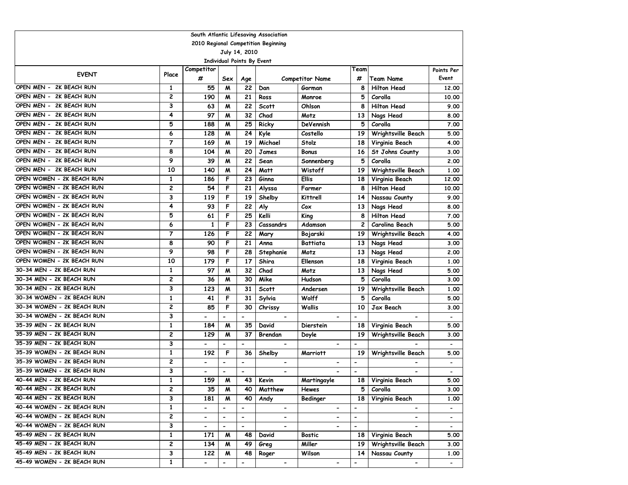|                            | South Atlantic Lifesaving Association |                              |                                   |                          |                                     |                              |                              |                          |                          |  |  |  |
|----------------------------|---------------------------------------|------------------------------|-----------------------------------|--------------------------|-------------------------------------|------------------------------|------------------------------|--------------------------|--------------------------|--|--|--|
|                            |                                       |                              |                                   |                          | 2010 Regional Competition Beginning |                              |                              |                          |                          |  |  |  |
|                            |                                       |                              |                                   | July 14, 2010            |                                     |                              |                              |                          |                          |  |  |  |
|                            |                                       |                              | <b>Individual Points By Event</b> |                          |                                     |                              |                              |                          |                          |  |  |  |
| <b>EVENT</b>               | Place                                 | Competitor                   |                                   |                          |                                     |                              | Team                         |                          | Points Per               |  |  |  |
|                            |                                       | #                            | Sex                               | Age                      |                                     | <b>Competitor Name</b>       | #                            | Team Name                | Event                    |  |  |  |
| 2K BEACH RUN<br>OPEN MEN - | 1                                     | 55                           | M                                 | 22                       | Dan                                 | Gorman                       | 8                            | <b>Hilton Head</b>       | 12.00                    |  |  |  |
| OPEN MEN - 2K BEACH RUN    | 2                                     | 190                          | M                                 | 21                       | Ross                                | Monroe                       | 5                            | Corolla                  | 10.00                    |  |  |  |
| OPEN MEN - 2K BEACH RUN    | 3                                     | 63                           | M                                 | 22                       | <b>Scott</b>                        | Ohlson                       | 8                            | <b>Hilton Head</b>       | 9.00                     |  |  |  |
| OPEN MEN - 2K BEACH RUN    | 4                                     | 97                           | M                                 | 32                       | Chad                                | Motz                         | 13                           | Nags Head                | 8.00                     |  |  |  |
| OPEN MEN - 2K BEACH RUN    | 5                                     | 188                          | M                                 | 25                       | Ricky                               | DeVennish                    | 5                            | Corolla                  | 7.00                     |  |  |  |
| OPEN MEN - 2K BEACH RUN    | 6                                     | 128                          | M                                 | 24                       | Kyle                                | Costello                     | 19                           | Wrightsville Beach       | 5.00                     |  |  |  |
| 2K BEACH RUN<br>OPEN MEN - | $\overline{7}$                        | 169                          | M                                 | 19                       | Michael                             | Stolz                        | 18                           | Virginia Beach           | 4.00                     |  |  |  |
| 2K BEACH RUN<br>OPEN MEN - | 8                                     | 104                          | M                                 | 20                       | James                               | <b>Bonus</b>                 | 16                           | St Johns County          | 3.00                     |  |  |  |
| OPEN MEN - 2K BEACH RUN    | 9                                     | 39                           | M                                 | 22                       | Sean                                | Sonnenberg                   | 5                            | Corolla                  | 2.00                     |  |  |  |
| OPEN MEN - 2K BEACH RUN    | 10                                    | 140                          | M                                 | 24                       | Matt                                | Wistoff                      | 19                           | Wrightsville Beach       | 1.00                     |  |  |  |
| OPEN WOMEN - 2K BEACH RUN  | 1                                     | 186                          | F                                 | 23                       | Ginna                               | <b>Ellis</b>                 | 18                           | Virginia Beach           | 12,00                    |  |  |  |
| OPEN WOMEN - 2K BEACH RUN  | 2                                     | 54                           | F                                 | 21                       | Alyssa                              | Farmer                       | 8                            | <b>Hilton Head</b>       | 10.00                    |  |  |  |
| OPEN WOMEN - 2K BEACH RUN  | 3                                     | 119                          | F                                 | 19                       | Shelby                              | <b>Kittrell</b>              | 14                           | Nassau County            | 9.00                     |  |  |  |
| OPEN WOMEN - 2K BEACH RUN  | 4                                     | 93                           | F                                 | 22                       | Aly                                 | Cox                          | 13                           | Nags Head                | 8.00                     |  |  |  |
| OPEN WOMEN - 2K BEACH RUN  | 5                                     | 61                           | F                                 | 25                       | Kelli                               | King                         | 8                            | <b>Hilton Head</b>       | 7.00                     |  |  |  |
| OPEN WOMEN - 2K BEACH RUN  | 6                                     | $\mathbf{1}$                 | F                                 | 23                       | Cassandrs                           | Adamson                      | $\mathbf{2}$                 | Carolina Beach           | 5.00                     |  |  |  |
| OPEN WOMEN - 2K BEACH RUN  | $\overline{7}$                        | 126                          | F                                 | 22                       | Mary                                | Bojarski                     | 19                           | Wrightsville Beach       | 4.00                     |  |  |  |
| OPEN WOMEN - 2K BEACH RUN  | 8                                     | 90                           | F                                 | 21                       | Anna                                | <b>Battiata</b>              | 13                           | Nags Head                | 3.00                     |  |  |  |
| OPEN WOMEN - 2K BEACH RUN  | 9                                     | 98                           | F                                 | 28                       | Stephanie                           | Motz                         | 13                           | Nags Head                | 2.00                     |  |  |  |
| OPEN WOMEN - 2K BEACH RUN  | 10                                    | 179                          | F                                 | 17                       | Shira                               | Ellenson                     | 18                           | Virginia Beach           | 1.00                     |  |  |  |
| 30-34 MEN - 2K BEACH RUN   | $\mathbf{1}$                          | 97                           | M                                 | 32                       | Chad                                | Motz                         | 13                           | Nags Head                | 5.00                     |  |  |  |
| 30-34 MEN - 2K BEACH RUN   | 2                                     | 36                           | M                                 | 30                       | Mike                                | Hudson                       | 5                            | Corolla                  | 3.00                     |  |  |  |
| 30-34 MEN - 2K BEACH RUN   | 3                                     | 123                          | M                                 | 31                       | <b>Scott</b>                        | Andersen                     | 19                           | Wrightsville Beach       | 1.00                     |  |  |  |
| 30-34 WOMEN - 2K BEACH RUN | $\mathbf{1}$                          | 41                           | F                                 | 31                       | Sylvia                              | Wolff                        | 5                            | Corolla                  | 5.00                     |  |  |  |
| 30-34 WOMEN - 2K BEACH RUN | $\overline{\mathbf{c}}$               | 85                           | F                                 | 30                       | Chrissy                             | Wallis                       | 10                           | Jax Beach                | 3.00                     |  |  |  |
| 30-34 WOMEN - 2K BEACH RUN | 3                                     | $\qquad \qquad \blacksquare$ | $\overline{a}$                    | $\overline{a}$           | $\qquad \qquad \blacksquare$        | $\overline{\phantom{a}}$     | $\qquad \qquad \blacksquare$ | $\overline{\phantom{0}}$ | $\hbox{\small -}$        |  |  |  |
| 35-39 MEN - 2K BEACH RUN   | 1                                     | 184                          | M                                 | 35                       | David                               | Dierstein                    | 18                           | Virginia Beach           | 5.00                     |  |  |  |
| 35-39 MEN - 2K BEACH RUN   | 2                                     | 129                          | M                                 | 37                       | Brendan                             | Doyle                        | 19                           | Wrightsville Beach       | 3.00                     |  |  |  |
| 35-39 MEN - 2K BEACH RUN   | 3                                     | $\qquad \qquad \blacksquare$ |                                   | $\overline{a}$           | $\overline{\phantom{0}}$            | $\qquad \qquad \blacksquare$ | $\blacksquare$               | $\overline{\phantom{0}}$ |                          |  |  |  |
| 35-39 WOMEN - 2K BEACH RUN | $\mathbf{1}$                          | 192                          | F                                 | 36                       | Shelby                              | <b>Marriott</b>              | 19                           | Wrightsville Beach       | 5.00                     |  |  |  |
| 35-39 WOMEN - 2K BEACH RUN | 2                                     | $\overline{\phantom{0}}$     | $\blacksquare$                    | $\blacksquare$           | $\overline{\phantom{a}}$            | $\qquad \qquad \blacksquare$ | $\blacksquare$               |                          | $\overline{\phantom{a}}$ |  |  |  |
| 35-39 WOMEN - 2K BEACH RUN | 3                                     | $\qquad \qquad \blacksquare$ | $\overline{\phantom{0}}$          | $\blacksquare$           |                                     |                              | $\overline{\phantom{0}}$     |                          |                          |  |  |  |
| 40-44 MEN - 2K BEACH RUN   | $\mathbf{1}$                          | 159                          | M                                 | 43                       | Kevin                               | Martingayle                  | 18                           | Virginia Beach           | 5.00                     |  |  |  |
| 40-44 MEN - 2K BEACH RUN   | 2                                     | 35                           | M                                 | 40                       | Matthew                             | Hewes                        | 5                            | Corolla                  | 3.00                     |  |  |  |
| 40-44 MEN - 2K BEACH RUN   | 3                                     | 181                          | M                                 | 40                       | Andy                                | Bedinger                     | 18                           | Virginia Beach           | 1.00                     |  |  |  |
| 40-44 WOMEN - 2K BEACH RUN | $\mathbf{1}$                          | $\overline{\phantom{0}}$     | $\overline{\phantom{m}}$          | $\blacksquare$           | $\overline{\phantom{a}}$            | $\overline{\phantom{0}}$     | $\overline{\phantom{a}}$     | $\overline{\phantom{0}}$ | $\overline{\phantom{0}}$ |  |  |  |
| 40-44 WOMEN - 2K BEACH RUN | 2                                     | $\overline{\phantom{0}}$     | $\overline{\phantom{a}}$          | $\overline{\phantom{a}}$ | $\blacksquare$                      | -                            | $\overline{\phantom{a}}$     | ۰.                       | $\overline{\phantom{a}}$ |  |  |  |
| 40-44 WOMEN - 2K BEACH RUN | 3                                     | $\overline{\phantom{0}}$     | $\overline{\phantom{a}}$          | $\overline{\phantom{a}}$ | $\qquad \qquad \blacksquare$        | $\overline{\phantom{0}}$     | $\blacksquare$               | $\overline{\phantom{0}}$ | $\blacksquare$           |  |  |  |
| 45-49 MEN - 2K BEACH RUN   | 1                                     | 171                          | M                                 | 48                       | David                               | <b>Bostic</b>                | 18                           | Virginia Beach           | 5.00                     |  |  |  |
| 45-49 MEN - 2K BEACH RUN   | 2                                     | 134                          | M                                 | 49                       | Greg                                | Miller                       | 19                           | Wrightsville Beach       | 3.00                     |  |  |  |
| 45-49 MEN - 2K BEACH RUN   | 3                                     | 122                          | M                                 | 48                       | Roger                               | Wilson                       | 14                           | Nassau County            | 1.00                     |  |  |  |
| 45-49 WOMEN - 2K BEACH RUN | 1                                     | $\overline{\phantom{0}}$     | $\overline{\phantom{a}}$          | $\overline{\phantom{a}}$ | $\blacksquare$                      | $\overline{\phantom{0}}$     | $\overline{\phantom{0}}$     | $\blacksquare$           | $\sim$                   |  |  |  |
|                            |                                       |                              |                                   |                          |                                     |                              |                              |                          |                          |  |  |  |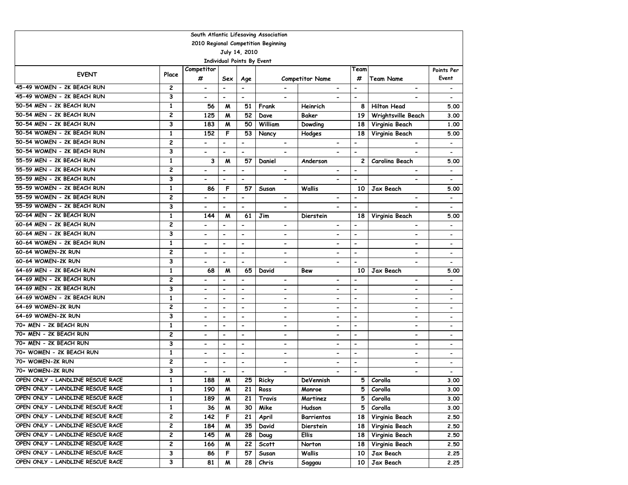| South Atlantic Lifesaving Association |                         |                              |                          |                                   |                                     |                              |                          |                              |                              |  |  |
|---------------------------------------|-------------------------|------------------------------|--------------------------|-----------------------------------|-------------------------------------|------------------------------|--------------------------|------------------------------|------------------------------|--|--|
|                                       |                         |                              |                          |                                   | 2010 Regional Competition Beginning |                              |                          |                              |                              |  |  |
|                                       |                         |                              |                          | July 14, 2010                     |                                     |                              |                          |                              |                              |  |  |
|                                       |                         |                              |                          | <b>Individual Points By Event</b> |                                     |                              |                          |                              |                              |  |  |
| <b>EVENT</b>                          | Place                   | Competitor                   |                          |                                   |                                     |                              | Team                     |                              | Points Per                   |  |  |
|                                       |                         | #                            | Sex                      | Age                               |                                     | <b>Competitor Name</b>       | #                        | <b>Team Name</b>             | Event                        |  |  |
| 45-49 WOMEN - 2K BEACH RUN            | $\overline{\mathbf{c}}$ | $\overline{\phantom{a}}$     | $\overline{\phantom{a}}$ | $\overline{\phantom{a}}$          |                                     | $\overline{\phantom{a}}$     | $\hbox{\small -}$        | $\overline{\phantom{a}}$     | $\overline{\phantom{a}}$     |  |  |
| 45-49 WOMEN - 2K BEACH RUN            | 3                       | $\qquad \qquad \blacksquare$ | $\overline{\phantom{0}}$ | $\blacksquare$                    | $\overline{\phantom{a}}$            |                              | $\overline{\phantom{a}}$ | -                            |                              |  |  |
| 50-54 MEN - 2K BEACH RUN              | $\mathbf{1}$            | 56                           | M                        | 51                                | Frank                               | Heinrich                     | 8                        | <b>Hilton Head</b>           | 5.00                         |  |  |
| 50-54 MEN - 2K BEACH RUN              | 2                       | 125                          | M                        | 52                                | Dave                                | Baker                        | 19                       | Wrightsville Beach           | 3.00                         |  |  |
| 50-54 MEN - 2K BEACH RUN              | 3                       | 183                          | M                        | 50                                | William                             | Dowding                      | 18                       | Virginia Beach               | 1.00                         |  |  |
| 50-54 WOMEN - 2K BEACH RUN            | $\mathbf{1}$            | 152                          | F                        | 53                                | Nancy                               | Hodges                       | 18                       | Virginia Beach               | 5.00                         |  |  |
| 50-54 WOMEN - 2K BEACH RUN            | 2                       | $\overline{\phantom{0}}$     | $\overline{\phantom{a}}$ | $\overline{\phantom{a}}$          | $\overline{\phantom{a}}$            |                              | $\blacksquare$           |                              | $\overline{\phantom{a}}$     |  |  |
| 50-54 WOMEN - 2K BEACH RUN            | 3                       | $\qquad \qquad \blacksquare$ | $\hbox{\small -}$        | $\overline{\phantom{a}}$          | $\qquad \qquad \blacksquare$        |                              | $\blacksquare$           |                              |                              |  |  |
| 55-59 MEN - 2K BEACH RUN              | 1                       | 3                            | M                        | 57                                | Daniel                              | Anderson                     | $\mathbf{2}$             | Carolina Beach               | 5.00                         |  |  |
| 55-59 MEN - 2K BEACH RUN              | 2                       |                              | $\overline{a}$           | $\overline{a}$                    | $\overline{\phantom{0}}$            | $\qquad \qquad \blacksquare$ | $\blacksquare$           | $\overline{\phantom{0}}$     |                              |  |  |
| 55-59 MEN - 2K BEACH RUN              | 3                       | $\hbox{\small -}$            | $\overline{\phantom{a}}$ | $\blacksquare$                    | $\blacksquare$                      | $\blacksquare$               | $\overline{\phantom{a}}$ | $\blacksquare$               | $\overline{\phantom{a}}$     |  |  |
| 55-59 WOMEN - 2K BEACH RUN            | $\mathbf{1}$            | 86                           | F                        | 57                                | Susan                               | Wallis                       | 10                       | Jax Beach                    | 5.00                         |  |  |
| 55-59 WOMEN - 2K BEACH RUN            | $\overline{\mathbf{c}}$ | $\overline{\phantom{a}}$     | $\overline{\phantom{a}}$ | $\overline{\phantom{a}}$          | $\overline{\phantom{a}}$            | $\overline{\phantom{a}}$     | $\blacksquare$           | $\overline{\phantom{0}}$     |                              |  |  |
| 55-59 WOMEN - 2K BEACH RUN            | 3                       | $\overline{\phantom{a}}$     | $\overline{\phantom{a}}$ | $\overline{\phantom{a}}$          | $\qquad \qquad \blacksquare$        | $\overline{\phantom{0}}$     | $\blacksquare$           |                              | $\overline{\phantom{a}}$     |  |  |
| 60-64 MEN - 2K BEACH RUN              | 1                       | 144                          | M                        | 61                                | Jim                                 | Dierstein                    | 18                       | Virginia Beach               | 5.00                         |  |  |
| 60-64 MEN - 2K BEACH RUN              | $\overline{\mathbf{c}}$ | $\overline{\phantom{0}}$     | $\blacksquare$           | $\overline{\phantom{a}}$          | $\qquad \qquad \blacksquare$        | $\qquad \qquad \blacksquare$ | $\overline{\phantom{a}}$ | $\overline{\phantom{a}}$     |                              |  |  |
| 60-64 MEN - 2K BEACH RUN              | 3                       | $\overline{\phantom{0}}$     | $\blacksquare$           | $\overline{a}$                    | $\overline{\phantom{0}}$            | $\overline{\phantom{0}}$     | $\blacksquare$           | $\qquad \qquad \blacksquare$ |                              |  |  |
| 60-64 WOMEN - 2K BEACH RUN            | $\mathbf{1}$            | $\blacksquare$               | $\hbox{\small -}$        | $\blacksquare$                    | $\qquad \qquad \blacksquare$        | $\blacksquare$               | $\overline{\phantom{a}}$ | $\qquad \qquad \blacksquare$ |                              |  |  |
| 60-64 WOMEN-2K RUN                    | $\overline{c}$          | $\blacksquare$               | $\overline{\phantom{a}}$ | $\overline{\phantom{a}}$          | $\qquad \qquad \blacksquare$        | $\overline{\phantom{0}}$     | $\blacksquare$           | $\overline{\phantom{0}}$     | $\blacksquare$               |  |  |
| 60-64 WOMEN-2K RUN                    | 3                       | $\overline{\phantom{0}}$     | $\overline{\phantom{a}}$ | $\blacksquare$                    | $\overline{\phantom{0}}$            | $\blacksquare$               | $\blacksquare$           | $\overline{\phantom{0}}$     | $\qquad \qquad \blacksquare$ |  |  |
| 64-69 MEN - 2K BEACH RUN              | 1                       | 68                           | M                        | 65                                | David                               | Bew                          | 10                       | Jax Beach                    | 5.00                         |  |  |
| 64-69 MEN - 2K BEACH RUN              | 2                       | $\qquad \qquad \blacksquare$ | $\overline{\phantom{a}}$ | $\blacksquare$                    | $\hbox{\small -}$                   | $\qquad \qquad \blacksquare$ | $\overline{\phantom{a}}$ | -                            |                              |  |  |
| 64-69 MEN - 2K BEACH RUN              | 3                       | $\qquad \qquad \blacksquare$ | $\overline{\phantom{m}}$ | $\overline{\phantom{a}}$          | $\qquad \qquad \blacksquare$        | $\overline{\phantom{0}}$     | $\blacksquare$           | $\overline{\phantom{0}}$     |                              |  |  |
| 64-69 WOMEN - 2K BEACH RUN            | 1                       | $\overline{\phantom{a}}$     | $\overline{\phantom{m}}$ | $\overline{\phantom{a}}$          | $\overline{\phantom{0}}$            | $\overline{\phantom{a}}$     | $\overline{\phantom{a}}$ | $\overline{\phantom{0}}$     |                              |  |  |
| 64-69 WOMEN-2K RUN                    | 2                       | $\overline{\phantom{0}}$     | $\blacksquare$           | $\blacksquare$                    | $\qquad \qquad \blacksquare$        | $\overline{\phantom{0}}$     | $\blacksquare$           | $\overline{\phantom{0}}$     | $\overline{\phantom{a}}$     |  |  |
| 64-69 WOMEN-2K RUN                    | 3                       | $\overline{\phantom{a}}$     | $\overline{\phantom{a}}$ | $\overline{\phantom{a}}$          | $\qquad \qquad \blacksquare$        | $\overline{\phantom{a}}$     | $\blacksquare$           | $\qquad \qquad \blacksquare$ |                              |  |  |
| 70+ MEN - 2K BEACH RUN                | 1                       | $\overline{\phantom{a}}$     | $\overline{\phantom{a}}$ | $\overline{\phantom{a}}$          | $\overline{\phantom{a}}$            | $\overline{\phantom{a}}$     | $\blacksquare$           | $\qquad \qquad \blacksquare$ | $\overline{\phantom{a}}$     |  |  |
| 70+ MEN - 2K BEACH RUN                | 2                       | $\blacksquare$               | $\overline{\phantom{a}}$ | $\overline{\phantom{a}}$          | $\overline{\phantom{a}}$            | $\blacksquare$               | $\overline{\phantom{a}}$ | -                            | $\overline{\phantom{a}}$     |  |  |
| 70+ MEN - 2K BEACH RUN                | 3                       | $\qquad \qquad \blacksquare$ | $\overline{\phantom{a}}$ | $\blacksquare$                    | $\overline{\phantom{a}}$            | $\qquad \qquad \blacksquare$ | $\hbox{\small -}$        | $\overline{\phantom{a}}$     | $\overline{\phantom{a}}$     |  |  |
| 70+ WOMEN - 2K BEACH RUN              | $\mathbf{1}$            | $\overline{\phantom{0}}$     | $\blacksquare$           | $\overline{a}$                    | $\overline{\phantom{0}}$            | $\overline{\phantom{0}}$     | $\blacksquare$           | $\overline{\phantom{0}}$     |                              |  |  |
| 70+ WOMEN-2K RUN                      | 2                       | $\qquad \qquad \blacksquare$ | $\overline{\phantom{a}}$ | $\blacksquare$                    | $\overline{\phantom{a}}$            | $\qquad \qquad \blacksquare$ | $\overline{\phantom{a}}$ | $\qquad \qquad \blacksquare$ |                              |  |  |
| 70+ WOMEN-2K RUN                      | 3                       | $\overline{\phantom{0}}$     | $\overline{\phantom{a}}$ | $\blacksquare$                    | $\overline{\phantom{a}}$            | $\overline{\phantom{0}}$     | $\blacksquare$           | $\overline{\phantom{a}}$     | $\hbox{\small -}$            |  |  |
| OPEN ONLY - LANDLINE RESCUE RACE      | $\mathbf{1}$            | 188                          | M                        | 25                                | Ricky                               | DeVennish                    | 5                        | Corolla                      | 3.00                         |  |  |
| OPEN ONLY - LANDLINE RESCUE RACE      | 1                       | 190                          | M                        | 21                                | Ross                                | Monroe                       | 5.                       | Corolla                      | 3.00                         |  |  |
| OPEN ONLY - LANDLINE RESCUE RACE      | 1                       | 189                          | M                        | 21                                | Travis                              | Martinez                     | 5                        | Corolla                      | 3.00                         |  |  |
| OPEN ONLY - LANDLINE RESCUE RACE      | 1                       | 36                           | M                        | 30                                | Mike                                | Hudson                       | 5                        | Corolla                      | 3.00                         |  |  |
| OPEN ONLY - LANDLINE RESCUE RACE      | 2                       | 142                          | F                        | 21                                | April                               | <b>Barrientos</b>            | 18                       | Virginia Beach               | 2.50                         |  |  |
| OPEN ONLY - LANDLINE RESCUE RACE      | 2                       | 184                          | M                        | 35                                | David                               | Dierstein                    | 18                       | Virginia Beach               | 2.50                         |  |  |
| OPEN ONLY - LANDLINE RESCUE RACE      | 2                       | 145                          | M                        | 28                                | Doug                                | Ellis                        | 18                       | Virginia Beach               | 2.50                         |  |  |
| OPEN ONLY - LANDLINE RESCUE RACE      | 2                       | 166                          | M                        | 22                                | <b>Scott</b>                        | Norton                       | 18                       | Virginia Beach               | 2.50                         |  |  |
| OPEN ONLY - LANDLINE RESCUE RACE      | 3                       | 86                           | F                        | 57                                | Susan                               | Wallis                       | 10                       | Jax Beach                    | 2.25                         |  |  |
| OPEN ONLY - LANDLINE RESCUE RACE      | 3                       | 81                           | M                        | 28                                | Chris                               | Saggau                       | 10                       | Jax Beach                    | 2.25                         |  |  |
|                                       |                         |                              |                          |                                   |                                     |                              |                          |                              |                              |  |  |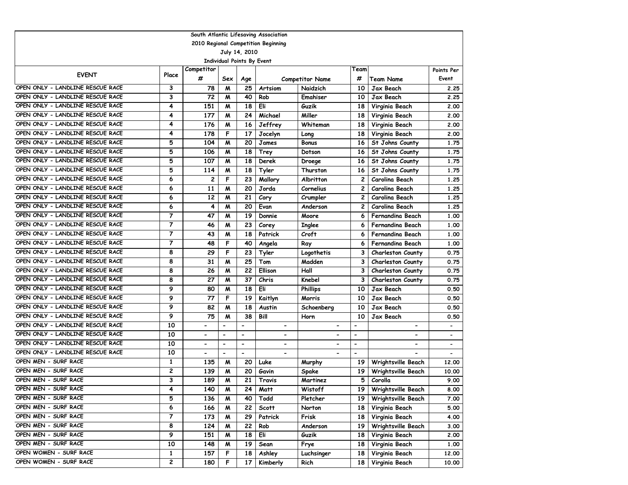|                                  | South Atlantic Lifesaving Association |                          |                              |                          |                                     |                              |                          |                          |                          |  |  |  |
|----------------------------------|---------------------------------------|--------------------------|------------------------------|--------------------------|-------------------------------------|------------------------------|--------------------------|--------------------------|--------------------------|--|--|--|
|                                  |                                       |                          |                              |                          | 2010 Regional Competition Beginning |                              |                          |                          |                          |  |  |  |
|                                  | July 14, 2010                         |                          |                              |                          |                                     |                              |                          |                          |                          |  |  |  |
| Individual Points By Event       |                                       |                          |                              |                          |                                     |                              |                          |                          |                          |  |  |  |
| <b>EVENT</b>                     | Place                                 | Competitor               |                              |                          |                                     |                              | Team                     |                          | Points Per               |  |  |  |
|                                  |                                       | #                        | Sex                          | Age                      |                                     | <b>Competitor Name</b>       | #                        | Team Name                | Event                    |  |  |  |
| OPEN ONLY - LANDLINE RESCUE RACE | 3                                     | 78                       | M                            | 25                       | <b>Artsiom</b>                      | Naidzich                     | 10                       | Jax Beach                | 2.25                     |  |  |  |
| OPEN ONLY - LANDLINE RESCUE RACE | 3                                     | 72                       | M                            | 40                       | Rob                                 | Emahiser                     | 10                       | Jax Beach                | 2.25                     |  |  |  |
| OPEN ONLY - LANDLINE RESCUE RACE | 4                                     | 151                      | M                            | 18                       | Eli                                 | Guzik                        | 18                       | Virginia Beach           | 2.00                     |  |  |  |
| OPEN ONLY - LANDLINE RESCUE RACE | 4                                     | 177                      | M                            | 24                       | Michael                             | Miller                       | 18                       | Virginia Beach           | 2.00                     |  |  |  |
| OPEN ONLY - LANDLINE RESCUE RACE | 4                                     | 176                      | $\boldsymbol{M}$             | 16                       | Jeffrey                             | Whiteman                     | 18                       | Virginia Beach           | 2.00                     |  |  |  |
| OPEN ONLY - LANDLINE RESCUE RACE | 4                                     | 178                      | F                            | 17                       | Jocelyn                             | Long                         | 18                       | Virginia Beach           | 2.00                     |  |  |  |
| OPEN ONLY - LANDLINE RESCUE RACE | 5                                     | 104                      | M                            | 20                       | James                               | <b>Bonus</b>                 | 16                       | St Johns County          | 1.75                     |  |  |  |
| OPEN ONLY - LANDLINE RESCUE RACE | 5                                     | 106                      | M                            | 18                       | Trey                                | Dotson                       | 16                       | St Johns County          | 1.75                     |  |  |  |
| OPEN ONLY - LANDLINE RESCUE RACE | 5                                     | 107                      | M                            | 18                       | Derek                               | Droege                       | 16                       | St Johns County          | 1.75                     |  |  |  |
| OPEN ONLY - LANDLINE RESCUE RACE | 5                                     | 114                      | M                            | 18                       | Tyler                               | Thurston                     | 16                       | St Johns County          | 1.75                     |  |  |  |
| OPEN ONLY - LANDLINE RESCUE RACE | 6                                     | 2                        | F                            | 23                       | Mallory                             | Albritton                    | $\overline{c}$           | Carolina Beach           | 1.25                     |  |  |  |
| OPEN ONLY - LANDLINE RESCUE RACE | 6                                     | 11                       | M                            | 20                       | Jorda                               | Cornelius                    | $\overline{c}$           | Carolina Beach           | 1.25                     |  |  |  |
| OPEN ONLY - LANDLINE RESCUE RACE | 6                                     | 12                       | M                            | 21                       | Cory                                | Crumpler                     | $\overline{c}$           | Carolina Beach           | 1.25                     |  |  |  |
| OPEN ONLY - LANDLINE RESCUE RACE | 6                                     | 4                        | M                            | 20                       | Evan                                | Anderson                     | 2                        | Carolina Beach           | 1.25                     |  |  |  |
| OPEN ONLY - LANDLINE RESCUE RACE | 7                                     | 47                       | M                            | 19                       | Donnie                              | Moore                        | 6                        | Fernandina Beach         | 1.00                     |  |  |  |
| OPEN ONLY - LANDLINE RESCUE RACE | 7                                     | 46                       | M                            | 23                       | Corey                               | <b>Inglee</b>                | 6                        | <b>Fernandina Beach</b>  | 1.00                     |  |  |  |
| OPEN ONLY - LANDLINE RESCUE RACE | $\overline{7}$                        | 43                       | $\boldsymbol{M}$             | 18                       | Patrick                             | Croft                        | 6                        | <b>Fernandina Beach</b>  | 1.00                     |  |  |  |
| OPEN ONLY - LANDLINE RESCUE RACE | 7                                     | 48                       | F                            | 40                       | Angela                              | Ray                          | 6                        | Fernandina Beach         | 1.00                     |  |  |  |
| OPEN ONLY - LANDLINE RESCUE RACE | 8                                     | 29                       | F                            | 23                       | Tyler                               | Logothetis                   | 3                        | Charleston County        | 0.75                     |  |  |  |
| OPEN ONLY - LANDLINE RESCUE RACE | 8                                     | 31                       | M                            | 25                       | Tom                                 | Madden                       | 3                        | Charleston County        | 0.75                     |  |  |  |
| OPEN ONLY - LANDLINE RESCUE RACE | 8                                     | 26                       | M                            | 22                       | <b>Ellison</b>                      | Hall                         | 3                        | Charleston County        | 0.75                     |  |  |  |
| OPEN ONLY - LANDLINE RESCUE RACE | 8                                     | 27                       | $\boldsymbol{M}$             | 37                       | Chris                               | Knebel                       | 3                        | <b>Charleston County</b> | 0.75                     |  |  |  |
| OPEN ONLY - LANDLINE RESCUE RACE | 9                                     | 80                       | M                            | 18                       | Eli                                 | <b>Phillips</b>              | 10                       | <b>Jax Beach</b>         | 0.50                     |  |  |  |
| OPEN ONLY - LANDLINE RESCUE RACE | 9                                     | 77                       | F                            | 19                       | Kaitlyn                             | Morris                       | 10                       | Jax Beach                | 0.50                     |  |  |  |
| OPEN ONLY - LANDLINE RESCUE RACE | 9                                     | 82                       | $\boldsymbol{M}$             | 18                       | Austin                              | Schoenberg                   | 10                       | Jax Beach                | 0.50                     |  |  |  |
| OPEN ONLY - LANDLINE RESCUE RACE | 9                                     | 75                       | M                            | 38                       | Bill                                | Horn                         | 10                       | Jax Beach                | 0.50                     |  |  |  |
| OPEN ONLY - LANDLINE RESCUE RACE | 10                                    |                          | $\qquad \qquad \blacksquare$ | $\overline{a}$           | $\overline{\phantom{a}}$            | $\overline{\phantom{a}}$     | $\overline{\phantom{a}}$ | $\overline{\phantom{0}}$ |                          |  |  |  |
| OPEN ONLY - LANDLINE RESCUE RACE | 10                                    | $\overline{\phantom{a}}$ | $\qquad \qquad \blacksquare$ | $\overline{\phantom{a}}$ | $\overline{\phantom{a}}$            | $\qquad \qquad \blacksquare$ | $\overline{\phantom{a}}$ | -                        | $\overline{\phantom{a}}$ |  |  |  |
| OPEN ONLY - LANDLINE RESCUE RACE | 10                                    |                          | $\overline{\phantom{0}}$     | $\blacksquare$           |                                     | $\overline{\phantom{0}}$     | $\overline{\phantom{a}}$ | $\overline{\phantom{0}}$ |                          |  |  |  |
| OPEN ONLY - LANDLINE RESCUE RACE | 10                                    | $\blacksquare$           | $\overline{\phantom{a}}$     | $\overline{\phantom{a}}$ | $\blacksquare$                      | $\overline{\phantom{0}}$     | $\overline{\phantom{a}}$ | $\overline{\phantom{0}}$ | $\overline{\phantom{a}}$ |  |  |  |
| OPEN MEN - SURF RACE             | $\mathbf{1}$                          | 135                      | M                            | 20                       | Luke                                | Murphy                       | 19                       | Wrightsville Beach       | 12,00                    |  |  |  |
| OPEN MEN - SURF RACE             | 2                                     | 139                      | M                            | 20                       | Gavin                               | Spake                        | 19                       | Wrightsville Beach       | 10.00                    |  |  |  |
| OPEN MEN - SURF RACE             | 3                                     | 189                      | $\boldsymbol{M}$             | 21                       | Travis                              | Martinez                     | 5                        | Corolla                  | 9.00                     |  |  |  |
| OPEN MEN - SURF RACE             | 4                                     | 140                      | M                            | 24                       | Matt                                | <b>Wistoff</b>               | 19                       | Wrightsville Beach       | 8.00                     |  |  |  |
| OPEN MEN - SURF RACE             | 5                                     | 136                      | M                            | 40                       | Todd                                | Pletcher                     | 19                       | Wrightsville Beach       | 7.00                     |  |  |  |
| OPEN MEN - SURF RACE             | 6                                     | 166                      | M                            | 22                       | Scott                               | Norton                       | 18                       | Virginia Beach           | 5.00                     |  |  |  |
| OPEN MEN - SURF RACE             | 7                                     | 173                      | M                            | 29                       | Patrick                             | Frisk                        | 18                       | Virginia Beach           | 4.00                     |  |  |  |
| OPEN MEN - SURF RACE             | 8                                     | 124                      | M                            | 22                       | Rob                                 | Anderson                     | 19                       | Wrightsville Beach       | 3.00                     |  |  |  |
| OPEN MEN - SURF RACE             | 9                                     | 151                      | M                            | 18                       | Eli                                 | Guzik                        | 18                       | Virginia Beach           | 2.00                     |  |  |  |
| OPEN MEN - SURF RACE             | 10                                    | 148                      | M                            | 19                       | Sean                                | Frye                         | 18                       | Virginia Beach           | 1.00                     |  |  |  |
| OPEN WOMEN - SURF RACE           | $\mathbf{1}$                          | 157                      | F                            | 18                       | Ashley                              | Luchsinger                   | 18                       | Virginia Beach           | 12.00                    |  |  |  |
| OPEN WOMEN - SURF RACE           | 2                                     | 180                      | F                            | 17                       | Kimberly                            | Rich                         | 18                       | Virginia Beach           | 10.00                    |  |  |  |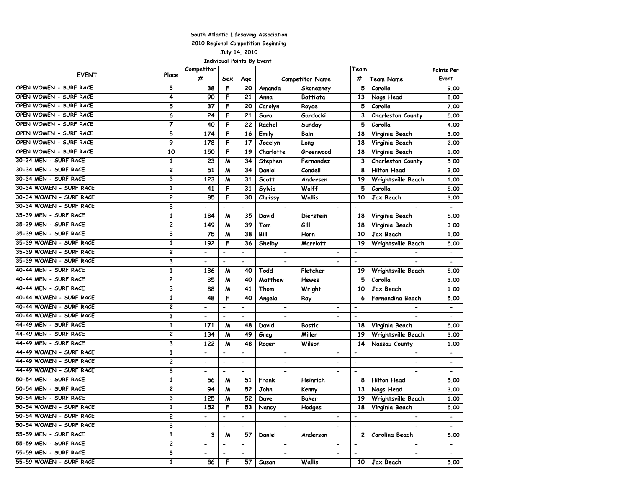|                         | South Atlantic Lifesaving Association |                              |                              |                          |                                     |                              |                          |                          |                          |  |  |  |
|-------------------------|---------------------------------------|------------------------------|------------------------------|--------------------------|-------------------------------------|------------------------------|--------------------------|--------------------------|--------------------------|--|--|--|
|                         |                                       |                              |                              |                          | 2010 Regional Competition Beginning |                              |                          |                          |                          |  |  |  |
|                         |                                       |                              |                              | July 14, 2010            |                                     |                              |                          |                          |                          |  |  |  |
|                         | <b>Individual Points By Event</b>     |                              |                              |                          |                                     |                              |                          |                          |                          |  |  |  |
| <b>EVENT</b>            | Place                                 | Competitor                   |                              |                          |                                     |                              | Team                     |                          | Points Per               |  |  |  |
|                         |                                       | #                            | Sex                          | Age                      |                                     | <b>Competitor Name</b>       | #                        | <b>Team Name</b>         | Event                    |  |  |  |
| OPEN WOMEN - SURF RACE  | 3                                     | 38                           | F                            | 20                       | Amanda                              | Skonezney                    | 5                        | Corolla                  | 9.00                     |  |  |  |
| OPEN WOMEN - SURF RACE  | 4                                     | 90                           | F                            | 21                       | Anna                                | <b>Battiata</b>              | 13                       | Nags Head                | 8.00                     |  |  |  |
| OPEN WOMEN - SURF RACE  | 5                                     | 37                           | F                            | 20                       | Carolyn                             | Royce                        | 5                        | Corolla                  | 7.00                     |  |  |  |
| OPEN WOMEN - SURF RACE  | 6                                     | 24                           | F                            | 21                       | Sara                                | Gardocki                     | 3                        | Charleston County        | 5.00                     |  |  |  |
| OPEN WOMEN - SURF RACE  | $\overline{7}$                        | 40                           | F                            | 22                       | Rachel                              | Sunday                       | 5                        | Corolla                  | 4.00                     |  |  |  |
| OPEN WOMEN - SURF RACE  | 8                                     | 174                          | F                            | 16                       | Emily                               | Bain                         | 18                       | Virginia Beach           | 3.00                     |  |  |  |
| OPEN WOMEN - SURF RACE  | 9                                     | 178                          | F                            | 17                       | Jocelyn                             | Long                         | 18                       | Virginia Beach           | 2.00                     |  |  |  |
| OPEN WOMEN - SURF RACE  | 10                                    | 150                          | F                            | 19                       | Charlotte                           | Greenwood                    | 18                       | Virginia Beach           | 1.00                     |  |  |  |
| 30-34 MEN - SURF RACE   | $\mathbf{1}$                          | 23                           | M                            | 34                       | Stephen                             | Fernandez                    | 3                        | Charleston County        | 5.00                     |  |  |  |
| 30-34 MEN - SURF RACE   | 2                                     | 51                           | M                            | 34                       | Daniel                              | Condell                      | 8                        | <b>Hilton Head</b>       | 3.00                     |  |  |  |
| 30-34 MEN - SURF RACE   | 3                                     | 123                          | M                            | 31                       | Scott                               | Andersen                     | 19                       | Wrightsville Beach       | 1.00                     |  |  |  |
| 30-34 WOMEN - SURF RACE | $\mathbf{1}$                          | 41                           | F                            | 31                       | Sylvia                              | Wolff                        | 5                        | Corolla                  | 5.00                     |  |  |  |
| 30-34 WOMEN - SURF RACE | 2                                     | 85                           | F                            | 30                       | Chrissy                             | <b>Wallis</b>                | 10                       | Jax Beach                | 3.00                     |  |  |  |
| 30-34 WOMEN - SURF RACE | 3                                     |                              | $\hbox{\small -}$            |                          | $\overline{\phantom{a}}$            |                              | $\blacksquare$           | $\overline{\phantom{a}}$ |                          |  |  |  |
| 35-39 MEN - SURF RACE   | 1                                     | 184                          | M                            | 35                       | David                               | <b>Dierstein</b>             | 18                       | Virginia Beach           | 5.00                     |  |  |  |
| 35-39 MEN - SURF RACE   | 2                                     | 149                          | M                            | 39                       | Tom                                 | Gill                         | 18                       | Virginia Beach           | 3.00                     |  |  |  |
| 35-39 MEN - SURF RACE   | 3                                     | 75                           | M                            | 38                       | Bill                                | Horn                         | 10                       | Jax Beach                | 1.00                     |  |  |  |
| 35-39 WOMEN - SURF RACE | $\mathbf 1$                           | 192                          | F                            | 36                       | Shelby                              | Marriott                     | 19                       | Wrightsville Beach       | 5.00                     |  |  |  |
| 35-39 WOMEN - SURF RACE | $\overline{\mathbf{c}}$               | $\overline{\phantom{0}}$     | $\overline{\phantom{a}}$     | $\overline{a}$           |                                     |                              |                          |                          | $\overline{\phantom{a}}$ |  |  |  |
| 35-39 WOMEN - SURF RACE | 3                                     |                              | $\overline{\phantom{a}}$     | $\overline{\phantom{a}}$ |                                     |                              | $\hbox{\small -}$        |                          |                          |  |  |  |
| 40-44 MEN - SURF RACE   | 1                                     | 136                          | M                            | 40                       | Todd                                | Pletcher                     | 19                       | Wrightsville Beach       | 5.00                     |  |  |  |
| 40-44 MEN - SURF RACE   | $\overline{c}$                        | 35                           | M                            | 40                       | Matthew                             | <b>Hewes</b>                 | 5                        | Corolla                  | 3.00                     |  |  |  |
| 40-44 MEN - SURF RACE   | 3                                     | 88                           | M                            | 41                       | Thom                                | Wright                       | 10                       | <b>Jax Beach</b>         | 1.00                     |  |  |  |
| 40-44 WOMEN - SURF RACE | $\mathbf{1}$                          | 48                           | F                            | 40                       | Angela                              | Ray                          | 6                        | Fernandina Beach         | 5.00                     |  |  |  |
| 40-44 WOMEN - SURF RACE | $\overline{\mathbf{c}}$               | $\overline{\phantom{0}}$     | $\overline{\phantom{m}}$     | $\overline{\phantom{a}}$ | $\blacksquare$                      | $\qquad \qquad \blacksquare$ | $\blacksquare$           | $\overline{\phantom{0}}$ | $\hbox{\small -}$        |  |  |  |
| 40-44 WOMEN - SURF RACE | 3                                     | $\qquad \qquad \blacksquare$ | $\overline{\phantom{a}}$     | $\overline{\phantom{a}}$ | $\overline{\phantom{a}}$            |                              | $\hbox{\small -}$        |                          | $\blacksquare$           |  |  |  |
| 44-49 MEN - SURF RACE   | 1                                     | 171                          | M                            | 48                       | David                               | <b>Bostic</b>                | 18                       | Virginia Beach           | 5.00                     |  |  |  |
| 44-49 MEN - SURF RACE   | 2                                     | 134                          | M                            | 49                       | Greg                                | Miller                       | 19                       | Wrightsville Beach       | 3.00                     |  |  |  |
| 44-49 MEN - SURF RACE   | 3                                     | 122                          | M                            | 48                       | Roger                               | Wilson                       | 14                       | Nassau County            | 1.00                     |  |  |  |
| 44-49 WOMEN - SURF RACE | $\mathbf{1}$                          | $\overline{\phantom{0}}$     | $\blacksquare$               | $\blacksquare$           | $\overline{\phantom{a}}$            | $\overline{\phantom{a}}$     | $\overline{\phantom{a}}$ | $\overline{\phantom{a}}$ | $\overline{\phantom{a}}$ |  |  |  |
| 44-49 WOMEN - SURF RACE | $\overline{\mathbf{c}}$               | $\overline{\phantom{0}}$     | $\blacksquare$               | $\blacksquare$           | $\overline{\phantom{0}}$            | $\overline{\phantom{0}}$     | $\blacksquare$           | $\overline{\phantom{0}}$ |                          |  |  |  |
| 44-49 WOMEN - SURF RACE | 3                                     | $\qquad \qquad \blacksquare$ | $\overline{\phantom{a}}$     | $\overline{\phantom{a}}$ | $\qquad \qquad \blacksquare$        | $\overline{\phantom{0}}$     | $\blacksquare$           | $\overline{\phantom{0}}$ | $\overline{\phantom{a}}$ |  |  |  |
| 50-54 MEN - SURF RACE   | $\mathbf{1}$                          | 56                           | M                            | 51                       | Frank                               | Heinrich                     | 8                        | <b>Hilton Head</b>       | 5.00                     |  |  |  |
| 50-54 MEN - SURF RACE   | 2                                     | 94                           | M                            | 52                       | John                                | Kenny                        | 13                       | Nags Head                | 3.00                     |  |  |  |
| 50-54 MEN - SURF RACE   | 3                                     | 125                          | M                            | 52                       | Dave                                | Baker                        | 19                       | Wrightsville Beach       | 1.00                     |  |  |  |
| 50-54 WOMEN - SURF RACE | $\mathbf{1}$                          | 152                          | F                            | 53                       | Nancy                               | Hodges                       | 18                       | Virginia Beach           | 5.00                     |  |  |  |
| 50-54 WOMEN - SURF RACE | 2                                     | $\overline{\phantom{0}}$     | $\qquad \qquad \blacksquare$ | $\blacksquare$           | $\blacksquare$                      | $\blacksquare$               | $\blacksquare$           | $\blacksquare$           | $\blacksquare$           |  |  |  |
| 50-54 WOMEN - SURF RACE | 3                                     | $\overline{\phantom{0}}$     | $\overline{\phantom{m}}$     | $\overline{\phantom{a}}$ | $\overline{\phantom{0}}$            |                              | $\overline{\phantom{a}}$ | $\blacksquare$           | $\overline{\phantom{a}}$ |  |  |  |
| 55-59 MEN - SURF RACE   | $\mathbf{1}$                          | 3                            | M                            | 57                       | Daniel                              | Anderson                     | $\mathbf{2}$             | Carolina Beach           | 5.00                     |  |  |  |
| 55-59 MEN - SURF RACE   | 2                                     | -                            | $\overline{\phantom{a}}$     | $\overline{\phantom{a}}$ | $\blacksquare$                      | $\blacksquare$               | $\overline{\phantom{a}}$ | ۰.                       | $\overline{\phantom{a}}$ |  |  |  |
| 55-59 MEN - SURF RACE   | 3                                     | $\qquad \qquad \blacksquare$ |                              | $\overline{\phantom{a}}$ | $\overline{\phantom{0}}$            | $\overline{\phantom{0}}$     | $\overline{\phantom{a}}$ | $\overline{\phantom{0}}$ | $\overline{\phantom{0}}$ |  |  |  |
| 55-59 WOMEN - SURF RACE | $\mathbf{1}$                          | 86                           | F                            | 57                       | Susan                               | Wallis                       | 10                       | Jax Beach                | 5.00                     |  |  |  |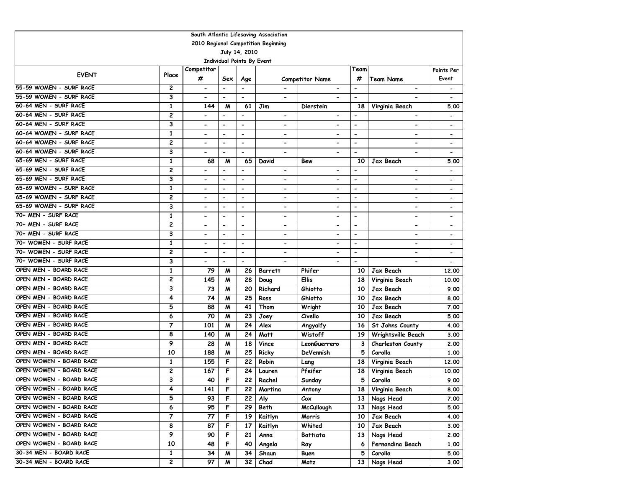| 2010 Regional Competition Beginning<br>July 14, 2010<br><b>Individual Points By Event</b><br>Competitor<br>Team<br>Points Per<br><b>EVENT</b><br>Place<br>#<br>#<br>Team Name<br>Event<br><b>Competitor Name</b><br>Sex<br>Age<br>55-59 WOMEN - SURF RACE<br>2<br>$\qquad \qquad \blacksquare$<br>-<br>55-59 WOMEN - SURF RACE<br>3<br>$\blacksquare$<br>$\overline{\phantom{a}}$<br>$\overline{\phantom{a}}$<br>$\blacksquare$<br>$\overline{\phantom{a}}$<br>60-64 MEN - SURF RACE<br>$\mathbf{1}$<br>144<br>M<br>61<br>Jim<br>18<br>Virginia Beach<br>5.00<br>Dierstein<br>60-64 MEN - SURF RACE<br>$\overline{c}$<br>$\overline{\phantom{a}}$<br>$\blacksquare$<br>$\blacksquare$<br>$\overline{\phantom{a}}$<br>$\overline{\phantom{0}}$<br>$\blacksquare$<br>$\overline{\phantom{a}}$<br>$\overline{\phantom{a}}$<br>60-64 MEN - SURF RACE<br>3<br>$\blacksquare$<br>$\overline{\phantom{a}}$<br>$\overline{\phantom{a}}$<br>$\overline{\phantom{a}}$<br>$\overline{\phantom{a}}$<br>$\overline{\phantom{0}}$<br>$\overline{\phantom{0}}$<br>$\overline{\phantom{0}}$<br>60-64 WOMEN - SURF RACE<br>1<br>$\overline{\phantom{a}}$<br>$\blacksquare$<br>$\overline{a}$<br>$\blacksquare$<br>$\blacksquare$<br>$\blacksquare$<br>$\blacksquare$<br>$\overline{\phantom{a}}$<br>60-64 WOMEN - SURF RACE<br>$\overline{c}$<br>$\hbox{\small -}$<br>$\overline{\phantom{a}}$<br>$\overline{\phantom{a}}$<br>$\hbox{\small -}$<br>$\overline{\phantom{a}}$<br>$\overline{\phantom{a}}$<br>$\overline{\phantom{a}}$<br>$\overline{\phantom{a}}$<br>60-64 WOMEN - SURF RACE<br>3<br>$\overline{\phantom{0}}$<br>$\overline{\phantom{a}}$<br>$\blacksquare$<br>$\overline{\phantom{a}}$<br>$\blacksquare$<br>$\overline{\phantom{a}}$<br>$\blacksquare$<br>65-69 MEN - SURF RACE<br>$\mathbf{1}$<br>68<br>M<br>65<br>10<br>Jax Beach<br>David<br>Bew<br>5.00<br>65-69 MEN - SURF RACE<br>$\overline{c}$<br>$\overline{\phantom{a}}$<br>$\overline{\phantom{a}}$<br>$\overline{\phantom{0}}$<br>$\overline{a}$<br>$\hbox{\small -}$<br>$\blacksquare$<br>$\overline{\phantom{0}}$<br>65-69 MEN - SURF RACE<br>3<br>$\hbox{\small -}$<br>$\hbox{\small -}$<br>$\overline{\phantom{a}}$<br>$\hbox{\small -}$<br>$\overline{\phantom{a}}$<br>$\overline{\phantom{a}}$<br>$\blacksquare$<br>$\overline{\phantom{a}}$<br>65-69 WOMEN - SURF RACE<br>$\mathbf{1}$<br>$\overline{\phantom{a}}$<br>$\overline{\phantom{a}}$<br>$\overline{a}$<br>$\overline{\phantom{a}}$<br>$\blacksquare$<br>$\overline{a}$<br>$\qquad \qquad \blacksquare$<br>$\overline{\phantom{a}}$<br>65-69 WOMEN - SURF RACE<br>2<br>$\overline{\phantom{a}}$<br>$\overline{\phantom{a}}$<br>$\overline{\phantom{a}}$<br>$\overline{\phantom{a}}$<br>$\overline{\phantom{a}}$<br>$\overline{\phantom{a}}$<br>$\overline{\phantom{a}}$<br>$\overline{\phantom{a}}$<br>65-69 WOMEN - SURF RACE<br>3<br>$\overline{\phantom{0}}$<br>$\overline{\phantom{0}}$<br>$\overline{\phantom{a}}$<br>$\blacksquare$<br>$\qquad \qquad \blacksquare$<br>$\overline{\phantom{a}}$<br>$\overline{\phantom{a}}$<br>$\overline{\phantom{a}}$<br>70+ MEN - SURF RACE<br>$\mathbf{1}$<br>$\overline{a}$<br>$\blacksquare$<br>$\blacksquare$<br>$\overline{\phantom{0}}$<br>$\blacksquare$<br>$\overline{\phantom{0}}$<br>$\qquad \qquad \blacksquare$<br>$\overline{c}$<br>70+ MEN - SURF RACE<br>$\overline{\phantom{a}}$<br>$\overline{a}$<br>$\blacksquare$<br>$\blacksquare$<br>$\blacksquare$<br>$\blacksquare$<br>$\blacksquare$<br>$\overline{\phantom{0}}$<br>70+ MEN - SURF RACE<br>3<br>$\overline{\phantom{a}}$<br>$\overline{\phantom{0}}$<br>$\overline{\phantom{0}}$<br>$\overline{\phantom{a}}$<br>$\blacksquare$<br>$\overline{\phantom{0}}$<br>$\overline{\phantom{0}}$<br>$\overline{\phantom{0}}$<br>70+ WOMEN - SURF RACE<br>$\mathbf{1}$<br>$\blacksquare$<br>$\overline{\phantom{a}}$<br>$\overline{\phantom{a}}$<br>$\overline{\phantom{a}}$<br>$\blacksquare$<br>$\blacksquare$<br>$\overline{\phantom{0}}$<br>$\qquad \qquad \blacksquare$<br>70+ WOMEN - SURF RACE<br>$\overline{c}$<br>$\overline{a}$<br>$\overline{\phantom{a}}$<br>$\overline{\phantom{a}}$<br>$\overline{\phantom{a}}$<br>70+ WOMEN - SURF RACE<br>3<br>$\overline{\phantom{a}}$<br>$\overline{\phantom{a}}$<br>$\qquad \qquad \blacksquare$<br>$\overline{\phantom{0}}$<br>-<br>OPEN MEN - BOARD RACE<br>1<br>79<br>Phifer<br>M<br>26<br>10<br>Jax Beach<br><b>Barrett</b><br>12,00<br>OPEN MEN - BOARD RACE<br>2<br>145<br>28<br>M<br><b>Ellis</b><br>18<br>Virginia Beach<br>10.00<br>Doug<br>OPEN MEN - BOARD RACE<br>3<br>73<br>Richard<br>Jax Beach<br>M<br>20<br>Ghiotto<br>10<br>9.00<br>OPEN MEN - BOARD RACE<br>4<br>74<br>25<br>Jax Beach<br>M<br>Ross<br>Ghiotto<br>10<br>8.00<br>OPEN MEN - BOARD RACE<br>5<br>Jax Beach<br>88<br>M<br>41<br>Thom<br>10<br>Wright<br>7.00<br>OPEN MEN - BOARD RACE<br>70<br>Jax Beach<br>6<br>23<br>Civello<br>10<br>M<br>Joey<br>5.00<br>OPEN MEN - BOARD RACE<br>$\overline{7}$<br>101<br>24<br>M<br>Alex<br>16<br>St Johns County<br>4.00<br>Angyalfy<br>OPEN MEN - BOARD RACE<br>8<br>Wistoff<br>140<br>M<br>24<br>Matt<br>19<br>Wrightsville Beach<br>3.00<br>9<br>OPEN MEN - BOARD RACE<br>28<br>$\boldsymbol{M}$<br>18<br>Vince<br>3<br>Charleston County<br>LeonGuerrero<br>2.00<br>OPEN MEN - BOARD RACE<br>10<br>188<br>$\boldsymbol{M}$<br>25<br>5<br>Ricky<br>DeVennish<br>Corolla<br>1.00<br>OPEN WOMEN - BOARD RACE<br>1<br>F<br>22<br>155<br>Robin<br>Virginia Beach<br>18<br>12,00<br>Lang<br>OPEN WOMEN - BOARD RACE<br>$\overline{c}$<br>F<br>Pfeifer<br>167<br>24<br>Virginia Beach<br>Lauren<br>18<br>10.00<br>OPEN WOMEN - BOARD RACE<br>3<br>40<br>F<br>5<br>22<br>Corolla<br>Rachel<br>9.00<br>Sunday<br>OPEN WOMEN - BOARD RACE<br>141<br>F<br>Virginia Beach<br>4<br>Martina<br>8.00<br>22<br>Antony<br>18 I<br>5<br>F<br>OPEN WOMEN - BOARD RACE<br>93<br>22<br>Aly<br>13<br>Nags Head<br>7.00<br>$\mathcal{C}$ ox<br>OPEN WOMEN - BOARD RACE<br>6<br>95<br>F<br>29<br>Beth<br><b>McCullough</b><br>13<br>Nags Head<br>5.00<br>OPEN WOMEN - BOARD RACE<br>7<br>F<br>77<br>19<br>Kaitlyn<br>Jax Beach<br>4.00<br>Morris<br>10<br>OPEN WOMEN - BOARD RACE<br>8<br>F<br>17<br>Kaitlyn<br>Whited<br>Jax Beach<br>87<br>10<br>3.00<br>OPEN WOMEN - BOARD RACE<br>9<br>Nags Head<br>90<br>F<br>21<br>Anna<br>Battiata<br>2.00<br>13 <sup>1</sup><br>OPEN WOMEN - BOARD RACE<br>10<br>F<br>48<br>40<br>Fernandina Beach<br>Angela<br>1.00<br>Ray<br>6<br>30-34 MEN - BOARD RACE<br>$\mathbf{1}$<br>34<br>34<br>5<br>Corolla<br>M<br>Shaun<br>5.00<br>Buen<br>30-34 MEN - BOARD RACE<br>2<br>97<br>32<br>Chad<br>Nags Head<br>M<br>Motz<br>13<br>3.00 |  | South Atlantic Lifesaving Association |  |  |  |  |  |  |  |  |  |  |  |
|-------------------------------------------------------------------------------------------------------------------------------------------------------------------------------------------------------------------------------------------------------------------------------------------------------------------------------------------------------------------------------------------------------------------------------------------------------------------------------------------------------------------------------------------------------------------------------------------------------------------------------------------------------------------------------------------------------------------------------------------------------------------------------------------------------------------------------------------------------------------------------------------------------------------------------------------------------------------------------------------------------------------------------------------------------------------------------------------------------------------------------------------------------------------------------------------------------------------------------------------------------------------------------------------------------------------------------------------------------------------------------------------------------------------------------------------------------------------------------------------------------------------------------------------------------------------------------------------------------------------------------------------------------------------------------------------------------------------------------------------------------------------------------------------------------------------------------------------------------------------------------------------------------------------------------------------------------------------------------------------------------------------------------------------------------------------------------------------------------------------------------------------------------------------------------------------------------------------------------------------------------------------------------------------------------------------------------------------------------------------------------------------------------------------------------------------------------------------------------------------------------------------------------------------------------------------------------------------------------------------------------------------------------------------------------------------------------------------------------------------------------------------------------------------------------------------------------------------------------------------------------------------------------------------------------------------------------------------------------------------------------------------------------------------------------------------------------------------------------------------------------------------------------------------------------------------------------------------------------------------------------------------------------------------------------------------------------------------------------------------------------------------------------------------------------------------------------------------------------------------------------------------------------------------------------------------------------------------------------------------------------------------------------------------------------------------------------------------------------------------------------------------------------------------------------------------------------------------------------------------------------------------------------------------------------------------------------------------------------------------------------------------------------------------------------------------------------------------------------------------------------------------------------------------------------------------------------------------------------------------------------------------------------------------------------------------------------------------------------------------------------------------------------------------------------------------------------------------------------------------------------------------------------------------------------------------------------------------------------------------------------------------------------------------------------------------------------------------------------------------------------------------------------------------------------------------------------------------------------------------------------------------------------------------------------------------------------------------------------------------------------------------------------------------------------------------------------------------------------------------------------------------------------------------------------------------------------------------------------------------------------------------------------------------------------------------------------------------------------------------------------------------------------------------------------------------------------------------------------------------------------------------------------------------------------------------------------------------------------------------------------------------------------------------------------------------------------------------------------------------------------------------------------------------------------------------------------------------------------------------------------------------------------------------------------------------------------------------------------------------------------------------------------------------------------------------------------------------------------------------------------------------------------------------------------------------------------------------------------------------------------------------------------------------------------------------------------------------------------------------------------------------------------------------------------------------------------------------------------------------------------------------------------------------------------------------------------------------------------------------------------------------------------------|--|---------------------------------------|--|--|--|--|--|--|--|--|--|--|--|
|                                                                                                                                                                                                                                                                                                                                                                                                                                                                                                                                                                                                                                                                                                                                                                                                                                                                                                                                                                                                                                                                                                                                                                                                                                                                                                                                                                                                                                                                                                                                                                                                                                                                                                                                                                                                                                                                                                                                                                                                                                                                                                                                                                                                                                                                                                                                                                                                                                                                                                                                                                                                                                                                                                                                                                                                                                                                                                                                                                                                                                                                                                                                                                                                                                                                                                                                                                                                                                                                                                                                                                                                                                                                                                                                                                                                                                                                                                                                                                                                                                                                                                                                                                                                                                                                                                                                                                                                                                                                                                                                                                                                                                                                                                                                                                                                                                                                                                                                                                                                                                                                                                                                                                                                                                                                                                                                                                                                                                                                                                                                                                                                                                                                                                                                                                                                                                                                                                                                                                                                                                                                                                                                                                                                                                                                                                                                                                                                                                                                                                                                                                                                                                                             |  |                                       |  |  |  |  |  |  |  |  |  |  |  |
|                                                                                                                                                                                                                                                                                                                                                                                                                                                                                                                                                                                                                                                                                                                                                                                                                                                                                                                                                                                                                                                                                                                                                                                                                                                                                                                                                                                                                                                                                                                                                                                                                                                                                                                                                                                                                                                                                                                                                                                                                                                                                                                                                                                                                                                                                                                                                                                                                                                                                                                                                                                                                                                                                                                                                                                                                                                                                                                                                                                                                                                                                                                                                                                                                                                                                                                                                                                                                                                                                                                                                                                                                                                                                                                                                                                                                                                                                                                                                                                                                                                                                                                                                                                                                                                                                                                                                                                                                                                                                                                                                                                                                                                                                                                                                                                                                                                                                                                                                                                                                                                                                                                                                                                                                                                                                                                                                                                                                                                                                                                                                                                                                                                                                                                                                                                                                                                                                                                                                                                                                                                                                                                                                                                                                                                                                                                                                                                                                                                                                                                                                                                                                                                             |  |                                       |  |  |  |  |  |  |  |  |  |  |  |
|                                                                                                                                                                                                                                                                                                                                                                                                                                                                                                                                                                                                                                                                                                                                                                                                                                                                                                                                                                                                                                                                                                                                                                                                                                                                                                                                                                                                                                                                                                                                                                                                                                                                                                                                                                                                                                                                                                                                                                                                                                                                                                                                                                                                                                                                                                                                                                                                                                                                                                                                                                                                                                                                                                                                                                                                                                                                                                                                                                                                                                                                                                                                                                                                                                                                                                                                                                                                                                                                                                                                                                                                                                                                                                                                                                                                                                                                                                                                                                                                                                                                                                                                                                                                                                                                                                                                                                                                                                                                                                                                                                                                                                                                                                                                                                                                                                                                                                                                                                                                                                                                                                                                                                                                                                                                                                                                                                                                                                                                                                                                                                                                                                                                                                                                                                                                                                                                                                                                                                                                                                                                                                                                                                                                                                                                                                                                                                                                                                                                                                                                                                                                                                                             |  |                                       |  |  |  |  |  |  |  |  |  |  |  |
|                                                                                                                                                                                                                                                                                                                                                                                                                                                                                                                                                                                                                                                                                                                                                                                                                                                                                                                                                                                                                                                                                                                                                                                                                                                                                                                                                                                                                                                                                                                                                                                                                                                                                                                                                                                                                                                                                                                                                                                                                                                                                                                                                                                                                                                                                                                                                                                                                                                                                                                                                                                                                                                                                                                                                                                                                                                                                                                                                                                                                                                                                                                                                                                                                                                                                                                                                                                                                                                                                                                                                                                                                                                                                                                                                                                                                                                                                                                                                                                                                                                                                                                                                                                                                                                                                                                                                                                                                                                                                                                                                                                                                                                                                                                                                                                                                                                                                                                                                                                                                                                                                                                                                                                                                                                                                                                                                                                                                                                                                                                                                                                                                                                                                                                                                                                                                                                                                                                                                                                                                                                                                                                                                                                                                                                                                                                                                                                                                                                                                                                                                                                                                                                             |  |                                       |  |  |  |  |  |  |  |  |  |  |  |
|                                                                                                                                                                                                                                                                                                                                                                                                                                                                                                                                                                                                                                                                                                                                                                                                                                                                                                                                                                                                                                                                                                                                                                                                                                                                                                                                                                                                                                                                                                                                                                                                                                                                                                                                                                                                                                                                                                                                                                                                                                                                                                                                                                                                                                                                                                                                                                                                                                                                                                                                                                                                                                                                                                                                                                                                                                                                                                                                                                                                                                                                                                                                                                                                                                                                                                                                                                                                                                                                                                                                                                                                                                                                                                                                                                                                                                                                                                                                                                                                                                                                                                                                                                                                                                                                                                                                                                                                                                                                                                                                                                                                                                                                                                                                                                                                                                                                                                                                                                                                                                                                                                                                                                                                                                                                                                                                                                                                                                                                                                                                                                                                                                                                                                                                                                                                                                                                                                                                                                                                                                                                                                                                                                                                                                                                                                                                                                                                                                                                                                                                                                                                                                                             |  |                                       |  |  |  |  |  |  |  |  |  |  |  |
|                                                                                                                                                                                                                                                                                                                                                                                                                                                                                                                                                                                                                                                                                                                                                                                                                                                                                                                                                                                                                                                                                                                                                                                                                                                                                                                                                                                                                                                                                                                                                                                                                                                                                                                                                                                                                                                                                                                                                                                                                                                                                                                                                                                                                                                                                                                                                                                                                                                                                                                                                                                                                                                                                                                                                                                                                                                                                                                                                                                                                                                                                                                                                                                                                                                                                                                                                                                                                                                                                                                                                                                                                                                                                                                                                                                                                                                                                                                                                                                                                                                                                                                                                                                                                                                                                                                                                                                                                                                                                                                                                                                                                                                                                                                                                                                                                                                                                                                                                                                                                                                                                                                                                                                                                                                                                                                                                                                                                                                                                                                                                                                                                                                                                                                                                                                                                                                                                                                                                                                                                                                                                                                                                                                                                                                                                                                                                                                                                                                                                                                                                                                                                                                             |  |                                       |  |  |  |  |  |  |  |  |  |  |  |
|                                                                                                                                                                                                                                                                                                                                                                                                                                                                                                                                                                                                                                                                                                                                                                                                                                                                                                                                                                                                                                                                                                                                                                                                                                                                                                                                                                                                                                                                                                                                                                                                                                                                                                                                                                                                                                                                                                                                                                                                                                                                                                                                                                                                                                                                                                                                                                                                                                                                                                                                                                                                                                                                                                                                                                                                                                                                                                                                                                                                                                                                                                                                                                                                                                                                                                                                                                                                                                                                                                                                                                                                                                                                                                                                                                                                                                                                                                                                                                                                                                                                                                                                                                                                                                                                                                                                                                                                                                                                                                                                                                                                                                                                                                                                                                                                                                                                                                                                                                                                                                                                                                                                                                                                                                                                                                                                                                                                                                                                                                                                                                                                                                                                                                                                                                                                                                                                                                                                                                                                                                                                                                                                                                                                                                                                                                                                                                                                                                                                                                                                                                                                                                                             |  |                                       |  |  |  |  |  |  |  |  |  |  |  |
|                                                                                                                                                                                                                                                                                                                                                                                                                                                                                                                                                                                                                                                                                                                                                                                                                                                                                                                                                                                                                                                                                                                                                                                                                                                                                                                                                                                                                                                                                                                                                                                                                                                                                                                                                                                                                                                                                                                                                                                                                                                                                                                                                                                                                                                                                                                                                                                                                                                                                                                                                                                                                                                                                                                                                                                                                                                                                                                                                                                                                                                                                                                                                                                                                                                                                                                                                                                                                                                                                                                                                                                                                                                                                                                                                                                                                                                                                                                                                                                                                                                                                                                                                                                                                                                                                                                                                                                                                                                                                                                                                                                                                                                                                                                                                                                                                                                                                                                                                                                                                                                                                                                                                                                                                                                                                                                                                                                                                                                                                                                                                                                                                                                                                                                                                                                                                                                                                                                                                                                                                                                                                                                                                                                                                                                                                                                                                                                                                                                                                                                                                                                                                                                             |  |                                       |  |  |  |  |  |  |  |  |  |  |  |
|                                                                                                                                                                                                                                                                                                                                                                                                                                                                                                                                                                                                                                                                                                                                                                                                                                                                                                                                                                                                                                                                                                                                                                                                                                                                                                                                                                                                                                                                                                                                                                                                                                                                                                                                                                                                                                                                                                                                                                                                                                                                                                                                                                                                                                                                                                                                                                                                                                                                                                                                                                                                                                                                                                                                                                                                                                                                                                                                                                                                                                                                                                                                                                                                                                                                                                                                                                                                                                                                                                                                                                                                                                                                                                                                                                                                                                                                                                                                                                                                                                                                                                                                                                                                                                                                                                                                                                                                                                                                                                                                                                                                                                                                                                                                                                                                                                                                                                                                                                                                                                                                                                                                                                                                                                                                                                                                                                                                                                                                                                                                                                                                                                                                                                                                                                                                                                                                                                                                                                                                                                                                                                                                                                                                                                                                                                                                                                                                                                                                                                                                                                                                                                                             |  |                                       |  |  |  |  |  |  |  |  |  |  |  |
|                                                                                                                                                                                                                                                                                                                                                                                                                                                                                                                                                                                                                                                                                                                                                                                                                                                                                                                                                                                                                                                                                                                                                                                                                                                                                                                                                                                                                                                                                                                                                                                                                                                                                                                                                                                                                                                                                                                                                                                                                                                                                                                                                                                                                                                                                                                                                                                                                                                                                                                                                                                                                                                                                                                                                                                                                                                                                                                                                                                                                                                                                                                                                                                                                                                                                                                                                                                                                                                                                                                                                                                                                                                                                                                                                                                                                                                                                                                                                                                                                                                                                                                                                                                                                                                                                                                                                                                                                                                                                                                                                                                                                                                                                                                                                                                                                                                                                                                                                                                                                                                                                                                                                                                                                                                                                                                                                                                                                                                                                                                                                                                                                                                                                                                                                                                                                                                                                                                                                                                                                                                                                                                                                                                                                                                                                                                                                                                                                                                                                                                                                                                                                                                             |  |                                       |  |  |  |  |  |  |  |  |  |  |  |
|                                                                                                                                                                                                                                                                                                                                                                                                                                                                                                                                                                                                                                                                                                                                                                                                                                                                                                                                                                                                                                                                                                                                                                                                                                                                                                                                                                                                                                                                                                                                                                                                                                                                                                                                                                                                                                                                                                                                                                                                                                                                                                                                                                                                                                                                                                                                                                                                                                                                                                                                                                                                                                                                                                                                                                                                                                                                                                                                                                                                                                                                                                                                                                                                                                                                                                                                                                                                                                                                                                                                                                                                                                                                                                                                                                                                                                                                                                                                                                                                                                                                                                                                                                                                                                                                                                                                                                                                                                                                                                                                                                                                                                                                                                                                                                                                                                                                                                                                                                                                                                                                                                                                                                                                                                                                                                                                                                                                                                                                                                                                                                                                                                                                                                                                                                                                                                                                                                                                                                                                                                                                                                                                                                                                                                                                                                                                                                                                                                                                                                                                                                                                                                                             |  |                                       |  |  |  |  |  |  |  |  |  |  |  |
|                                                                                                                                                                                                                                                                                                                                                                                                                                                                                                                                                                                                                                                                                                                                                                                                                                                                                                                                                                                                                                                                                                                                                                                                                                                                                                                                                                                                                                                                                                                                                                                                                                                                                                                                                                                                                                                                                                                                                                                                                                                                                                                                                                                                                                                                                                                                                                                                                                                                                                                                                                                                                                                                                                                                                                                                                                                                                                                                                                                                                                                                                                                                                                                                                                                                                                                                                                                                                                                                                                                                                                                                                                                                                                                                                                                                                                                                                                                                                                                                                                                                                                                                                                                                                                                                                                                                                                                                                                                                                                                                                                                                                                                                                                                                                                                                                                                                                                                                                                                                                                                                                                                                                                                                                                                                                                                                                                                                                                                                                                                                                                                                                                                                                                                                                                                                                                                                                                                                                                                                                                                                                                                                                                                                                                                                                                                                                                                                                                                                                                                                                                                                                                                             |  |                                       |  |  |  |  |  |  |  |  |  |  |  |
|                                                                                                                                                                                                                                                                                                                                                                                                                                                                                                                                                                                                                                                                                                                                                                                                                                                                                                                                                                                                                                                                                                                                                                                                                                                                                                                                                                                                                                                                                                                                                                                                                                                                                                                                                                                                                                                                                                                                                                                                                                                                                                                                                                                                                                                                                                                                                                                                                                                                                                                                                                                                                                                                                                                                                                                                                                                                                                                                                                                                                                                                                                                                                                                                                                                                                                                                                                                                                                                                                                                                                                                                                                                                                                                                                                                                                                                                                                                                                                                                                                                                                                                                                                                                                                                                                                                                                                                                                                                                                                                                                                                                                                                                                                                                                                                                                                                                                                                                                                                                                                                                                                                                                                                                                                                                                                                                                                                                                                                                                                                                                                                                                                                                                                                                                                                                                                                                                                                                                                                                                                                                                                                                                                                                                                                                                                                                                                                                                                                                                                                                                                                                                                                             |  |                                       |  |  |  |  |  |  |  |  |  |  |  |
|                                                                                                                                                                                                                                                                                                                                                                                                                                                                                                                                                                                                                                                                                                                                                                                                                                                                                                                                                                                                                                                                                                                                                                                                                                                                                                                                                                                                                                                                                                                                                                                                                                                                                                                                                                                                                                                                                                                                                                                                                                                                                                                                                                                                                                                                                                                                                                                                                                                                                                                                                                                                                                                                                                                                                                                                                                                                                                                                                                                                                                                                                                                                                                                                                                                                                                                                                                                                                                                                                                                                                                                                                                                                                                                                                                                                                                                                                                                                                                                                                                                                                                                                                                                                                                                                                                                                                                                                                                                                                                                                                                                                                                                                                                                                                                                                                                                                                                                                                                                                                                                                                                                                                                                                                                                                                                                                                                                                                                                                                                                                                                                                                                                                                                                                                                                                                                                                                                                                                                                                                                                                                                                                                                                                                                                                                                                                                                                                                                                                                                                                                                                                                                                             |  |                                       |  |  |  |  |  |  |  |  |  |  |  |
|                                                                                                                                                                                                                                                                                                                                                                                                                                                                                                                                                                                                                                                                                                                                                                                                                                                                                                                                                                                                                                                                                                                                                                                                                                                                                                                                                                                                                                                                                                                                                                                                                                                                                                                                                                                                                                                                                                                                                                                                                                                                                                                                                                                                                                                                                                                                                                                                                                                                                                                                                                                                                                                                                                                                                                                                                                                                                                                                                                                                                                                                                                                                                                                                                                                                                                                                                                                                                                                                                                                                                                                                                                                                                                                                                                                                                                                                                                                                                                                                                                                                                                                                                                                                                                                                                                                                                                                                                                                                                                                                                                                                                                                                                                                                                                                                                                                                                                                                                                                                                                                                                                                                                                                                                                                                                                                                                                                                                                                                                                                                                                                                                                                                                                                                                                                                                                                                                                                                                                                                                                                                                                                                                                                                                                                                                                                                                                                                                                                                                                                                                                                                                                                             |  |                                       |  |  |  |  |  |  |  |  |  |  |  |
|                                                                                                                                                                                                                                                                                                                                                                                                                                                                                                                                                                                                                                                                                                                                                                                                                                                                                                                                                                                                                                                                                                                                                                                                                                                                                                                                                                                                                                                                                                                                                                                                                                                                                                                                                                                                                                                                                                                                                                                                                                                                                                                                                                                                                                                                                                                                                                                                                                                                                                                                                                                                                                                                                                                                                                                                                                                                                                                                                                                                                                                                                                                                                                                                                                                                                                                                                                                                                                                                                                                                                                                                                                                                                                                                                                                                                                                                                                                                                                                                                                                                                                                                                                                                                                                                                                                                                                                                                                                                                                                                                                                                                                                                                                                                                                                                                                                                                                                                                                                                                                                                                                                                                                                                                                                                                                                                                                                                                                                                                                                                                                                                                                                                                                                                                                                                                                                                                                                                                                                                                                                                                                                                                                                                                                                                                                                                                                                                                                                                                                                                                                                                                                                             |  |                                       |  |  |  |  |  |  |  |  |  |  |  |
|                                                                                                                                                                                                                                                                                                                                                                                                                                                                                                                                                                                                                                                                                                                                                                                                                                                                                                                                                                                                                                                                                                                                                                                                                                                                                                                                                                                                                                                                                                                                                                                                                                                                                                                                                                                                                                                                                                                                                                                                                                                                                                                                                                                                                                                                                                                                                                                                                                                                                                                                                                                                                                                                                                                                                                                                                                                                                                                                                                                                                                                                                                                                                                                                                                                                                                                                                                                                                                                                                                                                                                                                                                                                                                                                                                                                                                                                                                                                                                                                                                                                                                                                                                                                                                                                                                                                                                                                                                                                                                                                                                                                                                                                                                                                                                                                                                                                                                                                                                                                                                                                                                                                                                                                                                                                                                                                                                                                                                                                                                                                                                                                                                                                                                                                                                                                                                                                                                                                                                                                                                                                                                                                                                                                                                                                                                                                                                                                                                                                                                                                                                                                                                                             |  |                                       |  |  |  |  |  |  |  |  |  |  |  |
|                                                                                                                                                                                                                                                                                                                                                                                                                                                                                                                                                                                                                                                                                                                                                                                                                                                                                                                                                                                                                                                                                                                                                                                                                                                                                                                                                                                                                                                                                                                                                                                                                                                                                                                                                                                                                                                                                                                                                                                                                                                                                                                                                                                                                                                                                                                                                                                                                                                                                                                                                                                                                                                                                                                                                                                                                                                                                                                                                                                                                                                                                                                                                                                                                                                                                                                                                                                                                                                                                                                                                                                                                                                                                                                                                                                                                                                                                                                                                                                                                                                                                                                                                                                                                                                                                                                                                                                                                                                                                                                                                                                                                                                                                                                                                                                                                                                                                                                                                                                                                                                                                                                                                                                                                                                                                                                                                                                                                                                                                                                                                                                                                                                                                                                                                                                                                                                                                                                                                                                                                                                                                                                                                                                                                                                                                                                                                                                                                                                                                                                                                                                                                                                             |  |                                       |  |  |  |  |  |  |  |  |  |  |  |
|                                                                                                                                                                                                                                                                                                                                                                                                                                                                                                                                                                                                                                                                                                                                                                                                                                                                                                                                                                                                                                                                                                                                                                                                                                                                                                                                                                                                                                                                                                                                                                                                                                                                                                                                                                                                                                                                                                                                                                                                                                                                                                                                                                                                                                                                                                                                                                                                                                                                                                                                                                                                                                                                                                                                                                                                                                                                                                                                                                                                                                                                                                                                                                                                                                                                                                                                                                                                                                                                                                                                                                                                                                                                                                                                                                                                                                                                                                                                                                                                                                                                                                                                                                                                                                                                                                                                                                                                                                                                                                                                                                                                                                                                                                                                                                                                                                                                                                                                                                                                                                                                                                                                                                                                                                                                                                                                                                                                                                                                                                                                                                                                                                                                                                                                                                                                                                                                                                                                                                                                                                                                                                                                                                                                                                                                                                                                                                                                                                                                                                                                                                                                                                                             |  |                                       |  |  |  |  |  |  |  |  |  |  |  |
|                                                                                                                                                                                                                                                                                                                                                                                                                                                                                                                                                                                                                                                                                                                                                                                                                                                                                                                                                                                                                                                                                                                                                                                                                                                                                                                                                                                                                                                                                                                                                                                                                                                                                                                                                                                                                                                                                                                                                                                                                                                                                                                                                                                                                                                                                                                                                                                                                                                                                                                                                                                                                                                                                                                                                                                                                                                                                                                                                                                                                                                                                                                                                                                                                                                                                                                                                                                                                                                                                                                                                                                                                                                                                                                                                                                                                                                                                                                                                                                                                                                                                                                                                                                                                                                                                                                                                                                                                                                                                                                                                                                                                                                                                                                                                                                                                                                                                                                                                                                                                                                                                                                                                                                                                                                                                                                                                                                                                                                                                                                                                                                                                                                                                                                                                                                                                                                                                                                                                                                                                                                                                                                                                                                                                                                                                                                                                                                                                                                                                                                                                                                                                                                             |  |                                       |  |  |  |  |  |  |  |  |  |  |  |
|                                                                                                                                                                                                                                                                                                                                                                                                                                                                                                                                                                                                                                                                                                                                                                                                                                                                                                                                                                                                                                                                                                                                                                                                                                                                                                                                                                                                                                                                                                                                                                                                                                                                                                                                                                                                                                                                                                                                                                                                                                                                                                                                                                                                                                                                                                                                                                                                                                                                                                                                                                                                                                                                                                                                                                                                                                                                                                                                                                                                                                                                                                                                                                                                                                                                                                                                                                                                                                                                                                                                                                                                                                                                                                                                                                                                                                                                                                                                                                                                                                                                                                                                                                                                                                                                                                                                                                                                                                                                                                                                                                                                                                                                                                                                                                                                                                                                                                                                                                                                                                                                                                                                                                                                                                                                                                                                                                                                                                                                                                                                                                                                                                                                                                                                                                                                                                                                                                                                                                                                                                                                                                                                                                                                                                                                                                                                                                                                                                                                                                                                                                                                                                                             |  |                                       |  |  |  |  |  |  |  |  |  |  |  |
|                                                                                                                                                                                                                                                                                                                                                                                                                                                                                                                                                                                                                                                                                                                                                                                                                                                                                                                                                                                                                                                                                                                                                                                                                                                                                                                                                                                                                                                                                                                                                                                                                                                                                                                                                                                                                                                                                                                                                                                                                                                                                                                                                                                                                                                                                                                                                                                                                                                                                                                                                                                                                                                                                                                                                                                                                                                                                                                                                                                                                                                                                                                                                                                                                                                                                                                                                                                                                                                                                                                                                                                                                                                                                                                                                                                                                                                                                                                                                                                                                                                                                                                                                                                                                                                                                                                                                                                                                                                                                                                                                                                                                                                                                                                                                                                                                                                                                                                                                                                                                                                                                                                                                                                                                                                                                                                                                                                                                                                                                                                                                                                                                                                                                                                                                                                                                                                                                                                                                                                                                                                                                                                                                                                                                                                                                                                                                                                                                                                                                                                                                                                                                                                             |  |                                       |  |  |  |  |  |  |  |  |  |  |  |
|                                                                                                                                                                                                                                                                                                                                                                                                                                                                                                                                                                                                                                                                                                                                                                                                                                                                                                                                                                                                                                                                                                                                                                                                                                                                                                                                                                                                                                                                                                                                                                                                                                                                                                                                                                                                                                                                                                                                                                                                                                                                                                                                                                                                                                                                                                                                                                                                                                                                                                                                                                                                                                                                                                                                                                                                                                                                                                                                                                                                                                                                                                                                                                                                                                                                                                                                                                                                                                                                                                                                                                                                                                                                                                                                                                                                                                                                                                                                                                                                                                                                                                                                                                                                                                                                                                                                                                                                                                                                                                                                                                                                                                                                                                                                                                                                                                                                                                                                                                                                                                                                                                                                                                                                                                                                                                                                                                                                                                                                                                                                                                                                                                                                                                                                                                                                                                                                                                                                                                                                                                                                                                                                                                                                                                                                                                                                                                                                                                                                                                                                                                                                                                                             |  |                                       |  |  |  |  |  |  |  |  |  |  |  |
|                                                                                                                                                                                                                                                                                                                                                                                                                                                                                                                                                                                                                                                                                                                                                                                                                                                                                                                                                                                                                                                                                                                                                                                                                                                                                                                                                                                                                                                                                                                                                                                                                                                                                                                                                                                                                                                                                                                                                                                                                                                                                                                                                                                                                                                                                                                                                                                                                                                                                                                                                                                                                                                                                                                                                                                                                                                                                                                                                                                                                                                                                                                                                                                                                                                                                                                                                                                                                                                                                                                                                                                                                                                                                                                                                                                                                                                                                                                                                                                                                                                                                                                                                                                                                                                                                                                                                                                                                                                                                                                                                                                                                                                                                                                                                                                                                                                                                                                                                                                                                                                                                                                                                                                                                                                                                                                                                                                                                                                                                                                                                                                                                                                                                                                                                                                                                                                                                                                                                                                                                                                                                                                                                                                                                                                                                                                                                                                                                                                                                                                                                                                                                                                             |  |                                       |  |  |  |  |  |  |  |  |  |  |  |
|                                                                                                                                                                                                                                                                                                                                                                                                                                                                                                                                                                                                                                                                                                                                                                                                                                                                                                                                                                                                                                                                                                                                                                                                                                                                                                                                                                                                                                                                                                                                                                                                                                                                                                                                                                                                                                                                                                                                                                                                                                                                                                                                                                                                                                                                                                                                                                                                                                                                                                                                                                                                                                                                                                                                                                                                                                                                                                                                                                                                                                                                                                                                                                                                                                                                                                                                                                                                                                                                                                                                                                                                                                                                                                                                                                                                                                                                                                                                                                                                                                                                                                                                                                                                                                                                                                                                                                                                                                                                                                                                                                                                                                                                                                                                                                                                                                                                                                                                                                                                                                                                                                                                                                                                                                                                                                                                                                                                                                                                                                                                                                                                                                                                                                                                                                                                                                                                                                                                                                                                                                                                                                                                                                                                                                                                                                                                                                                                                                                                                                                                                                                                                                                             |  |                                       |  |  |  |  |  |  |  |  |  |  |  |
|                                                                                                                                                                                                                                                                                                                                                                                                                                                                                                                                                                                                                                                                                                                                                                                                                                                                                                                                                                                                                                                                                                                                                                                                                                                                                                                                                                                                                                                                                                                                                                                                                                                                                                                                                                                                                                                                                                                                                                                                                                                                                                                                                                                                                                                                                                                                                                                                                                                                                                                                                                                                                                                                                                                                                                                                                                                                                                                                                                                                                                                                                                                                                                                                                                                                                                                                                                                                                                                                                                                                                                                                                                                                                                                                                                                                                                                                                                                                                                                                                                                                                                                                                                                                                                                                                                                                                                                                                                                                                                                                                                                                                                                                                                                                                                                                                                                                                                                                                                                                                                                                                                                                                                                                                                                                                                                                                                                                                                                                                                                                                                                                                                                                                                                                                                                                                                                                                                                                                                                                                                                                                                                                                                                                                                                                                                                                                                                                                                                                                                                                                                                                                                                             |  |                                       |  |  |  |  |  |  |  |  |  |  |  |
|                                                                                                                                                                                                                                                                                                                                                                                                                                                                                                                                                                                                                                                                                                                                                                                                                                                                                                                                                                                                                                                                                                                                                                                                                                                                                                                                                                                                                                                                                                                                                                                                                                                                                                                                                                                                                                                                                                                                                                                                                                                                                                                                                                                                                                                                                                                                                                                                                                                                                                                                                                                                                                                                                                                                                                                                                                                                                                                                                                                                                                                                                                                                                                                                                                                                                                                                                                                                                                                                                                                                                                                                                                                                                                                                                                                                                                                                                                                                                                                                                                                                                                                                                                                                                                                                                                                                                                                                                                                                                                                                                                                                                                                                                                                                                                                                                                                                                                                                                                                                                                                                                                                                                                                                                                                                                                                                                                                                                                                                                                                                                                                                                                                                                                                                                                                                                                                                                                                                                                                                                                                                                                                                                                                                                                                                                                                                                                                                                                                                                                                                                                                                                                                             |  |                                       |  |  |  |  |  |  |  |  |  |  |  |
|                                                                                                                                                                                                                                                                                                                                                                                                                                                                                                                                                                                                                                                                                                                                                                                                                                                                                                                                                                                                                                                                                                                                                                                                                                                                                                                                                                                                                                                                                                                                                                                                                                                                                                                                                                                                                                                                                                                                                                                                                                                                                                                                                                                                                                                                                                                                                                                                                                                                                                                                                                                                                                                                                                                                                                                                                                                                                                                                                                                                                                                                                                                                                                                                                                                                                                                                                                                                                                                                                                                                                                                                                                                                                                                                                                                                                                                                                                                                                                                                                                                                                                                                                                                                                                                                                                                                                                                                                                                                                                                                                                                                                                                                                                                                                                                                                                                                                                                                                                                                                                                                                                                                                                                                                                                                                                                                                                                                                                                                                                                                                                                                                                                                                                                                                                                                                                                                                                                                                                                                                                                                                                                                                                                                                                                                                                                                                                                                                                                                                                                                                                                                                                                             |  |                                       |  |  |  |  |  |  |  |  |  |  |  |
|                                                                                                                                                                                                                                                                                                                                                                                                                                                                                                                                                                                                                                                                                                                                                                                                                                                                                                                                                                                                                                                                                                                                                                                                                                                                                                                                                                                                                                                                                                                                                                                                                                                                                                                                                                                                                                                                                                                                                                                                                                                                                                                                                                                                                                                                                                                                                                                                                                                                                                                                                                                                                                                                                                                                                                                                                                                                                                                                                                                                                                                                                                                                                                                                                                                                                                                                                                                                                                                                                                                                                                                                                                                                                                                                                                                                                                                                                                                                                                                                                                                                                                                                                                                                                                                                                                                                                                                                                                                                                                                                                                                                                                                                                                                                                                                                                                                                                                                                                                                                                                                                                                                                                                                                                                                                                                                                                                                                                                                                                                                                                                                                                                                                                                                                                                                                                                                                                                                                                                                                                                                                                                                                                                                                                                                                                                                                                                                                                                                                                                                                                                                                                                                             |  |                                       |  |  |  |  |  |  |  |  |  |  |  |
|                                                                                                                                                                                                                                                                                                                                                                                                                                                                                                                                                                                                                                                                                                                                                                                                                                                                                                                                                                                                                                                                                                                                                                                                                                                                                                                                                                                                                                                                                                                                                                                                                                                                                                                                                                                                                                                                                                                                                                                                                                                                                                                                                                                                                                                                                                                                                                                                                                                                                                                                                                                                                                                                                                                                                                                                                                                                                                                                                                                                                                                                                                                                                                                                                                                                                                                                                                                                                                                                                                                                                                                                                                                                                                                                                                                                                                                                                                                                                                                                                                                                                                                                                                                                                                                                                                                                                                                                                                                                                                                                                                                                                                                                                                                                                                                                                                                                                                                                                                                                                                                                                                                                                                                                                                                                                                                                                                                                                                                                                                                                                                                                                                                                                                                                                                                                                                                                                                                                                                                                                                                                                                                                                                                                                                                                                                                                                                                                                                                                                                                                                                                                                                                             |  |                                       |  |  |  |  |  |  |  |  |  |  |  |
|                                                                                                                                                                                                                                                                                                                                                                                                                                                                                                                                                                                                                                                                                                                                                                                                                                                                                                                                                                                                                                                                                                                                                                                                                                                                                                                                                                                                                                                                                                                                                                                                                                                                                                                                                                                                                                                                                                                                                                                                                                                                                                                                                                                                                                                                                                                                                                                                                                                                                                                                                                                                                                                                                                                                                                                                                                                                                                                                                                                                                                                                                                                                                                                                                                                                                                                                                                                                                                                                                                                                                                                                                                                                                                                                                                                                                                                                                                                                                                                                                                                                                                                                                                                                                                                                                                                                                                                                                                                                                                                                                                                                                                                                                                                                                                                                                                                                                                                                                                                                                                                                                                                                                                                                                                                                                                                                                                                                                                                                                                                                                                                                                                                                                                                                                                                                                                                                                                                                                                                                                                                                                                                                                                                                                                                                                                                                                                                                                                                                                                                                                                                                                                                             |  |                                       |  |  |  |  |  |  |  |  |  |  |  |
|                                                                                                                                                                                                                                                                                                                                                                                                                                                                                                                                                                                                                                                                                                                                                                                                                                                                                                                                                                                                                                                                                                                                                                                                                                                                                                                                                                                                                                                                                                                                                                                                                                                                                                                                                                                                                                                                                                                                                                                                                                                                                                                                                                                                                                                                                                                                                                                                                                                                                                                                                                                                                                                                                                                                                                                                                                                                                                                                                                                                                                                                                                                                                                                                                                                                                                                                                                                                                                                                                                                                                                                                                                                                                                                                                                                                                                                                                                                                                                                                                                                                                                                                                                                                                                                                                                                                                                                                                                                                                                                                                                                                                                                                                                                                                                                                                                                                                                                                                                                                                                                                                                                                                                                                                                                                                                                                                                                                                                                                                                                                                                                                                                                                                                                                                                                                                                                                                                                                                                                                                                                                                                                                                                                                                                                                                                                                                                                                                                                                                                                                                                                                                                                             |  |                                       |  |  |  |  |  |  |  |  |  |  |  |
|                                                                                                                                                                                                                                                                                                                                                                                                                                                                                                                                                                                                                                                                                                                                                                                                                                                                                                                                                                                                                                                                                                                                                                                                                                                                                                                                                                                                                                                                                                                                                                                                                                                                                                                                                                                                                                                                                                                                                                                                                                                                                                                                                                                                                                                                                                                                                                                                                                                                                                                                                                                                                                                                                                                                                                                                                                                                                                                                                                                                                                                                                                                                                                                                                                                                                                                                                                                                                                                                                                                                                                                                                                                                                                                                                                                                                                                                                                                                                                                                                                                                                                                                                                                                                                                                                                                                                                                                                                                                                                                                                                                                                                                                                                                                                                                                                                                                                                                                                                                                                                                                                                                                                                                                                                                                                                                                                                                                                                                                                                                                                                                                                                                                                                                                                                                                                                                                                                                                                                                                                                                                                                                                                                                                                                                                                                                                                                                                                                                                                                                                                                                                                                                             |  |                                       |  |  |  |  |  |  |  |  |  |  |  |
|                                                                                                                                                                                                                                                                                                                                                                                                                                                                                                                                                                                                                                                                                                                                                                                                                                                                                                                                                                                                                                                                                                                                                                                                                                                                                                                                                                                                                                                                                                                                                                                                                                                                                                                                                                                                                                                                                                                                                                                                                                                                                                                                                                                                                                                                                                                                                                                                                                                                                                                                                                                                                                                                                                                                                                                                                                                                                                                                                                                                                                                                                                                                                                                                                                                                                                                                                                                                                                                                                                                                                                                                                                                                                                                                                                                                                                                                                                                                                                                                                                                                                                                                                                                                                                                                                                                                                                                                                                                                                                                                                                                                                                                                                                                                                                                                                                                                                                                                                                                                                                                                                                                                                                                                                                                                                                                                                                                                                                                                                                                                                                                                                                                                                                                                                                                                                                                                                                                                                                                                                                                                                                                                                                                                                                                                                                                                                                                                                                                                                                                                                                                                                                                             |  |                                       |  |  |  |  |  |  |  |  |  |  |  |
|                                                                                                                                                                                                                                                                                                                                                                                                                                                                                                                                                                                                                                                                                                                                                                                                                                                                                                                                                                                                                                                                                                                                                                                                                                                                                                                                                                                                                                                                                                                                                                                                                                                                                                                                                                                                                                                                                                                                                                                                                                                                                                                                                                                                                                                                                                                                                                                                                                                                                                                                                                                                                                                                                                                                                                                                                                                                                                                                                                                                                                                                                                                                                                                                                                                                                                                                                                                                                                                                                                                                                                                                                                                                                                                                                                                                                                                                                                                                                                                                                                                                                                                                                                                                                                                                                                                                                                                                                                                                                                                                                                                                                                                                                                                                                                                                                                                                                                                                                                                                                                                                                                                                                                                                                                                                                                                                                                                                                                                                                                                                                                                                                                                                                                                                                                                                                                                                                                                                                                                                                                                                                                                                                                                                                                                                                                                                                                                                                                                                                                                                                                                                                                                             |  |                                       |  |  |  |  |  |  |  |  |  |  |  |
|                                                                                                                                                                                                                                                                                                                                                                                                                                                                                                                                                                                                                                                                                                                                                                                                                                                                                                                                                                                                                                                                                                                                                                                                                                                                                                                                                                                                                                                                                                                                                                                                                                                                                                                                                                                                                                                                                                                                                                                                                                                                                                                                                                                                                                                                                                                                                                                                                                                                                                                                                                                                                                                                                                                                                                                                                                                                                                                                                                                                                                                                                                                                                                                                                                                                                                                                                                                                                                                                                                                                                                                                                                                                                                                                                                                                                                                                                                                                                                                                                                                                                                                                                                                                                                                                                                                                                                                                                                                                                                                                                                                                                                                                                                                                                                                                                                                                                                                                                                                                                                                                                                                                                                                                                                                                                                                                                                                                                                                                                                                                                                                                                                                                                                                                                                                                                                                                                                                                                                                                                                                                                                                                                                                                                                                                                                                                                                                                                                                                                                                                                                                                                                                             |  |                                       |  |  |  |  |  |  |  |  |  |  |  |
|                                                                                                                                                                                                                                                                                                                                                                                                                                                                                                                                                                                                                                                                                                                                                                                                                                                                                                                                                                                                                                                                                                                                                                                                                                                                                                                                                                                                                                                                                                                                                                                                                                                                                                                                                                                                                                                                                                                                                                                                                                                                                                                                                                                                                                                                                                                                                                                                                                                                                                                                                                                                                                                                                                                                                                                                                                                                                                                                                                                                                                                                                                                                                                                                                                                                                                                                                                                                                                                                                                                                                                                                                                                                                                                                                                                                                                                                                                                                                                                                                                                                                                                                                                                                                                                                                                                                                                                                                                                                                                                                                                                                                                                                                                                                                                                                                                                                                                                                                                                                                                                                                                                                                                                                                                                                                                                                                                                                                                                                                                                                                                                                                                                                                                                                                                                                                                                                                                                                                                                                                                                                                                                                                                                                                                                                                                                                                                                                                                                                                                                                                                                                                                                             |  |                                       |  |  |  |  |  |  |  |  |  |  |  |
|                                                                                                                                                                                                                                                                                                                                                                                                                                                                                                                                                                                                                                                                                                                                                                                                                                                                                                                                                                                                                                                                                                                                                                                                                                                                                                                                                                                                                                                                                                                                                                                                                                                                                                                                                                                                                                                                                                                                                                                                                                                                                                                                                                                                                                                                                                                                                                                                                                                                                                                                                                                                                                                                                                                                                                                                                                                                                                                                                                                                                                                                                                                                                                                                                                                                                                                                                                                                                                                                                                                                                                                                                                                                                                                                                                                                                                                                                                                                                                                                                                                                                                                                                                                                                                                                                                                                                                                                                                                                                                                                                                                                                                                                                                                                                                                                                                                                                                                                                                                                                                                                                                                                                                                                                                                                                                                                                                                                                                                                                                                                                                                                                                                                                                                                                                                                                                                                                                                                                                                                                                                                                                                                                                                                                                                                                                                                                                                                                                                                                                                                                                                                                                                             |  |                                       |  |  |  |  |  |  |  |  |  |  |  |
|                                                                                                                                                                                                                                                                                                                                                                                                                                                                                                                                                                                                                                                                                                                                                                                                                                                                                                                                                                                                                                                                                                                                                                                                                                                                                                                                                                                                                                                                                                                                                                                                                                                                                                                                                                                                                                                                                                                                                                                                                                                                                                                                                                                                                                                                                                                                                                                                                                                                                                                                                                                                                                                                                                                                                                                                                                                                                                                                                                                                                                                                                                                                                                                                                                                                                                                                                                                                                                                                                                                                                                                                                                                                                                                                                                                                                                                                                                                                                                                                                                                                                                                                                                                                                                                                                                                                                                                                                                                                                                                                                                                                                                                                                                                                                                                                                                                                                                                                                                                                                                                                                                                                                                                                                                                                                                                                                                                                                                                                                                                                                                                                                                                                                                                                                                                                                                                                                                                                                                                                                                                                                                                                                                                                                                                                                                                                                                                                                                                                                                                                                                                                                                                             |  |                                       |  |  |  |  |  |  |  |  |  |  |  |
|                                                                                                                                                                                                                                                                                                                                                                                                                                                                                                                                                                                                                                                                                                                                                                                                                                                                                                                                                                                                                                                                                                                                                                                                                                                                                                                                                                                                                                                                                                                                                                                                                                                                                                                                                                                                                                                                                                                                                                                                                                                                                                                                                                                                                                                                                                                                                                                                                                                                                                                                                                                                                                                                                                                                                                                                                                                                                                                                                                                                                                                                                                                                                                                                                                                                                                                                                                                                                                                                                                                                                                                                                                                                                                                                                                                                                                                                                                                                                                                                                                                                                                                                                                                                                                                                                                                                                                                                                                                                                                                                                                                                                                                                                                                                                                                                                                                                                                                                                                                                                                                                                                                                                                                                                                                                                                                                                                                                                                                                                                                                                                                                                                                                                                                                                                                                                                                                                                                                                                                                                                                                                                                                                                                                                                                                                                                                                                                                                                                                                                                                                                                                                                                             |  |                                       |  |  |  |  |  |  |  |  |  |  |  |
|                                                                                                                                                                                                                                                                                                                                                                                                                                                                                                                                                                                                                                                                                                                                                                                                                                                                                                                                                                                                                                                                                                                                                                                                                                                                                                                                                                                                                                                                                                                                                                                                                                                                                                                                                                                                                                                                                                                                                                                                                                                                                                                                                                                                                                                                                                                                                                                                                                                                                                                                                                                                                                                                                                                                                                                                                                                                                                                                                                                                                                                                                                                                                                                                                                                                                                                                                                                                                                                                                                                                                                                                                                                                                                                                                                                                                                                                                                                                                                                                                                                                                                                                                                                                                                                                                                                                                                                                                                                                                                                                                                                                                                                                                                                                                                                                                                                                                                                                                                                                                                                                                                                                                                                                                                                                                                                                                                                                                                                                                                                                                                                                                                                                                                                                                                                                                                                                                                                                                                                                                                                                                                                                                                                                                                                                                                                                                                                                                                                                                                                                                                                                                                                             |  |                                       |  |  |  |  |  |  |  |  |  |  |  |
|                                                                                                                                                                                                                                                                                                                                                                                                                                                                                                                                                                                                                                                                                                                                                                                                                                                                                                                                                                                                                                                                                                                                                                                                                                                                                                                                                                                                                                                                                                                                                                                                                                                                                                                                                                                                                                                                                                                                                                                                                                                                                                                                                                                                                                                                                                                                                                                                                                                                                                                                                                                                                                                                                                                                                                                                                                                                                                                                                                                                                                                                                                                                                                                                                                                                                                                                                                                                                                                                                                                                                                                                                                                                                                                                                                                                                                                                                                                                                                                                                                                                                                                                                                                                                                                                                                                                                                                                                                                                                                                                                                                                                                                                                                                                                                                                                                                                                                                                                                                                                                                                                                                                                                                                                                                                                                                                                                                                                                                                                                                                                                                                                                                                                                                                                                                                                                                                                                                                                                                                                                                                                                                                                                                                                                                                                                                                                                                                                                                                                                                                                                                                                                                             |  |                                       |  |  |  |  |  |  |  |  |  |  |  |
|                                                                                                                                                                                                                                                                                                                                                                                                                                                                                                                                                                                                                                                                                                                                                                                                                                                                                                                                                                                                                                                                                                                                                                                                                                                                                                                                                                                                                                                                                                                                                                                                                                                                                                                                                                                                                                                                                                                                                                                                                                                                                                                                                                                                                                                                                                                                                                                                                                                                                                                                                                                                                                                                                                                                                                                                                                                                                                                                                                                                                                                                                                                                                                                                                                                                                                                                                                                                                                                                                                                                                                                                                                                                                                                                                                                                                                                                                                                                                                                                                                                                                                                                                                                                                                                                                                                                                                                                                                                                                                                                                                                                                                                                                                                                                                                                                                                                                                                                                                                                                                                                                                                                                                                                                                                                                                                                                                                                                                                                                                                                                                                                                                                                                                                                                                                                                                                                                                                                                                                                                                                                                                                                                                                                                                                                                                                                                                                                                                                                                                                                                                                                                                                             |  |                                       |  |  |  |  |  |  |  |  |  |  |  |
|                                                                                                                                                                                                                                                                                                                                                                                                                                                                                                                                                                                                                                                                                                                                                                                                                                                                                                                                                                                                                                                                                                                                                                                                                                                                                                                                                                                                                                                                                                                                                                                                                                                                                                                                                                                                                                                                                                                                                                                                                                                                                                                                                                                                                                                                                                                                                                                                                                                                                                                                                                                                                                                                                                                                                                                                                                                                                                                                                                                                                                                                                                                                                                                                                                                                                                                                                                                                                                                                                                                                                                                                                                                                                                                                                                                                                                                                                                                                                                                                                                                                                                                                                                                                                                                                                                                                                                                                                                                                                                                                                                                                                                                                                                                                                                                                                                                                                                                                                                                                                                                                                                                                                                                                                                                                                                                                                                                                                                                                                                                                                                                                                                                                                                                                                                                                                                                                                                                                                                                                                                                                                                                                                                                                                                                                                                                                                                                                                                                                                                                                                                                                                                                             |  |                                       |  |  |  |  |  |  |  |  |  |  |  |
|                                                                                                                                                                                                                                                                                                                                                                                                                                                                                                                                                                                                                                                                                                                                                                                                                                                                                                                                                                                                                                                                                                                                                                                                                                                                                                                                                                                                                                                                                                                                                                                                                                                                                                                                                                                                                                                                                                                                                                                                                                                                                                                                                                                                                                                                                                                                                                                                                                                                                                                                                                                                                                                                                                                                                                                                                                                                                                                                                                                                                                                                                                                                                                                                                                                                                                                                                                                                                                                                                                                                                                                                                                                                                                                                                                                                                                                                                                                                                                                                                                                                                                                                                                                                                                                                                                                                                                                                                                                                                                                                                                                                                                                                                                                                                                                                                                                                                                                                                                                                                                                                                                                                                                                                                                                                                                                                                                                                                                                                                                                                                                                                                                                                                                                                                                                                                                                                                                                                                                                                                                                                                                                                                                                                                                                                                                                                                                                                                                                                                                                                                                                                                                                             |  |                                       |  |  |  |  |  |  |  |  |  |  |  |
|                                                                                                                                                                                                                                                                                                                                                                                                                                                                                                                                                                                                                                                                                                                                                                                                                                                                                                                                                                                                                                                                                                                                                                                                                                                                                                                                                                                                                                                                                                                                                                                                                                                                                                                                                                                                                                                                                                                                                                                                                                                                                                                                                                                                                                                                                                                                                                                                                                                                                                                                                                                                                                                                                                                                                                                                                                                                                                                                                                                                                                                                                                                                                                                                                                                                                                                                                                                                                                                                                                                                                                                                                                                                                                                                                                                                                                                                                                                                                                                                                                                                                                                                                                                                                                                                                                                                                                                                                                                                                                                                                                                                                                                                                                                                                                                                                                                                                                                                                                                                                                                                                                                                                                                                                                                                                                                                                                                                                                                                                                                                                                                                                                                                                                                                                                                                                                                                                                                                                                                                                                                                                                                                                                                                                                                                                                                                                                                                                                                                                                                                                                                                                                                             |  |                                       |  |  |  |  |  |  |  |  |  |  |  |
|                                                                                                                                                                                                                                                                                                                                                                                                                                                                                                                                                                                                                                                                                                                                                                                                                                                                                                                                                                                                                                                                                                                                                                                                                                                                                                                                                                                                                                                                                                                                                                                                                                                                                                                                                                                                                                                                                                                                                                                                                                                                                                                                                                                                                                                                                                                                                                                                                                                                                                                                                                                                                                                                                                                                                                                                                                                                                                                                                                                                                                                                                                                                                                                                                                                                                                                                                                                                                                                                                                                                                                                                                                                                                                                                                                                                                                                                                                                                                                                                                                                                                                                                                                                                                                                                                                                                                                                                                                                                                                                                                                                                                                                                                                                                                                                                                                                                                                                                                                                                                                                                                                                                                                                                                                                                                                                                                                                                                                                                                                                                                                                                                                                                                                                                                                                                                                                                                                                                                                                                                                                                                                                                                                                                                                                                                                                                                                                                                                                                                                                                                                                                                                                             |  |                                       |  |  |  |  |  |  |  |  |  |  |  |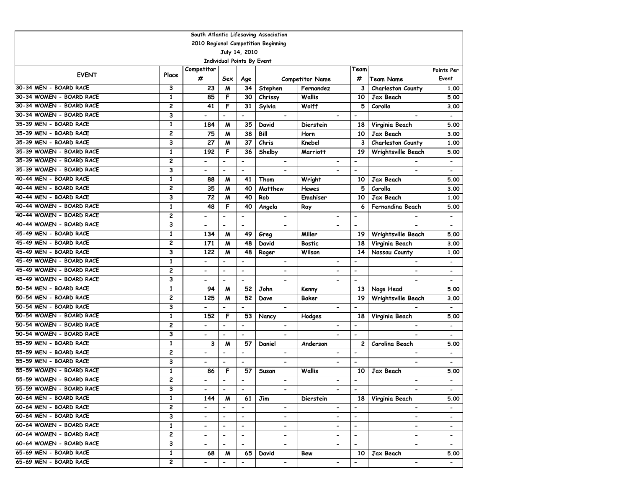| South Atlantic Lifesaving Association |                                     |                          |                          |                          |                              |                              |                          |                          |                          |  |  |  |
|---------------------------------------|-------------------------------------|--------------------------|--------------------------|--------------------------|------------------------------|------------------------------|--------------------------|--------------------------|--------------------------|--|--|--|
|                                       | 2010 Regional Competition Beginning |                          |                          |                          |                              |                              |                          |                          |                          |  |  |  |
|                                       |                                     |                          |                          | July 14, 2010            |                              |                              |                          |                          |                          |  |  |  |
|                                       | <b>Individual Points By Event</b>   |                          |                          |                          |                              |                              |                          |                          |                          |  |  |  |
| <b>EVENT</b>                          | Place                               | Competitor               |                          |                          |                              |                              | Team                     |                          | Points Per               |  |  |  |
|                                       |                                     | #                        | Sex                      | Age                      |                              | <b>Competitor Name</b>       | #                        | <b>Team Name</b>         | Event                    |  |  |  |
| 30-34 MEN - BOARD RACE                | 3                                   | 23                       | M                        | 34                       | Stephen                      | Fernandez                    | 3                        | Charleston County        | 1.00                     |  |  |  |
| 30-34 WOMEN - BOARD RACE              | 1                                   | 85                       | F                        | 30                       | Chrissy                      | Wallis                       | 10                       | Jax Beach                | 5.00                     |  |  |  |
| 30-34 WOMEN - BOARD RACE              | 2                                   | 41                       | F                        | 31                       | Sylvia                       | Wolff                        | 5                        | Corolla                  | 3.00                     |  |  |  |
| 30-34 WOMEN - BOARD RACE              | 3                                   | $\overline{\phantom{0}}$ | $\blacksquare$           | $\overline{\phantom{a}}$ | $\qquad \qquad \blacksquare$ |                              | $\overline{\phantom{m}}$ | $\blacksquare$           | $\overline{\phantom{a}}$ |  |  |  |
| 35-39 MEN - BOARD RACE                | $\mathbf{1}$                        | 184                      | M                        | 35                       | David                        | Dierstein                    | 18                       | Virginia Beach           | 5.00                     |  |  |  |
| 35-39 MEN - BOARD RACE                | 2                                   | 75                       | M                        | 38                       | Bill                         | Horn                         | 10                       | Jax Beach                | 3.00                     |  |  |  |
| 35-39 MEN - BOARD RACE                | 3                                   | 27                       | M                        | 37                       | Chris                        | Knebel                       | 3                        | Charleston County        | 1.00                     |  |  |  |
| 35-39 WOMEN - BOARD RACE              | 1                                   | 192                      | F                        | 36                       | Shelby                       | <b>Marriott</b>              | 19                       | Wrightsville Beach       | 5.00                     |  |  |  |
| 35-39 WOMEN - BOARD RACE              | 2                                   | $\overline{a}$           | $\overline{a}$           | $\overline{\phantom{0}}$ | $\blacksquare$               | $\blacksquare$               | $\blacksquare$           |                          | $\hbox{\small -}$        |  |  |  |
| 35-39 WOMEN - BOARD RACE              | 3                                   | $\overline{\phantom{0}}$ | $\blacksquare$           | $\blacksquare$           | $\blacksquare$               | $\overline{\phantom{a}}$     | $\blacksquare$           | $\blacksquare$           |                          |  |  |  |
| 40-44 MEN - BOARD RACE                | $\mathbf{1}$                        | 88                       | M                        | 41                       | Thom                         | Wright                       | 10                       | Jax Beach                | 5.00                     |  |  |  |
| 40-44 MEN - BOARD RACE                | 2                                   | 35                       | M                        | 40                       | Matthew                      | <b>Hewes</b>                 | 5                        | Corolla                  | 3.00                     |  |  |  |
| 40-44 MEN - BOARD RACE                | 3                                   | 72                       | M                        | 40                       | Rob                          | Emahiser                     | 10                       | Jax Beach                | 1.00                     |  |  |  |
| 40-44 WOMEN - BOARD RACE              | 1                                   | 48                       | F                        | 40                       | Angela                       | Ray                          | 6                        | Fernandina Beach         | 5.00                     |  |  |  |
| 40-44 WOMEN - BOARD RACE              | 2                                   | -                        | $\blacksquare$           | $\overline{\phantom{a}}$ | $\blacksquare$               | $\overline{\phantom{0}}$     | $\blacksquare$           |                          | $\overline{\phantom{a}}$ |  |  |  |
| 40-44 WOMEN - BOARD RACE              | 3                                   | $\overline{\phantom{0}}$ | $\blacksquare$           | $\blacksquare$           |                              |                              | $\overline{\phantom{a}}$ |                          |                          |  |  |  |
| 45-49 MEN - BOARD RACE                | $\mathbf{1}$                        | 134                      | M                        | 49                       | Greg                         | Miller                       | 19                       | Wrightsville Beach       | 5.00                     |  |  |  |
| 45-49 MEN - BOARD RACE                | 2                                   | 171                      | M                        | 48                       | David                        | Bostic                       | 18                       | Virginia Beach           | 3.00                     |  |  |  |
| 45-49 MEN - BOARD RACE                | 3                                   | 122                      | M                        | 48                       | Roger                        | Wilson                       | 14                       | Nassau County            | 1.00                     |  |  |  |
| 45-49 WOMEN - BOARD RACE              | $\mathbf{1}$                        | $\overline{\phantom{0}}$ | $\overline{a}$           | $\overline{\phantom{a}}$ |                              |                              | $\overline{\phantom{0}}$ |                          | $\overline{\phantom{0}}$ |  |  |  |
| 45-49 WOMEN - BOARD RACE              | 2                                   | -                        | $\hbox{\small -}$        | $\hbox{\small -}$        | $\qquad \qquad \blacksquare$ | $\blacksquare$               | $\overline{\phantom{a}}$ | $\blacksquare$           |                          |  |  |  |
| 45-49 WOMEN - BOARD RACE              | 3                                   | -                        | $\overline{\phantom{0}}$ | $\overline{\phantom{0}}$ |                              | $\qquad \qquad \blacksquare$ | $\overline{\phantom{a}}$ |                          | $\overline{\phantom{a}}$ |  |  |  |
| 50-54 MEN - BOARD RACE                | $\mathbf{1}$                        | 94                       | M                        | 52                       | John                         | Kenny                        | 13                       | Nags Head                | 5.00                     |  |  |  |
| 50-54 MEN - BOARD RACE                | 2                                   | 125                      | M                        | 52                       | Dave                         | Baker                        | 19                       | Wrightsville Beach       | 3.00                     |  |  |  |
| 50-54 MEN - BOARD RACE                | 3                                   | -                        | $\blacksquare$           | $\overline{\phantom{a}}$ | $\overline{\phantom{a}}$     | $\overline{\phantom{0}}$     | $\blacksquare$           |                          | $\overline{\phantom{a}}$ |  |  |  |
| 50-54 WOMEN - BOARD RACE              | 1                                   | 152                      | F                        | 53                       | Nancy                        | Hodges                       | 18                       | Virginia Beach           | 5.00                     |  |  |  |
| 50-54 WOMEN - BOARD RACE              | 2                                   | -                        | $\overline{\phantom{0}}$ | $\overline{\phantom{a}}$ | $\blacksquare$               | $\qquad \qquad \blacksquare$ | $\overline{\phantom{a}}$ | $\overline{\phantom{a}}$ | $\overline{\phantom{a}}$ |  |  |  |
| 50-54 WOMEN - BOARD RACE              | 3                                   | $\overline{a}$           | $\blacksquare$           | $\blacksquare$           | $\blacksquare$               |                              | $\overline{\phantom{a}}$ |                          | $\overline{\phantom{a}}$ |  |  |  |
| 55-59 MEN - BOARD RACE                | $\mathbf{1}$                        | 3                        | M                        | 57                       | Daniel                       | Anderson                     | 2                        | Carolina Beach           | 5.00                     |  |  |  |
| 55-59 MEN - BOARD RACE                | 2                                   | $\overline{\phantom{0}}$ | $\blacksquare$           | $\blacksquare$           | $\qquad \qquad \blacksquare$ | $\overline{\phantom{0}}$     | $\overline{\phantom{a}}$ | $\overline{\phantom{0}}$ | $\overline{\phantom{a}}$ |  |  |  |
| 55-59 MEN - BOARD RACE                | 3                                   | $\overline{a}$           | $\blacksquare$           | $\blacksquare$           | $\blacksquare$               | $\blacksquare$               | $\blacksquare$           | $\overline{\phantom{a}}$ | $\overline{\phantom{a}}$ |  |  |  |
| 55-59 WOMEN - BOARD RACE              | 1                                   | 86                       | F                        | 57                       | Susan                        | Wallis                       | 10                       | Jax Beach                | 5.00                     |  |  |  |
| 55-59 WOMEN - BOARD RACE              | 2                                   |                          |                          | $\overline{\phantom{a}}$ |                              |                              |                          |                          |                          |  |  |  |
| 55-59 WOMEN - BOARD RACE              | 3                                   | $\blacksquare$           | $\blacksquare$           | $\overline{\phantom{a}}$ | $\overline{\phantom{0}}$     | $\overline{\phantom{0}}$     | $\overline{\phantom{a}}$ | $\overline{\phantom{a}}$ | $\blacksquare$           |  |  |  |
| 60-64 MEN - BOARD RACE                | $\mathbf{1}$                        | 144                      | M                        | 61                       | Jim                          | <b>Dierstein</b>             | 18                       | Virginia Beach           | 5.00                     |  |  |  |
| 60-64 MEN - BOARD RACE                | $\mathbf{2}$                        | $\overline{\phantom{0}}$ | $\overline{\phantom{a}}$ | $\overline{\phantom{a}}$ | $\overline{\phantom{0}}$     | $\overline{\phantom{0}}$     | $\overline{\phantom{a}}$ | $\overline{\phantom{0}}$ | $\blacksquare$           |  |  |  |
| 60-64 MEN - BOARD RACE                | 3                                   | Ξ.                       | $\overline{\phantom{a}}$ | $\blacksquare$           | $\overline{\phantom{0}}$     | $\blacksquare$               | $\blacksquare$           | $\blacksquare$           | $\overline{\phantom{a}}$ |  |  |  |
| 60-64 WOMEN - BOARD RACE              | $\mathbf{1}$                        | $\blacksquare$           | $\overline{\phantom{a}}$ | $\overline{\phantom{a}}$ | $\overline{\phantom{0}}$     | $\overline{\phantom{a}}$     | $\blacksquare$           | $\overline{\phantom{a}}$ | $\blacksquare$           |  |  |  |
| 60-64 WOMEN - BOARD RACE              | 2                                   | -                        | $\overline{\phantom{a}}$ | $\overline{\phantom{a}}$ | $\qquad \qquad \blacksquare$ | -                            | $\overline{\phantom{a}}$ | $\blacksquare$           | $\blacksquare$           |  |  |  |
| 60-64 WOMEN - BOARD RACE              | 3                                   | ۰.                       | $\overline{\phantom{a}}$ | $\blacksquare$           | $\blacksquare$               | -                            | $\overline{\phantom{0}}$ | $\blacksquare$           | $\sim$                   |  |  |  |
| 65-69 MEN - BOARD RACE                | $\mathbf{1}$                        | 68                       | M                        | 65                       | David                        | Bew                          | 10                       | Jax Beach                | 5.00                     |  |  |  |
| 65-69 MEN - BOARD RACE                | 2                                   | -                        | $\overline{\phantom{a}}$ | $\blacksquare$           | $\blacksquare$               | $\qquad \qquad \blacksquare$ | $\blacksquare$           | $\blacksquare$           | $\sim$                   |  |  |  |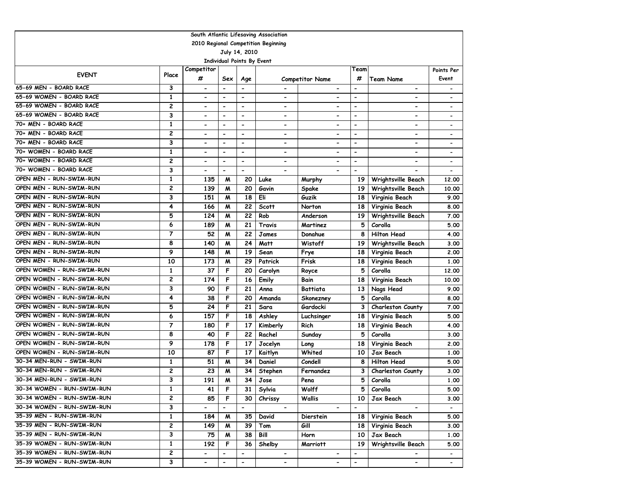| South Atlantic Lifesaving Association |                                     |                              |                              |                          |                          |                              |                          |                          |                              |  |  |  |
|---------------------------------------|-------------------------------------|------------------------------|------------------------------|--------------------------|--------------------------|------------------------------|--------------------------|--------------------------|------------------------------|--|--|--|
|                                       | 2010 Regional Competition Beginning |                              |                              |                          |                          |                              |                          |                          |                              |  |  |  |
| July 14, 2010                         |                                     |                              |                              |                          |                          |                              |                          |                          |                              |  |  |  |
| Individual Points By Event            |                                     |                              |                              |                          |                          |                              |                          |                          |                              |  |  |  |
| <b>EVENT</b>                          | Place                               | Competitor                   |                              |                          |                          |                              | Team                     |                          | Points Per                   |  |  |  |
|                                       |                                     | #                            | Sex                          | Age                      |                          | <b>Competitor Name</b>       | #                        | <b>Team Name</b>         | Event                        |  |  |  |
| 65-69 MEN - BOARD RACE                | 3                                   | $\overline{\phantom{a}}$     | $\overline{a}$               |                          |                          | $\hbox{\small -}$            | $\overline{\phantom{a}}$ | $\overline{\phantom{a}}$ |                              |  |  |  |
| 65-69 WOMEN - BOARD RACE              | 1                                   | $\qquad \qquad \blacksquare$ | $\overline{\phantom{0}}$     | $\overline{\phantom{a}}$ | $\overline{\phantom{a}}$ | $\qquad \qquad \blacksquare$ | $\overline{\phantom{a}}$ | -                        |                              |  |  |  |
| 65-69 WOMEN - BOARD RACE              | 2                                   | $\overline{\phantom{0}}$     | $\blacksquare$               | $\blacksquare$           | $\overline{\phantom{0}}$ | $\overline{\phantom{0}}$     | $\blacksquare$           | $\blacksquare$           |                              |  |  |  |
| 65-69 WOMEN - BOARD RACE              | 3                                   | $\overline{\phantom{0}}$     | $\overline{a}$               | $\blacksquare$           | $\overline{\phantom{0}}$ | $\qquad \qquad \blacksquare$ | $\overline{\phantom{a}}$ | $\overline{\phantom{0}}$ |                              |  |  |  |
| 70+ MEN - BOARD RACE                  | $\mathbf{1}$                        | $\overline{\phantom{0}}$     | $\overline{\phantom{0}}$     | $\overline{\phantom{0}}$ | $\overline{\phantom{0}}$ | $\overline{\phantom{0}}$     | $\overline{\phantom{a}}$ | -                        | $\overline{\phantom{0}}$     |  |  |  |
| 70+ MEN - BOARD RACE                  | $\overline{c}$                      | $\blacksquare$               | $\blacksquare$               | $\blacksquare$           | $\overline{\phantom{0}}$ | $\overline{\phantom{0}}$     | $\blacksquare$           | $\overline{\phantom{0}}$ |                              |  |  |  |
| 70+ MEN - BOARD RACE                  | 3                                   | $\overline{\phantom{0}}$     | $\overline{a}$               | $\overline{\phantom{a}}$ | $\overline{\phantom{0}}$ | $\overline{\phantom{0}}$     | $\overline{\phantom{0}}$ | $\overline{\phantom{0}}$ | $\overline{\phantom{a}}$     |  |  |  |
| 70+ WOMEN - BOARD RACE                | 1                                   | $\overline{\phantom{a}}$     | $\qquad \qquad \blacksquare$ | $\overline{\phantom{a}}$ | $\overline{\phantom{a}}$ | $\overline{\phantom{a}}$     | $\overline{\phantom{a}}$ | -                        | $\qquad \qquad \blacksquare$ |  |  |  |
| 70+ WOMEN - BOARD RACE                | $\overline{c}$                      | $\overline{\phantom{a}}$     | $\qquad \qquad \blacksquare$ | $\blacksquare$           | $\overline{\phantom{0}}$ | $\hbox{\small -}$            | $\overline{\phantom{a}}$ | $\overline{\phantom{0}}$ |                              |  |  |  |
| 70+ WOMEN - BOARD RACE                | 3                                   |                              | $\overline{\phantom{0}}$     | $\blacksquare$           |                          |                              | $\blacksquare$           |                          |                              |  |  |  |
| OPEN MEN - RUN-SWIM-RUN               | $\mathbf{1}$                        | 135                          | M                            | 20                       | Luke                     | Murphy                       | 19                       | Wrightsville Beach       | 12.00                        |  |  |  |
| OPEN MEN - RUN-SWIM-RUN               | 2                                   | 139                          | M                            | 20                       | Gavin                    | Spake                        | 19                       | Wrightsville Beach       | 10.00                        |  |  |  |
| OPEN MEN - RUN-SWIM-RUN               | 3                                   | 151                          | M                            | 18                       | Eli                      | Guzik                        | 18                       | Virginia Beach           | 9.00                         |  |  |  |
| OPEN MEN - RUN-SWIM-RUN               | 4                                   | 166                          | M                            | 22                       | <b>Scott</b>             | Norton                       | 18                       | Virginia Beach           | 8.00                         |  |  |  |
| OPEN MEN - RUN-SWIM-RUN               | 5                                   | 124                          | M                            | 22                       | Rob                      | Anderson                     | 19                       | Wrightsville Beach       | 7.00                         |  |  |  |
| OPEN MEN - RUN-SWIM-RUN               | 6                                   | 189                          | M                            | 21                       | Travis                   | Martinez                     | 5                        | Corolla                  | 5.00                         |  |  |  |
| OPEN MEN - RUN-SWIM-RUN               | $\overline{7}$                      | 52                           | M                            | 22                       | James                    | Donahue                      | 8                        | <b>Hilton Head</b>       | 4.00                         |  |  |  |
| OPEN MEN - RUN-SWIM-RUN               | 8                                   | 140                          | M                            | 24                       | Matt                     | Wistoff                      | 19                       | Wrightsville Beach       | 3.00                         |  |  |  |
| OPEN MEN - RUN-SWIM-RUN               | 9                                   | 148                          | M                            | 19                       | Sean                     | Frye                         | 18                       | Virginia Beach           | 2.00                         |  |  |  |
| OPEN MEN - RUN-SWIM-RUN               | 10                                  | 173                          | M                            | 29                       | Patrick                  | Frisk                        | 18                       | Virginia Beach           | 1.00                         |  |  |  |
| OPEN WOMEN - RUN-SWIM-RUN             | 1                                   | 37                           | F                            | 20                       | Carolyn                  | Royce                        | 5                        | Corolla                  | 12.00                        |  |  |  |
| OPEN WOMEN - RUN-SWIM-RUN             | 2                                   | 174                          | F                            | 16                       | Emily                    | Bain                         | 18                       | Virginia Beach           | 10.00                        |  |  |  |
| OPEN WOMEN - RUN-SWIM-RUN             | 3                                   | 90                           | F                            | 21                       | Anna                     | <b>Battiata</b>              | 13                       | Nags Head                | 9.00                         |  |  |  |
| OPEN WOMEN - RUN-SWIM-RUN             | 4                                   | 38                           | F                            | 20                       | Amanda                   | Skonezney                    | 5                        | Corolla                  | 8.00                         |  |  |  |
| OPEN WOMEN - RUN-SWIM-RUN             | 5                                   | 24                           | F                            | 21                       | Sara                     | Gardocki                     | 3                        | Charleston County        | 7.00                         |  |  |  |
| OPEN WOMEN - RUN-SWIM-RUN             | 6                                   | 157                          | F                            | 18                       | Ashley                   | Luchsinger                   | 18                       | Virginia Beach           | 5.00                         |  |  |  |
| OPEN WOMEN - RUN-SWIM-RUN             | 7                                   | 180                          | F                            | 17                       | Kimberly                 | Rich                         | 18                       | Virginia Beach           | 4.00                         |  |  |  |
| OPEN WOMEN - RUN-SWIM-RUN             | 8                                   | 40                           | F                            | 22                       | Rachel                   | Sunday                       | 5                        | Corolla                  | 3.00                         |  |  |  |
| OPEN WOMEN - RUN-SWIM-RUN             | 9                                   | 178                          | F                            | 17                       | Jocelyn                  | Long                         | 18                       | Virginia Beach           | 2.00                         |  |  |  |
| OPEN WOMEN - RUN-SWIM-RUN             | 10                                  | 87                           | F                            | 17                       | Kaitlyn                  | Whited                       | 10                       | Jax Beach                | 1.00                         |  |  |  |
| 30-34 MEN-RUN - SWIM-RUN              | $\mathbf{1}$                        | 51                           | M                            | 34                       | Daniel                   | Condell                      | 8                        | <b>Hilton Head</b>       | 5.00                         |  |  |  |
| 30-34 MEN-RUN - SWIM-RUN              | 2                                   | 23                           | M                            | 34                       | Stephen                  | Fernandez                    | З                        | Charleston County        | 3.00                         |  |  |  |
| 30-34 MEN-RUN - SWIM-RUN              | 3                                   | 191                          | M                            | 34                       | Jose                     | Pena                         | 5                        | Corolla                  | 1.00                         |  |  |  |
| 30-34 WOMEN - RUN-SWIM-RUN            | 1                                   | 41                           | F                            | 31                       | Sylvia                   | Wolff                        | 5.                       | Corolla                  | 5.00                         |  |  |  |
| 30-34 WOMEN - RUN-SWIM-RUN            | 2                                   | 85                           | F                            | 30                       | Chrissy                  | Wallis                       | 10                       | Jax Beach                | 3.00                         |  |  |  |
| 30-34 WOMEN - RUN-SWIM-RUN            | 3                                   | $\overline{\phantom{0}}$     | $\overline{\phantom{0}}$     | $\blacksquare$           | $\blacksquare$           | $\overline{\phantom{a}}$     | $\overline{\phantom{a}}$ | $\overline{\phantom{0}}$ | $\blacksquare$               |  |  |  |
| 35-39 MEN - RUN-SWIM-RUN              | $\mathbf{1}$                        | 184                          | M                            | 35                       | David                    | Dierstein                    | 18                       | Virginia Beach           | 5.00                         |  |  |  |
| 35-39 MEN - RUN-SWIM-RUN              | 2                                   | 149                          | M                            | 39                       | Tom                      | Gill                         | 18                       | Virginia Beach           | 3.00                         |  |  |  |
| 35-39 MEN - RUN-SWIM-RUN              | 3                                   | 75                           | M                            | 38                       | Bill                     | Horn                         | 10                       | Jax Beach                | 1.00                         |  |  |  |
| 35-39 WOMEN - RUN-SWIM-RUN            | $\mathbf{1}$                        | 192                          | F                            | 36                       | Shelby                   | Marriott                     | 19                       | Wrightsville Beach       | 5.00                         |  |  |  |
| 35-39 WOMEN - RUN-SWIM-RUN            | $\mathbf{2}$                        | $\overline{\phantom{0}}$     |                              | $\overline{\phantom{a}}$ | $\overline{\phantom{0}}$ | $\hbox{\small -}$            | $\overline{\phantom{a}}$ |                          |                              |  |  |  |
| 35-39 WOMEN - RUN-SWIM-RUN            | 3                                   | $\blacksquare$               | $\overline{\phantom{a}}$     | $\overline{\phantom{a}}$ | $\blacksquare$           | $\hbox{\small -}$            | $\blacksquare$           | $\overline{\phantom{0}}$ | $\blacksquare$               |  |  |  |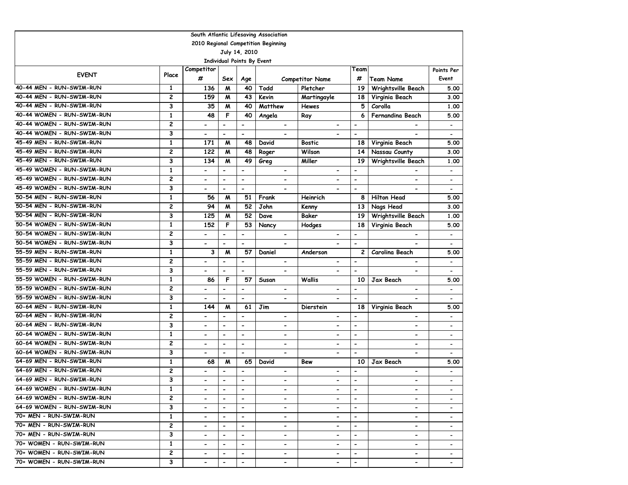| South Atlantic Lifesaving Association |                                     |                              |                              |                          |                              |                          |                          |                              |                          |  |  |  |
|---------------------------------------|-------------------------------------|------------------------------|------------------------------|--------------------------|------------------------------|--------------------------|--------------------------|------------------------------|--------------------------|--|--|--|
|                                       | 2010 Regional Competition Beginning |                              |                              |                          |                              |                          |                          |                              |                          |  |  |  |
|                                       | July 14, 2010                       |                              |                              |                          |                              |                          |                          |                              |                          |  |  |  |
|                                       |                                     |                              | Individual Points By Event   |                          |                              |                          |                          |                              |                          |  |  |  |
| <b>EVENT</b>                          | Place                               | Competitor                   |                              |                          |                              |                          | Team                     |                              | Points Per               |  |  |  |
|                                       |                                     | #                            | Sex                          | Age                      |                              | <b>Competitor Name</b>   | #                        | <b>Team Name</b>             | Event                    |  |  |  |
| 40-44 MEN - RUN-SWIM-RUN              | 1                                   | 136                          | M                            | 40                       | Todd                         | Pletcher                 | 19                       | Wrightsville Beach           | 5.00                     |  |  |  |
| 40-44 MEN - RUN-SWIM-RUN              | 2                                   | 159                          | M                            | 43                       | Kevin                        | Martingayle              | 18                       | Virginia Beach               | 3.00                     |  |  |  |
| 40-44 MEN - RUN-SWIM-RUN              | 3                                   | 35                           | M                            | 40                       | Matthew                      | <b>Hewes</b>             | 5                        | Corolla                      | 1.00                     |  |  |  |
| 40-44 WOMEN - RUN-SWIM-RUN            | $\mathbf{1}$                        | 48                           | F                            | 40                       | Angela                       | Ray                      | 6                        | Fernandina Beach             | 5.00                     |  |  |  |
| 40-44 WOMEN - RUN-SWIM-RUN            | 2                                   | $\overline{\phantom{0}}$     | $\blacksquare$               | $\overline{\phantom{a}}$ | $\overline{\phantom{0}}$     | $\overline{\phantom{0}}$ | $\blacksquare$           |                              | $\overline{\phantom{a}}$ |  |  |  |
| 40-44 WOMEN - RUN-SWIM-RUN            | 3                                   | $\overline{\phantom{0}}$     | $\blacksquare$               | $\blacksquare$           |                              | $\overline{a}$           | $\blacksquare$           |                              | $\overline{\phantom{a}}$ |  |  |  |
| 45-49 MEN - RUN-SWIM-RUN              | 1                                   | 171                          | M                            | 48                       | David                        | <b>Bostic</b>            | 18                       | Virginia Beach               | 5.00                     |  |  |  |
| 45-49 MEN - RUN-SWIM-RUN              | $\overline{c}$                      | 122                          | M                            | 48                       | Roger                        | Wilson                   | 14                       | Nassau County                | 3.00                     |  |  |  |
| 45-49 MEN - RUN-SWIM-RUN              | 3                                   | 134                          | M                            | 49                       | Greg                         | Miller                   | 19                       | Wrightsville Beach           | 1.00                     |  |  |  |
| 45-49 WOMEN - RUN-SWIM-RUN            | $\mathbf{1}$                        | $\overline{\phantom{0}}$     | $\overline{\phantom{a}}$     | $\blacksquare$           | $\overline{\phantom{0}}$     | -                        | $\blacksquare$           | $\qquad \qquad \blacksquare$ |                          |  |  |  |
| 45-49 WOMEN - RUN-SWIM-RUN            | $\overline{c}$                      | $\overline{\phantom{0}}$     | $\blacksquare$               | $\blacksquare$           | $\overline{\phantom{0}}$     | $\overline{\phantom{0}}$ | $\blacksquare$           | $\overline{\phantom{0}}$     | $\overline{\phantom{a}}$ |  |  |  |
| 45-49 WOMEN - RUN-SWIM-RUN            | 3                                   | -                            | $\overline{\phantom{a}}$     | $\blacksquare$           | $\overline{\phantom{0}}$     | -                        | $\blacksquare$           | $\qquad \qquad \blacksquare$ | $\overline{\phantom{a}}$ |  |  |  |
| 50-54 MEN - RUN-SWIM-RUN              | $\mathbf{1}$                        | 56                           | M                            | 51                       | Frank                        | Heinrich                 | 8                        | <b>Hilton Head</b>           | 5.00                     |  |  |  |
| 50-54 MEN - RUN-SWIM-RUN              | $\overline{c}$                      | 94                           | M                            | 52                       | John                         | Kenny                    | 13                       | Nags Head                    | 3.00                     |  |  |  |
| 50-54 MEN - RUN-SWIM-RUN              | 3                                   | 125                          | M                            | 52                       | Dave                         | Baker                    | 19                       | Wrightsville Beach           | 1.00                     |  |  |  |
| 50-54 WOMEN - RUN-SWIM-RUN            | $\mathbf{1}$                        | 152                          | F                            | 53                       | Nancy                        | Hodges                   | 18                       | Virginia Beach               | 5.00                     |  |  |  |
| 50-54 WOMEN - RUN-SWIM-RUN            | $\overline{c}$                      | $\overline{\phantom{0}}$     | $\overline{\phantom{a}}$     | $\overline{\phantom{a}}$ | $\overline{\phantom{0}}$     | $\overline{\phantom{0}}$ | $\overline{\phantom{a}}$ | $\qquad \qquad \blacksquare$ | $\overline{\phantom{a}}$ |  |  |  |
| 50-54 WOMEN - RUN-SWIM-RUN            | 3                                   | $\overline{\phantom{0}}$     | $\overline{\phantom{a}}$     | $\blacksquare$           | $\overline{\phantom{0}}$     | $\overline{\phantom{0}}$ | $\blacksquare$           | $\overline{\phantom{a}}$     | $\overline{\phantom{a}}$ |  |  |  |
| 55-59 MEN - RUN-SWIM-RUN              | $\mathbf{1}$                        | 3                            | M                            | 57                       | Daniel                       | Anderson                 | $\overline{c}$           | Carolina Beach               | 5.00                     |  |  |  |
| 55-59 MEN - RUN-SWIM-RUN              | $\overline{\mathbf{c}}$             | $\overline{a}$               | $\overline{\phantom{a}}$     | $\overline{\phantom{a}}$ | $\blacksquare$               | -                        | $\overline{\phantom{a}}$ |                              |                          |  |  |  |
| 55-59 MEN - RUN-SWIM-RUN              | 3                                   | $\overline{\phantom{0}}$     | $\blacksquare$               | $\blacksquare$           | $\overline{\phantom{0}}$     | -                        | $\overline{\phantom{a}}$ |                              |                          |  |  |  |
| 55-59 WOMEN - RUN-SWIM-RUN            | 1                                   | 86                           | F                            | 57                       | Susan                        | <b>Wallis</b>            | 10                       | Jax Beach                    | 5.00                     |  |  |  |
| 55-59 WOMEN - RUN-SWIM-RUN            | $\overline{\mathbf{c}}$             | $\overline{\phantom{0}}$     | $\blacksquare$               | $\blacksquare$           | $\overline{\phantom{a}}$     | $\hbox{\small -}$        | $\blacksquare$           | $\qquad \qquad \blacksquare$ | $\blacksquare$           |  |  |  |
| 55-59 WOMEN - RUN-SWIM-RUN            | 3                                   | $\overline{\phantom{a}}$     | $\blacksquare$               | $\blacksquare$           | -                            | -                        | $\blacksquare$           | $\qquad \qquad \blacksquare$ | $\overline{\phantom{a}}$ |  |  |  |
| 60-64 MEN - RUN-SWIM-RUN              | $\mathbf{1}$                        | 144                          | M                            | 61                       | Jim                          | Dierstein                | 18                       | Virginia Beach               | 5.00                     |  |  |  |
| 60-64 MEN - RUN-SWIM-RUN              | 2                                   | $\overline{\phantom{a}}$     | $\overline{\phantom{a}}$     | $\overline{\phantom{a}}$ | -                            | -                        | $\overline{\phantom{a}}$ | $\qquad \qquad \blacksquare$ |                          |  |  |  |
| 60-64 MEN - RUN-SWIM-RUN              | 3                                   | $\blacksquare$               | $\overline{\phantom{0}}$     | $\overline{\phantom{a}}$ | -                            | -                        | $\overline{\phantom{a}}$ | -                            | $\overline{\phantom{a}}$ |  |  |  |
| 60-64 WOMEN - RUN-SWIM-RUN            | $\mathbf{1}$                        | $\overline{\phantom{0}}$     | $\overline{\phantom{a}}$     | $\overline{\phantom{a}}$ | $\overline{\phantom{0}}$     | $\overline{\phantom{0}}$ | $\blacksquare$           | $\blacksquare$               | $\overline{\phantom{a}}$ |  |  |  |
| 60-64 WOMEN - RUN-SWIM-RUN            | $\overline{c}$                      | $\overline{\phantom{0}}$     | $\overline{\phantom{a}}$     | $\blacksquare$           | $\overline{\phantom{0}}$     | $\overline{\phantom{0}}$ | $\overline{\phantom{0}}$ | $\overline{\phantom{0}}$     | $\overline{\phantom{a}}$ |  |  |  |
| 60-64 WOMEN - RUN-SWIM-RUN            | 3                                   | $\overline{\phantom{0}}$     | $\overline{\phantom{a}}$     | $\blacksquare$           | $\overline{\phantom{0}}$     | $\overline{a}$           | $\blacksquare$           | $\overline{\phantom{a}}$     | $\overline{\phantom{a}}$ |  |  |  |
| 64-69 MEN - RUN-SWIM-RUN              | $\mathbf{1}$                        | 68                           | M                            | 65                       | David                        | Bew                      | 10                       | Jax Beach                    | 5.00                     |  |  |  |
| 64-69 MEN - RUN-SWIM-RUN              | 2                                   | $\overline{\phantom{a}}$     | $\overline{\phantom{a}}$     | $\overline{\phantom{a}}$ | $\overline{\phantom{a}}$     | -                        | $\overline{\phantom{0}}$ | $\qquad \qquad \blacksquare$ | $\overline{\phantom{a}}$ |  |  |  |
| 64-69 MEN - RUN-SWIM-RUN              | 3                                   |                              | $\overline{\phantom{a}}$     | $\overline{\phantom{a}}$ |                              |                          | $\overline{\phantom{a}}$ |                              |                          |  |  |  |
| 64-69 WOMEN - RUN-SWIM-RUN            | 1                                   | $\overline{\phantom{0}}$     |                              | $\overline{\phantom{a}}$ | -                            | $\blacksquare$           | $\overline{\phantom{a}}$ | -                            |                          |  |  |  |
| 64-69 WOMEN - RUN-SWIM-RUN            | $\overline{c}$                      | $\overline{\phantom{0}}$     | $\overline{\phantom{a}}$     | $\blacksquare$           | $\overline{\phantom{0}}$     | $\overline{\phantom{0}}$ | $\blacksquare$           | $\overline{\phantom{0}}$     |                          |  |  |  |
| 64-69 WOMEN - RUN-SWIM-RUN            | 3                                   | $\overline{\phantom{0}}$     | $\hbox{\small -}$            | $\overline{\phantom{a}}$ | -                            | $\overline{\phantom{0}}$ | $\overline{\phantom{a}}$ | $\overline{\phantom{0}}$     |                          |  |  |  |
| 70+ MEN - RUN-SWIM-RUN                | $\mathbf{1}$                        | -                            | $\overline{\phantom{a}}$     | $\overline{\phantom{a}}$ | -                            | -                        | $\blacksquare$           | -                            | $\blacksquare$           |  |  |  |
| 70+ MEN - RUN-SWIM-RUN                | $\overline{c}$                      | $\overline{\phantom{0}}$     | $\hbox{\small -}$            | $\blacksquare$           | $\blacksquare$               | $\hbox{\small -}$        | $\overline{\phantom{a}}$ | $\qquad \qquad \blacksquare$ | $\overline{\phantom{0}}$ |  |  |  |
| 70+ MEN - RUN-SWIM-RUN                | 3                                   | -                            | $\overline{\phantom{0}}$     | $\overline{\phantom{a}}$ | -                            | $\blacksquare$           | $\hbox{\small -}$        | -                            |                          |  |  |  |
| 70+ WOMEN - RUN-SWIM-RUN              | 1                                   | $\overline{\phantom{a}}$     | $\qquad \qquad \blacksquare$ | $\overline{\phantom{a}}$ | $\qquad \qquad \blacksquare$ | $\blacksquare$           | $\overline{\phantom{a}}$ | -                            |                          |  |  |  |
| 70+ WOMEN - RUN-SWIM-RUN              | $\mathbf{2}$                        | $\qquad \qquad \blacksquare$ |                              | $\blacksquare$           | $\overline{\phantom{0}}$     | $\overline{\phantom{a}}$ | $\overline{\phantom{a}}$ | $\qquad \qquad \blacksquare$ |                          |  |  |  |
| 70+ WOMEN - RUN-SWIM-RUN              | 3                                   | $\overline{\phantom{a}}$     | $\overline{\phantom{0}}$     | $\overline{\phantom{a}}$ | -                            | $\hbox{\small -}$        | $\hbox{\small -}$        | -                            |                          |  |  |  |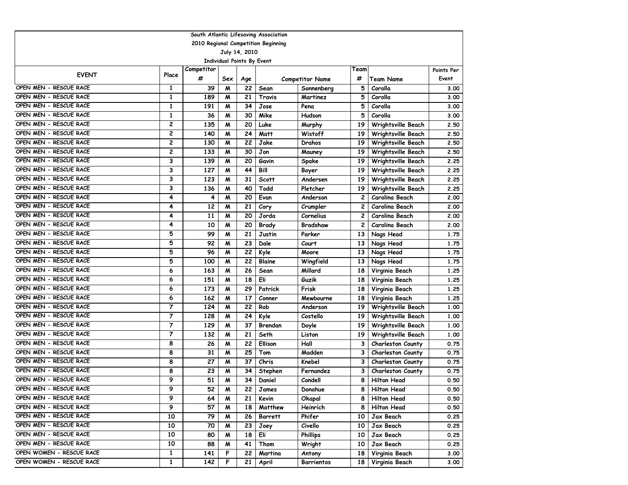|                          |                         |            |                                   |     | South Atlantic Lifesaving Association |                        |              |                          |       |  |  |
|--------------------------|-------------------------|------------|-----------------------------------|-----|---------------------------------------|------------------------|--------------|--------------------------|-------|--|--|
|                          |                         |            |                                   |     | 2010 Regional Competition Beginning   |                        |              |                          |       |  |  |
| July 14, 2010            |                         |            |                                   |     |                                       |                        |              |                          |       |  |  |
|                          |                         |            | <b>Individual Points By Event</b> |     |                                       |                        |              |                          |       |  |  |
| <b>EVENT</b>             | Place                   | Competitor |                                   |     |                                       | Team                   |              | Points Per               |       |  |  |
|                          |                         | #          | Sex                               | Age |                                       | <b>Competitor Name</b> | #            | Team Name                | Event |  |  |
| OPEN MEN - RESCUE RACE   | 1                       | 39         | M                                 | 22  | Sean                                  | Sonnenberg             | 5            | Corolla                  | 3.00  |  |  |
| OPEN MEN - RESCUE RACE   | 1                       | 189        | M                                 | 21  | Travis                                | Martinez               | 5            | Corolla                  | 3.00  |  |  |
| OPEN MEN - RESCUE RACE   | $\mathbf{1}$            | 191        | M                                 | 34  | Jose                                  | Pena                   | 5            | Corolla                  | 3.00  |  |  |
| OPEN MEN - RESCUE RACE   | $\mathbf{1}$            | 36         | $\boldsymbol{M}$                  | 30  | Mike                                  | Hudson                 | 5            | Corolla                  | 3.00  |  |  |
| OPEN MEN - RESCUE RACE   | $\overline{\mathbf{c}}$ | 135        | M                                 | 20  | Luke                                  | Murphy                 | 19           | Wrightsville Beach       | 2.50  |  |  |
| OPEN MEN - RESCUE RACE   | $\overline{\mathbf{c}}$ | 140        | M                                 | 24  | <b>Matt</b>                           | Wistoff                | 19           | Wrightsville Beach       | 2.50  |  |  |
| OPEN MEN - RESCUE RACE   | $\overline{c}$          | 130        | M                                 | 22  | Jake                                  | Drahos                 | 19           | Wrightsville Beach       | 2.50  |  |  |
| OPEN MEN - RESCUE RACE   | $\overline{\mathbf{c}}$ | 133        | M                                 | 30  | Jon                                   | Mauney                 | 19           | Wrightsville Beach       | 2.50  |  |  |
| OPEN MEN - RESCUE RACE   | 3                       | 139        | M                                 | 20  | Gavin                                 | Spake                  | 19           | Wrightsville Beach       | 2.25  |  |  |
| OPEN MEN - RESCUE RACE   | 3                       | 127        | M                                 | 44  | Bill                                  | Boyer                  | 19           | Wrightsville Beach       | 2.25  |  |  |
| OPEN MEN - RESCUE RACE   | 3                       | 123        | M                                 | 31  | <b>Scott</b>                          | Andersen               | 19           | Wrightsville Beach       | 2.25  |  |  |
| OPEN MEN - RESCUE RACE   | 3                       | 136        | M                                 | 40  | Todd                                  | Pletcher               | 19           | Wrightsville Beach       | 2.25  |  |  |
| OPEN MEN - RESCUE RACE   | 4                       | 4          | M                                 | 20  | Evan                                  | Anderson               | 2            | <b>Carolina Beach</b>    | 2.00  |  |  |
| OPEN MEN - RESCUE RACE   | 4                       | 12         | M                                 | 21  | Cory                                  | Crumpler               | 2            | Carolina Beach           | 2.00  |  |  |
| OPEN MEN - RESCUE RACE   | 4                       | 11         | M                                 | 20  | Jorda                                 | Cornelius              | $\mathbf{2}$ | Carolina Beach           | 2.00  |  |  |
| OPEN MEN - RESCUE RACE   | 4                       | 10         | $\boldsymbol{M}$                  | 20  | Brady                                 | Bradshaw               | 2            | Carolina Beach           | 2.00  |  |  |
| OPEN MEN - RESCUE RACE   | 5                       | 99         | $\boldsymbol{M}$                  | 21  | Justin                                | Parker                 | 13           | Nags Head                | 1.75  |  |  |
| OPEN MEN - RESCUE RACE   | 5                       | 92         | $\boldsymbol{M}$                  | 23  | Dale                                  | Court                  | 13           | Nags Head                | 1.75  |  |  |
| OPEN MEN - RESCUE RACE   | 5                       | 96         | M                                 | 22  | Kyle                                  | Moore                  | 13           | Nags Head                | 1.75  |  |  |
| OPEN MEN - RESCUE RACE   | 5                       | 100        | M                                 | 22  | Blaine                                | Wingfield              | 13           | Nags Head                | 1.75  |  |  |
| OPEN MEN - RESCUE RACE   | 6                       | 163        | M                                 | 26  | Sean                                  | Millard                | 18           | Virginia Beach           | 1.25  |  |  |
| OPEN MEN - RESCUE RACE   | 6                       | 151        | M                                 | 18  | Eli                                   | Guzik                  | 18           | Virginia Beach           | 1.25  |  |  |
| OPEN MEN - RESCUE RACE   | 6                       | 173        | M                                 | 29  | Patrick                               | Frisk                  | 18           | Virginia Beach           | 1.25  |  |  |
| OPEN MEN - RESCUE RACE   | 6                       | 162        | M                                 | 17  | Conner                                | Mewbourne              | 18           | Virginia Beach           | 1.25  |  |  |
| OPEN MEN - RESCUE RACE   | 7                       | 124        | M                                 | 22  | Rob                                   | Anderson               | 19           | Wrightsville Beach       | 1.00  |  |  |
| OPEN MEN - RESCUE RACE   | $\overline{7}$          | 128        | M                                 | 24  | Kyle                                  | Costello               | 19           | Wrightsville Beach       | 1.00  |  |  |
| OPEN MEN - RESCUE RACE   | 7                       | 129        | M                                 | 37  | Brendan                               | Doyle                  | 19           | Wrightsville Beach       | 1.00  |  |  |
| OPEN MEN - RESCUE RACE   | $\overline{7}$          | 132        | M                                 | 21  | Seth                                  | Liston                 | 19           | Wrightsville Beach       | 1.00  |  |  |
| OPEN MEN - RESCUE RACE   | 8                       | 26         | M                                 | 22  | Ellison                               | Hall                   | 3            | Charleston County        | 0.75  |  |  |
| OPEN MEN - RESCUE RACE   | 8                       | 31         | M                                 | 25  | Tom                                   | Madden                 | 3            | <b>Charleston County</b> | 0.75  |  |  |
| OPEN MEN - RESCUE RACE   | 8                       | 27         | M                                 | 37  | Chris                                 | Knebel                 | З            | <b>Charleston County</b> | 0.75  |  |  |
| OPEN MEN - RESCUE RACE   | 8                       | 23         | M                                 | 34  | Stephen                               | Fernandez              | 3            | <b>Charleston County</b> | 0.75  |  |  |
| OPEN MEN - RESCUE RACE   | 9                       | 51         | M                                 | 34  | Daniel                                | Condell                | 8            | <b>Hilton Head</b>       | 0.50  |  |  |
| OPEN MEN - RESCUE RACE   | 9                       | 52         | M                                 | 22  | James                                 | Donahue                | 8            | <b>Hilton Head</b>       | 0.50  |  |  |
| OPEN MEN - RESCUE RACE   | 9                       | 64         | M                                 | 21  | Kevin                                 | Okapal                 | 8            | <b>Hilton Head</b>       | 0.50  |  |  |
| OPEN MEN - RESCUE RACE   | 9                       | 57         | M                                 | 18  | Matthew                               | Heinrich               | 8            | <b>Hilton Head</b>       | 0.50  |  |  |
| OPEN MEN - RESCUE RACE   | 10                      | 79         | M                                 | 26  | <b>Barrett</b>                        | Phifer                 | 10           | Jax Beach                | 0.25  |  |  |
| OPEN MEN - RESCUE RACE   | 10                      | 70         | M                                 | 23  | Joey                                  | Civello                | 10           | Jax Beach                | 0.25  |  |  |
| OPEN MEN - RESCUE RACE   | 10                      | 80         | M                                 | 18  | Eli                                   | <b>Phillips</b>        | 10           | Jax Beach                | 0.25  |  |  |
| OPEN MEN - RESCUE RACE   | 10                      | 88         | M                                 | 41  | Thom                                  | Wright                 | 10           | Jax Beach                | 0.25  |  |  |
| OPEN WOMEN - RESCUE RACE | $\mathbf{1}$            | 141        | F                                 | 22  | Martina                               | Antony                 | 18           | Virginia Beach           | 3.00  |  |  |
| OPEN WOMEN - RESCUE RACE | 1                       | 142        | F                                 | 21  | April                                 | Barrientos             | 18           | Virginia Beach           | 3.00  |  |  |
|                          |                         |            |                                   |     |                                       |                        |              |                          |       |  |  |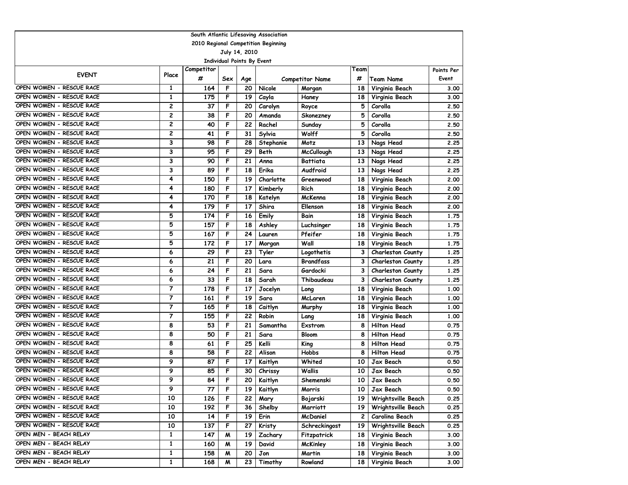|                          | South Atlantic Lifesaving Association |            |     |               |                                     |                        |      |                          |            |  |  |  |  |
|--------------------------|---------------------------------------|------------|-----|---------------|-------------------------------------|------------------------|------|--------------------------|------------|--|--|--|--|
|                          |                                       |            |     |               | 2010 Regional Competition Beginning |                        |      |                          |            |  |  |  |  |
|                          |                                       |            |     | July 14, 2010 |                                     |                        |      |                          |            |  |  |  |  |
|                          | <b>Individual Points By Event</b>     |            |     |               |                                     |                        |      |                          |            |  |  |  |  |
| <b>EVENT</b>             | Place                                 | Competitor |     |               |                                     |                        | Team |                          | Points Per |  |  |  |  |
|                          |                                       | #          | Sex | Age           |                                     | <b>Competitor Name</b> | #    | Team Name                | Event      |  |  |  |  |
| OPEN WOMEN - RESCUE RACE | 1                                     | 164        | F   | 20            | Nicole                              | Morgan                 | 18   | Virginia Beach           | 3.00       |  |  |  |  |
| OPEN WOMEN - RESCUE RACE | 1                                     | 175        | F   | 19            | Cayla                               | Haney                  | 18   | Virginia Beach           | 3.00       |  |  |  |  |
| OPEN WOMEN - RESCUE RACE | 2                                     | 37         | F   | 20            | Carolyn                             | Royce                  | 5    | Corolla                  | 2.50       |  |  |  |  |
| OPEN WOMEN - RESCUE RACE | $\overline{c}$                        | 38         | F   | 20            | Amanda                              | Skonezney              | 5    | Corolla                  | 2.50       |  |  |  |  |
| OPEN WOMEN - RESCUE RACE | 2                                     | 40         | F   | 22            | Rachel                              | Sunday                 | 5    | Corolla                  | 2.50       |  |  |  |  |
| OPEN WOMEN - RESCUE RACE | $\overline{c}$                        | 41         | F   | 31            | Sylvia                              | Wolff                  | 5    | Corolla                  | 2.50       |  |  |  |  |
| OPEN WOMEN - RESCUE RACE | 3                                     | 98         | F   | 28            | Stephanie                           | Motz                   | 13   | Nags Head                | 2.25       |  |  |  |  |
| OPEN WOMEN - RESCUE RACE | 3                                     | 95         | F   | 29            | Beth                                | <b>McCullough</b>      | 13   | Nags Head                | 2.25       |  |  |  |  |
| OPEN WOMEN - RESCUE RACE | 3                                     | 90         | F   | 21            | Anna                                | Battiata               | 13   | Nags Head                | 2.25       |  |  |  |  |
| OPEN WOMEN - RESCUE RACE | 3                                     | 89         | F   | 18            | Erika                               | Audfroid               | 13   | Nags Head                | 2.25       |  |  |  |  |
| OPEN WOMEN - RESCUE RACE | 4                                     | 150        | F   | 19            | Charlotte                           | Greenwood              | 18   | Virginia Beach           | 2.00       |  |  |  |  |
| OPEN WOMEN - RESCUE RACE | 4                                     | 180        | F   | 17            | Kimberly                            | Rich                   | 18   | Virginia Beach           | 2.00       |  |  |  |  |
| OPEN WOMEN - RESCUE RACE | 4                                     | 170        | F   | 18            | Katelyn                             | McKenna                | 18   | Virginia Beach           | 2.00       |  |  |  |  |
| OPEN WOMEN - RESCUE RACE | 4                                     | 179        | F   | 17            | Shira                               | Ellenson               | 18   | Virginia Beach           | 2.00       |  |  |  |  |
| OPEN WOMEN - RESCUE RACE | 5                                     | 174        | F   | 16            | Emily                               | Bain                   | 18   | Virginia Beach           | 1.75       |  |  |  |  |
| OPEN WOMEN - RESCUE RACE | 5                                     | 157        | F   | 18            | Ashley                              | Luchsinger             | 18   | Virginia Beach           | 1.75       |  |  |  |  |
| OPEN WOMEN - RESCUE RACE | 5                                     | 167        | F   | 24            | Lauren                              | Pfeifer                | 18   | Virginia Beach           | 1.75       |  |  |  |  |
| OPEN WOMEN - RESCUE RACE | 5                                     | 172        | F   | 17            | Morgan                              | Wall                   | 18   | Virginia Beach           | 1.75       |  |  |  |  |
| OPEN WOMEN - RESCUE RACE | 6                                     | 29         | F   | 23            | Tyler                               | Logothetis             | 3    | <b>Charleston County</b> | 1.25       |  |  |  |  |
| OPEN WOMEN - RESCUE RACE | 6                                     | 21         | F   | 20            | Lara                                | <b>Brandfass</b>       | 3    | Charleston County        | 1.25       |  |  |  |  |
| OPEN WOMEN - RESCUE RACE | 6                                     | 24         | F   | 21            | Sara                                | Gardocki               | 3    | <b>Charleston County</b> | 1.25       |  |  |  |  |
| OPEN WOMEN - RESCUE RACE | 6                                     | 33         | F   | 18            | Sarah                               | Thibaudeau             | 3    | <b>Charleston County</b> | 1.25       |  |  |  |  |
| OPEN WOMEN - RESCUE RACE | $\overline{7}$                        | 178        | F   | 17            | Jocelyn                             | Long                   | 18   | Virginia Beach           | 1.00       |  |  |  |  |
| OPEN WOMEN - RESCUE RACE | $\overline{7}$                        | 161        | F   | 19            | Sara                                | McLaren                | 18   | Virginia Beach           | 1.00       |  |  |  |  |
| OPEN WOMEN - RESCUE RACE | 7                                     | 165        | F   | 18            | Caitlyn                             | Murphy                 | 18   | Virginia Beach           | 1.00       |  |  |  |  |
| OPEN WOMEN - RESCUE RACE | $\overline{7}$                        | 155        | F   | 22            | Robin                               | Lang                   | 18   | Virginia Beach           | 1.00       |  |  |  |  |
| OPEN WOMEN - RESCUE RACE | 8                                     | 53         | F   | 21            | Samantha                            | Exstrom                | 8    | <b>Hilton Head</b>       | 0.75       |  |  |  |  |
| OPEN WOMEN - RESCUE RACE | 8                                     | 50         | F   | 21            | Sara                                | <b>Bloom</b>           | 8    | <b>Hilton Head</b>       | 0.75       |  |  |  |  |
| OPEN WOMEN - RESCUE RACE | 8                                     | 61         | F   | 25            | Kelli                               | King                   | 8    | <b>Hilton Head</b>       | 0.75       |  |  |  |  |
| OPEN WOMEN - RESCUE RACE | 8                                     | 58         | F   | 22            | Alison                              | Hobbs                  | 8    | <b>Hilton Head</b>       | 0.75       |  |  |  |  |
| OPEN WOMEN - RESCUE RACE | 9                                     | 87         | F   | 17            | Kaitlyn                             | Whited                 | 10   | Jax Beach                | 0.50       |  |  |  |  |
| OPEN WOMEN - RESCUE RACE | 9                                     | 85         | F   | 30            | Chrissy                             | Wallis                 | 10   | <b>Jax Beach</b>         | 0.50       |  |  |  |  |
| OPEN WOMEN - RESCUE RACE | 9                                     | 84         | F   | 20            | Kaitlyn                             | Shemenski              | 10   | Jax Beach                | 0.50       |  |  |  |  |
| OPEN WOMEN - RESCUE RACE | 9                                     | 77         | F   | 19            | Kaitlyn                             | Morris                 | 10   | Jax Beach                | 0.50       |  |  |  |  |
| OPEN WOMEN - RESCUE RACE | 10                                    | 126        | F   | 22            | Mary                                | Bojarski               | 19   | Wrightsville Beach       | 0.25       |  |  |  |  |
| OPEN WOMEN - RESCUE RACE | 10                                    | 192        | F   | 36            | Shelby                              | Marriott               | 19   | Wrightsville Beach       | 0.25       |  |  |  |  |
| OPEN WOMEN - RESCUE RACE | 10                                    | 14         | F   | 19            | Erin                                | McDaniel               | 2    | Carolina Beach           | 0.25       |  |  |  |  |
| OPEN WOMEN - RESCUE RACE | 10                                    | 137        | F   | 27            | Kristy                              | Schreckingost          | 19   | Wrightsville Beach       | 0.25       |  |  |  |  |
| OPEN MEN - BEACH RELAY   | $\mathbf{1}$                          | 147        | M   | 19            | Zachary                             | Fitzpatrick            | 18   | Virginia Beach           | 3.00       |  |  |  |  |
| OPEN MEN - BEACH RELAY   | 1                                     | 160        | M   | 19            | David                               | McKinley               | 18   | Virginia Beach           | 3.00       |  |  |  |  |
| OPEN MEN - BEACH RELAY   | $\mathbf{1}$                          | 158        | M   | 20            | Jon                                 | Martin                 | 18   | Virginia Beach           | 3.00       |  |  |  |  |
| OPEN MEN - BEACH RELAY   | $\mathbf{1}$                          | 168        | M   | 23            | Timothy                             | Rowland                | 18   | Virginia Beach           | 3.00       |  |  |  |  |
|                          |                                       |            |     |               |                                     |                        |      |                          |            |  |  |  |  |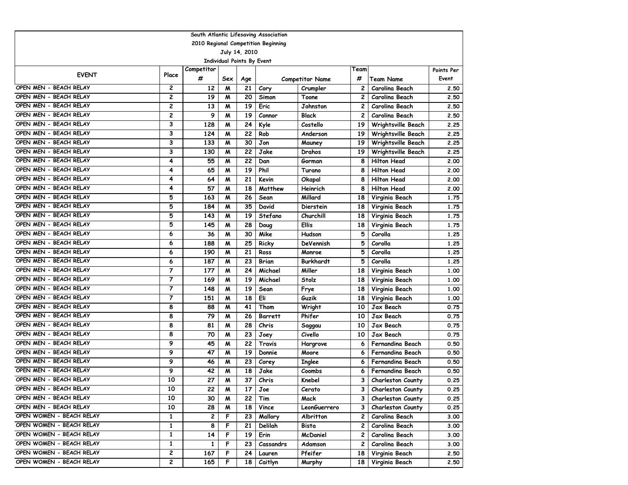| South Atlantic Lifesaving Association |                         |            |     |     |                                     |                        |                |                           |            |  |  |  |
|---------------------------------------|-------------------------|------------|-----|-----|-------------------------------------|------------------------|----------------|---------------------------|------------|--|--|--|
|                                       |                         |            |     |     | 2010 Regional Competition Beginning |                        |                |                           |            |  |  |  |
| July 14, 2010                         |                         |            |     |     |                                     |                        |                |                           |            |  |  |  |
| Individual Points By Event            |                         |            |     |     |                                     |                        |                |                           |            |  |  |  |
| <b>EVENT</b>                          | Place                   | Competitor |     |     |                                     |                        | Team           |                           | Points Per |  |  |  |
|                                       |                         | #          | Sex | Age |                                     | <b>Competitor Name</b> | #              | Team Name                 | Event      |  |  |  |
| OPEN MEN - BEACH RELAY                | 2                       | 12         | M   | 21  | Cory                                | Crumpler               | 2              | Carolina Beach            | 2.50       |  |  |  |
| OPEN MEN - BEACH RELAY                | $\overline{\mathbf{c}}$ | 19         | M   | 20  | Simon                               | Toone                  | $\mathbf{2}$   | Carolina Beach            | 2.50       |  |  |  |
| OPEN MEN - BEACH RELAY                | 2                       | 13         | M   | 19  | Eric                                | Johnston               | $\mathbf{2}$   | Carolina Beach            | 2.50       |  |  |  |
| OPEN MEN - BEACH RELAY                | 2                       | 9          | M   | 19  | Connor                              | <b>Black</b>           | $\overline{c}$ | Carolina Beach            | 2.50       |  |  |  |
| OPEN MEN - BEACH RELAY                | 3                       | 128        | M   | 24  | Kyle                                | Costello               | 19             | Wrightsville Beach        | 2.25       |  |  |  |
| OPEN MEN - BEACH RELAY                | 3                       | 124        | M   | 22  | Rob                                 | Anderson               | 19             | Wrightsville Beach        | 2.25       |  |  |  |
| OPEN MEN - BEACH RELAY                | 3                       | 133        | M   | 30  | Jon                                 | Mauney                 | 19             | <b>Wrightsville Beach</b> | 2.25       |  |  |  |
| OPEN MEN - BEACH RELAY                | 3                       | 130        | M   | 22  | Jake                                | Drahos                 | 19             | Wrightsville Beach        | 2.25       |  |  |  |
| OPEN MEN - BEACH RELAY                | 4                       | 55         | M   | 22  | Dan                                 | Gorman                 | 8              | <b>Hilton Head</b>        | 2.00       |  |  |  |
| OPEN MEN - BEACH RELAY                | 4                       | 65         | M   | 19  | Phil                                | Turano                 | 8              | <b>Hilton Head</b>        | 2.00       |  |  |  |
| OPEN MEN - BEACH RELAY                | 4                       | 64         | M   | 21  | Kevin                               | Okapal                 | 8              | <b>Hilton Head</b>        | 2.00       |  |  |  |
| OPEN MEN - BEACH RELAY                | 4                       | 57         | M   | 18  | Matthew                             | Heinrich               | 8              | <b>Hilton Head</b>        | 2.00       |  |  |  |
| OPEN MEN - BEACH RELAY                | 5                       | 163        | M   | 26  | Sean                                | Millard                | 18             | Virginia Beach            | 1.75       |  |  |  |
| OPEN MEN - BEACH RELAY                | 5                       | 184        | M   | 35  | David                               | Dierstein              | 18             | Virginia Beach            | 1.75       |  |  |  |
| OPEN MEN - BEACH RELAY                | 5                       | 143        | M   | 19  | Stefano                             | Churchill              | 18             | Virginia Beach            | 1.75       |  |  |  |
| OPEN MEN - BEACH RELAY                | 5                       | 145        | M   | 28  | Doug                                | <b>Ellis</b>           | 18             | Virginia Beach            | 1.75       |  |  |  |
| OPEN MEN - BEACH RELAY                | 6                       | 36         | M   | 30  | Mike                                | Hudson                 | 5              | Corolla                   | 1.25       |  |  |  |
| OPEN MEN - BEACH RELAY                | 6                       | 188        | M   | 25  | Ricky                               | DeVennish              | 5              | Corolla                   | 1.25       |  |  |  |
| OPEN MEN - BEACH RELAY                | 6                       | 190        | M   | 21  | Ross                                | Monroe                 | 5              | Corolla                   | 1.25       |  |  |  |
| OPEN MEN - BEACH RELAY                | 6                       | 187        | M   | 23  | <b>Brian</b>                        | <b>Burkhardt</b>       | 5              | Corolla                   | 1.25       |  |  |  |
| OPEN MEN - BEACH RELAY                | 7                       | 177        | M   | 24  | Michael                             | Miller                 | 18             | Virginia Beach            | 1.00       |  |  |  |
| OPEN MEN - BEACH RELAY                | $\overline{7}$          | 169        | M   | 19  | Michael                             | Stolz                  | 18             | Virginia Beach            | 1.00       |  |  |  |
| OPEN MEN - BEACH RELAY                | 7                       | 148        | M   | 19  | Sean                                | Frye                   | 18             | Virginia Beach            | 1.00       |  |  |  |
| OPEN MEN - BEACH RELAY                | 7                       | 151        | M   | 18  | Eli                                 | Guzik                  | 18             | Virginia Beach            | 1.00       |  |  |  |
| OPEN MEN - BEACH RELAY                | 8                       | 88         | M   | 41  | Thom                                | Wright                 | 10             | Jax Beach                 | 0.75       |  |  |  |
| OPEN MEN - BEACH RELAY                | 8                       | 79         | M   | 26  | Barrett                             | Phifer                 | 10             | Jax Beach                 | 0.75       |  |  |  |
| OPEN MEN - BEACH RELAY                | 8                       | 81         | M   | 28  | Chris                               | Saggau                 | 10             | Jax Beach                 | 0.75       |  |  |  |
| OPEN MEN - BEACH RELAY                | 8                       | 70         | M   | 23  | Joey                                | Civello                | 10             | Jax Beach                 | 0.75       |  |  |  |
| OPEN MEN - BEACH RELAY                | 9                       | 45         | M   | 22  | Travis                              | Hargrove               | 6              | <b>Fernandina Beach</b>   | 0.50       |  |  |  |
| OPEN MEN - BEACH RELAY                | 9                       | 47         | M   | 19  | Donnie                              | Moore                  | 6              | Fernandina Beach          | 0.50       |  |  |  |
| OPEN MEN - BEACH RELAY                | 9                       | 46         | M   | 23  | Corey                               | <b>Inglee</b>          | 6              | Fernandina Beach          | 0.50       |  |  |  |
| OPEN MEN - BEACH RELAY                | 9                       | 42         | M   | 18  | Jake                                | Coombs                 | 6              | Fernandina Beach          | 0.50       |  |  |  |
| OPEN MEN - BEACH RELAY                | 10                      | 27         | М   | 37  | Chris                               | Knebel                 | 3              | <b>Charleston County</b>  | 0.25       |  |  |  |
| OPEN MEN - BEACH RELAY                | 10                      | 22         | M   | 17  | Joe                                 | Cerato                 | 3              | Charleston County         | 0.25       |  |  |  |
| OPEN MEN - BEACH RELAY                | 10                      | 30         | M   | 22  | Tim                                 | Mack                   | 3              | <b>Charleston County</b>  | 0.25       |  |  |  |
| OPEN MEN - BEACH RELAY                | 10                      | 28         | M   | 18  | Vince                               | LeonGuerrero           | 3              | <b>Charleston County</b>  | 0.25       |  |  |  |
| OPEN WOMEN - BEACH RELAY              | 1                       | 2          | F   | 23  | Mallory                             | Albritton              | $\mathbf{2}$   | Carolina Beach            | 3.00       |  |  |  |
| OPEN WOMEN - BEACH RELAY              | 1                       | 8          | F   | 21  | Delilah                             | Bista                  | 2              | Carolina Beach            | 3.00       |  |  |  |
| OPEN WOMEN - BEACH RELAY              | 1                       | 14         | F   | 19  | Erin                                | McDaniel               | 2              | Carolina Beach            | 3.00       |  |  |  |
| OPEN WOMEN - BEACH RELAY              | 1                       | 1          | F   | 23  | Cassandrs                           | Adamson                | 2              | Carolina Beach            | 3.00       |  |  |  |
| OPEN WOMEN - BEACH RELAY              | 2                       | 167        | F   | 24  | Lauren                              | Pfeifer                | 18             | Virginia Beach            | 2.50       |  |  |  |
| OPEN WOMEN - BEACH RELAY              | 2                       | 165        | F   | 18  | Caitlyn                             | Murphy                 | 18             | Virginia Beach            | 2.50       |  |  |  |
|                                       |                         |            |     |     |                                     |                        |                |                           |            |  |  |  |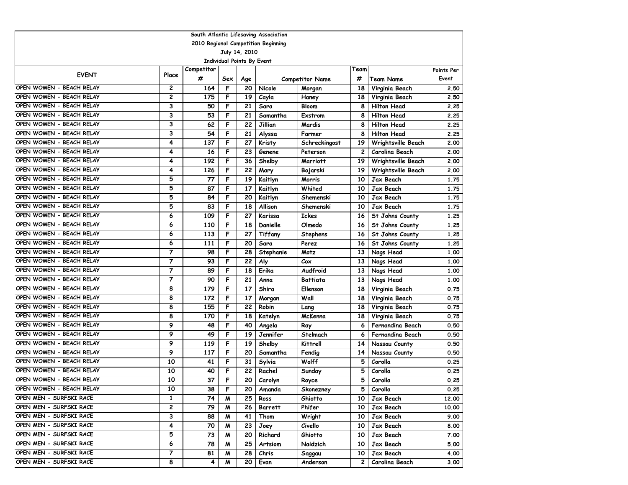| South Atlantic Lifesaving Association                |                          |            |     |                                   |                                     |                        |              |                           |            |  |  |
|------------------------------------------------------|--------------------------|------------|-----|-----------------------------------|-------------------------------------|------------------------|--------------|---------------------------|------------|--|--|
|                                                      |                          |            |     |                                   | 2010 Regional Competition Beginning |                        |              |                           |            |  |  |
|                                                      |                          |            |     | July 14, 2010                     |                                     |                        |              |                           |            |  |  |
|                                                      |                          |            |     | <b>Individual Points By Event</b> |                                     |                        |              |                           |            |  |  |
| <b>EVENT</b>                                         | Place                    | Competitor |     |                                   |                                     |                        | Team         |                           | Points Per |  |  |
|                                                      |                          | #          | Sex | Age                               |                                     | <b>Competitor Name</b> | #            | Team Name                 | Event      |  |  |
| OPEN WOMEN - BEACH RELAY                             | 2                        | 164        | F   | 20                                | Nicole                              | Morgan                 | 18           | Virginia Beach            | 2.50       |  |  |
| OPEN WOMEN - BEACH RELAY                             | $\overline{c}$           | 175        | F   | 19                                | Cayla                               | Haney                  | 18           | Virginia Beach            | 2.50       |  |  |
| OPEN WOMEN - BEACH RELAY                             | 3                        | 50         | F   | 21                                | Sara                                | <b>Bloom</b>           | 8            | <b>Hilton Head</b>        | 2.25       |  |  |
| OPEN WOMEN - BEACH RELAY                             | 3                        | 53         | F   | 21                                | Samantha                            | <b>Exstrom</b>         | 8            | <b>Hilton Head</b>        | 2.25       |  |  |
| OPEN WOMEN - BEACH RELAY<br>OPEN WOMEN - BEACH RELAY | 3                        | 62         | F   | 22                                | Jillian                             | Mardis                 | 8            | <b>Hilton Head</b>        | 2.25       |  |  |
| OPEN WOMEN - BEACH RELAY                             | 3                        | 54         | F   | 21                                | Alyssa                              | Farmer                 | 8            | <b>Hilton Head</b>        | 2.25       |  |  |
|                                                      | 4                        | 137        | F   | 27                                | Kristy                              | Schreckingost          | 19           | <b>Wrightsville Beach</b> | 2.00       |  |  |
| OPEN WOMEN - BEACH RELAY                             | 4                        | 16         | F   | 23                                | Genene                              | Peterson               | $\mathbf{2}$ | Carolina Beach            | 2.00       |  |  |
| OPEN WOMEN - BEACH RELAY                             | 4                        | 192        | F   | 36                                | Shelby                              | <b>Marriott</b>        | 19           | Wrightsville Beach        | 2.00       |  |  |
| OPEN WOMEN - BEACH RELAY                             | 4                        | 126        | F   | 22                                | Mary                                | Bojarski               | 19           | Wrightsville Beach        | 2.00       |  |  |
| OPEN WOMEN - BEACH RELAY                             | 5                        | 77         | F   | 19                                | Kaitlyn                             | Morris                 | 10           | Jax Beach                 | 1.75       |  |  |
| OPEN WOMEN - BEACH RELAY                             | 5                        | 87         | F   | 17                                | Kaitlyn                             | Whited                 | 10           | Jax Beach                 | 1.75       |  |  |
| OPEN WOMEN - BEACH RELAY                             | 5                        | 84         | F   | 20                                | Kaitlyn                             | Shemenski              | 10           | Jax Beach                 | 1.75       |  |  |
| OPEN WOMEN - BEACH RELAY                             | 5                        | 83         | F   | 18                                | Allison                             | Shemenski              | 10           | Jax Beach                 | 1.75       |  |  |
| OPEN WOMEN - BEACH RELAY                             | 6                        | 109        | F   | 27                                | Karissa                             | <b>Ickes</b>           | 16           | St Johns County           | 1.25       |  |  |
| OPEN WOMEN - BEACH RELAY                             | 6                        | 110        | F   | 18                                | Danielle                            | Olmedo                 | 16           | St Johns County           | 1.25       |  |  |
| OPEN WOMEN - BEACH RELAY                             | 6                        | 113        | F   | 27                                | Tiffany                             | Stephens               | 16           | St Johns County           | 1.25       |  |  |
| OPEN WOMEN - BEACH RELAY                             | 6                        | 111        | F   | 20                                | Sara                                | Perez                  | 16           | St Johns County           | 1.25       |  |  |
| OPEN WOMEN - BEACH RELAY                             | $\overline{7}$           | 98         | F   | 28                                | Stephanie                           | Motz                   | 13           | Nags Head                 | 1.00       |  |  |
| OPEN WOMEN - BEACH RELAY                             | $\overline{\phantom{a}}$ | 93         | F   | 22                                | Aly                                 | C <sub>ox</sub>        | 13           | Nags Head                 | 1.00       |  |  |
| OPEN WOMEN - BEACH RELAY                             | $\overline{7}$           | 89         | F   | 18                                | Erika                               | Audfroid               | 13           | Nags Head                 | 1.00       |  |  |
| OPEN WOMEN - BEACH RELAY                             | $\overline{7}$           | 90         | F   | 21                                | Anna                                | <b>Battiata</b>        | 13           | Nags Head                 | 1.00       |  |  |
| OPEN WOMEN - BEACH RELAY                             | 8                        | 179        | F   | 17                                | Shira                               | Ellenson               | 18           | Virginia Beach            | 0.75       |  |  |
| OPEN WOMEN - BEACH RELAY                             | 8                        | 172        | F   | 17                                | Morgan                              | Wall                   | 18           | Virginia Beach            | 0.75       |  |  |
| OPEN WOMEN - BEACH RELAY                             | 8                        | 155        | F   | 22                                | Robin                               | Lang                   | 18           | Virginia Beach            | 0.75       |  |  |
| OPEN WOMEN - BEACH RELAY                             | 8                        | 170        | F   | 18                                | Katelyn                             | McKenna                | 18           | Virginia Beach            | 0.75       |  |  |
| OPEN WOMEN - BEACH RELAY                             | 9                        | 48         | F   | 40                                | Angela                              | Ray                    | 6            | Fernandina Beach          | 0.50       |  |  |
| OPEN WOMEN - BEACH RELAY                             | 9                        | 49         | F   | 19                                | Jennifer                            | Stelmach               | 6            | <b>Fernandina Beach</b>   | 0.50       |  |  |
| OPEN WOMEN - BEACH RELAY                             | 9                        | 119        | F   | 19                                | Shelby                              | Kittrell               | 14           | Nassau County             | 0.50       |  |  |
| OPEN WOMEN - BEACH RELAY                             | 9                        | 117        | F   | 20                                | Samantha                            | Fendig                 | 14           | Nassau County             | 0.50       |  |  |
| OPEN WOMEN - BEACH RELAY                             | $\overline{10}$          | 41         | F   | 31                                | Sylvia                              | Wolff                  | 5            | Corolla                   | 0.25       |  |  |
| OPEN WOMEN - BEACH RELAY                             | 10                       | 40         | F   | 22                                | Rachel                              | Sunday                 | 5            | Corolla                   | 0.25       |  |  |
| OPEN WOMEN - BEACH RELAY                             | 10                       | 37         | F   | 20                                | Carolyn                             | Royce                  | 5            | Corolla                   | 0.25       |  |  |
| OPEN WOMEN - BEACH RELAY                             | 10                       | 38         | F   | 20                                | Amanda                              | Skonezney              | 5.           | Corolla                   | 0.25       |  |  |
| OPEN MEN - SURFSKI RACE                              | $\mathbf{1}$             | 74         | M   | 25                                | Ross                                | Ghiotto                | 10           | Jax Beach                 | 12.00      |  |  |
| OPEN MEN - SURFSKI RACE                              | 2                        | 79         | M   | 26                                | <b>Barrett</b>                      | Phifer                 | 10           | Jax Beach                 | 10.00      |  |  |
| OPEN MEN - SURFSKI RACE                              | 3                        | 88         | M   | 41                                | Thom                                | Wright                 | 10           | Jax Beach                 | 9.00       |  |  |
| OPEN MEN - SURFSKI RACE                              | 4                        | 70         | M   | 23                                | Joey                                | Civello                | 10           | Jax Beach                 | 8.00       |  |  |
| OPEN MEN - SURFSKI RACE                              | 5                        | 73         | M   | 20                                | Richard                             | Ghiotto                | 10           | Jax Beach                 | 7.00       |  |  |
| OPEN MEN - SURFSKI RACE                              | 6                        | 78         | M   | 25                                | Artsiom                             | Naidzich               | 10           | Jax Beach                 | 5.00       |  |  |
| OPEN MEN - SURFSKI RACE                              | 7                        | 81         | M   | 28                                | Chris                               | Saggau                 | 10           | Jax Beach                 | 4.00       |  |  |
| OPEN MEN - SURFSKI RACE                              | 8                        | 4          | M   | 20                                | Evan                                | Anderson               | $\mathbf{2}$ | Carolina Beach            | 3.00       |  |  |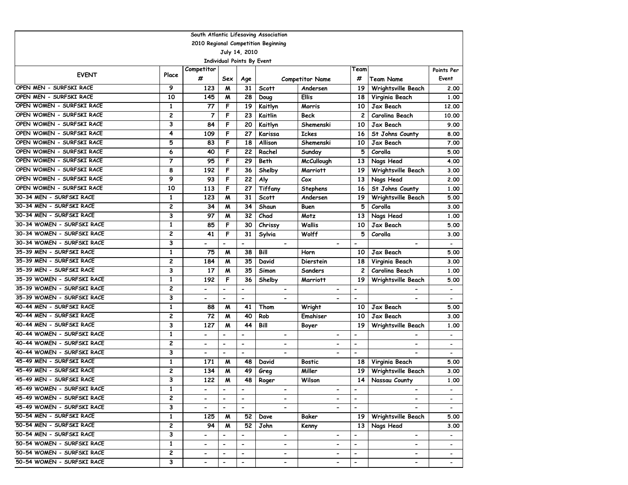| South Atlantic Lifesaving Association |                         |                          |                              |                          |                              |                          |                          |                          |                          |  |
|---------------------------------------|-------------------------|--------------------------|------------------------------|--------------------------|------------------------------|--------------------------|--------------------------|--------------------------|--------------------------|--|
| 2010 Regional Competition Beginning   |                         |                          |                              |                          |                              |                          |                          |                          |                          |  |
| July 14, 2010                         |                         |                          |                              |                          |                              |                          |                          |                          |                          |  |
| <b>Individual Points By Event</b>     |                         |                          |                              |                          |                              |                          |                          |                          |                          |  |
| <b>EVENT</b>                          | Place                   | Competitor               |                              |                          |                              |                          | Team                     |                          | Points Per               |  |
|                                       |                         | #                        | Sex                          | Age                      |                              | <b>Competitor Name</b>   | #                        | <b>Team Name</b>         | Event                    |  |
| OPEN MEN - SURFSKI RACE               | 9                       | 123                      | M                            | 31                       | Scott                        | Andersen                 | 19                       | Wrightsville Beach       | 2.00                     |  |
| OPEN MEN - SURFSKI RACE               | 10                      | 145                      | M                            | 28                       | Doug                         | <b>Ellis</b>             | 18                       | Virginia Beach           | 1.00                     |  |
| OPEN WOMEN - SURFSKI RACE             | $\mathbf{1}$            | 77                       | F                            | 19                       | Kaitlyn                      | Morris                   | 10                       | Jax Beach                | 12.00                    |  |
| OPEN WOMEN - SURFSKI RACE             | $\overline{c}$          | 7                        | F                            | 23                       | Kaitlin                      | Beck                     | 2                        | Carolina Beach           | 10.00                    |  |
| OPEN WOMEN - SURFSKI RACE             | 3                       | 84                       | F                            | 20                       | Kaitlyn                      | Shemenski                | 10                       | Jax Beach                | 9.00                     |  |
| OPEN WOMEN - SURFSKI RACE             | 4                       | 109                      | F                            | 27                       | Karissa                      | <b>Ickes</b>             | 16                       | St Johns County          | 8.00                     |  |
| OPEN WOMEN - SURFSKI RACE             | 5                       | 83                       | F                            | 18                       | Allison                      | Shemenski                | 10                       | Jax Beach                | 7.00                     |  |
| OPEN WOMEN - SURFSKI RACE             | 6                       | 40                       | F                            | 22                       | Rachel                       | Sunday                   | 5                        | Corolla                  | 5.00                     |  |
| OPEN WOMEN - SURFSKI RACE             | $\overline{7}$          | 95                       | F                            | 29                       | Beth                         | <b>McCullough</b>        | 13                       | Nags Head                | 4.00                     |  |
| OPEN WOMEN - SURFSKI RACE             | 8                       | 192                      | F                            | 36                       | Shelby                       | <b>Marriott</b>          | 19                       | Wrightsville Beach       | 3.00                     |  |
| OPEN WOMEN - SURFSKI RACE             | 9                       | 93                       | F                            | 22                       | Aly                          | C <sub>ox</sub>          | 13                       | Nags Head                | 2.00                     |  |
| OPEN WOMEN - SURFSKI RACE             | 10                      | 113                      | F                            | 27                       | <b>Tiffany</b>               | <b>Stephens</b>          | 16                       | St Johns County          | 1.00                     |  |
| 30-34 MEN - SURFSKI RACE              | 1                       | 123                      | M                            | 31                       | <b>Scott</b>                 | Andersen                 | 19                       | Wrightsville Beach       | 5.00                     |  |
| 30-34 MEN - SURFSKI RACE              | $\overline{c}$          | 34                       | M                            | 34                       | Shaun                        | Buen                     | 5                        | Corolla                  | 3.00                     |  |
| 30-34 MEN - SURFSKI RACE              | 3                       | 97                       | M                            | 32                       | Chad                         | Motz                     | 13                       | Nags Head                | 1.00                     |  |
| 30-34 WOMEN - SURFSKI RACE            | $\mathbf{1}$            | 85                       | F                            | 30                       | Chrissy                      | Wallis                   | 10                       | Jax Beach                | 5.00                     |  |
| 30-34 WOMEN - SURFSKI RACE            | 2                       | 41                       | F                            | 31                       | Sylvia                       | Wolff                    | 5                        | Corolla                  | 3.00                     |  |
| 30-34 WOMEN - SURFSKI RACE            | 3                       | $\overline{\phantom{0}}$ | $\overline{\phantom{a}}$     | $\overline{a}$           | $\hbox{\small -}$            |                          | $\overline{\phantom{a}}$ | $\overline{\phantom{0}}$ | $\overline{\phantom{0}}$ |  |
| 35-39 MEN - SURFSKI RACE              | $\mathbf{1}$            | 75                       | M                            | 38                       | Bill                         | Horn                     | 10                       | <b>Jax Beach</b>         | 5.00                     |  |
| 35-39 MEN - SURFSKI RACE              | 2                       | 184                      | M                            | 35                       | David                        | Dierstein                | 18                       | Virginia Beach           | 3.00                     |  |
| 35-39 MEN - SURFSKI RACE              | 3                       | 17                       | M                            | 35                       | Simon                        | <b>Sanders</b>           | $\mathbf{2}$             | Carolina Beach           | 1.00                     |  |
| 35-39 WOMEN - SURFSKI RACE            | 1                       | 192                      | F                            | 36                       | Shelby                       | <b>Marriott</b>          | 19                       | Wrightsville Beach       | 5.00                     |  |
| 35-39 WOMEN - SURFSKI RACE            | $\overline{\mathbf{c}}$ | $\overline{\phantom{a}}$ | $\blacksquare$               | $\blacksquare$           | $\hbox{\small -}$            | $\overline{\phantom{0}}$ | $\blacksquare$           | $\overline{\phantom{0}}$ | $\overline{\phantom{a}}$ |  |
| 35-39 WOMEN - SURFSKI RACE            | 3                       | $\overline{\phantom{0}}$ | $\blacksquare$               | $\blacksquare$           | $\blacksquare$               | $\overline{\phantom{0}}$ | $\blacksquare$           | $\overline{\phantom{0}}$ | $\overline{\phantom{a}}$ |  |
| 40-44 MEN - SURFSKI RACE              | $\mathbf{1}$            | 88                       | M                            | 41                       | Thom                         | Wright                   | 10                       | Jax Beach                | 5.00                     |  |
| 40-44 MEN - SURFSKI RACE              | 2                       | 72                       | M                            | 40                       | Rob                          | Emahiser                 | 10                       | Jax Beach                | 3.00                     |  |
| 40-44 MEN - SURFSKI RACE              | 3                       | 127                      | м                            | 44                       | Bill                         | Boyer                    | 19                       | Wrightsville Beach       | 1.00                     |  |
| 40-44 WOMEN - SURFSKI RACE            | $\mathbf{1}$            | $\overline{\phantom{0}}$ | $\blacksquare$               | $\overline{\phantom{a}}$ | $\overline{\phantom{0}}$     | $\overline{\phantom{0}}$ | $\blacksquare$           |                          |                          |  |
| 40-44 WOMEN - SURFSKI RACE            | $\overline{c}$          | $\overline{\phantom{0}}$ | $\blacksquare$               | $\blacksquare$           | $\overline{\phantom{0}}$     | -                        | $\overline{\phantom{0}}$ | $\overline{\phantom{0}}$ |                          |  |
| 40-44 WOMEN - SURFSKI RACE            | 3                       | $\blacksquare$           | $\blacksquare$               | $\blacksquare$           | $\overline{\phantom{0}}$     | $\blacksquare$           | $\blacksquare$           | $\overline{a}$           | $\overline{\phantom{a}}$ |  |
| 45-49 MEN - SURFSKI RACE              | $\mathbf{1}$            | 171                      | M                            | 48                       | David                        | <b>Bostic</b>            | 18                       | Virginia Beach           | 5.00                     |  |
| 45-49 MEN - SURFSKI RACE              | 2                       | 134                      | M                            | 49                       | Greg                         | Miller                   | 19                       | Wrightsville Beach       | 3.00                     |  |
| 45-49 MEN - SURFSKI RACE              | 3                       | 122                      | M                            | 48                       | Roger                        | Wilson                   | 14                       | Nassau County            | 1.00                     |  |
| 45-49 WOMEN - SURFSKI RACE            | 1                       | $\overline{\phantom{a}}$ | $\overline{\phantom{a}}$     | $\overline{\phantom{a}}$ | $\qquad \qquad \blacksquare$ | -                        | $\overline{\phantom{a}}$ | -                        |                          |  |
| 45-49 WOMEN - SURFSKI RACE            | $\overline{\mathbf{c}}$ | $\overline{\phantom{0}}$ | $\blacksquare$               | $\blacksquare$           |                              | $\overline{\phantom{0}}$ | $\blacksquare$           | $\overline{\phantom{0}}$ |                          |  |
| 45-49 WOMEN - SURFSKI RACE            | 3                       | $\overline{\phantom{0}}$ | $\overline{\phantom{a}}$     | $\blacksquare$           | $\overline{\phantom{0}}$     | $\overline{\phantom{0}}$ | $\overline{\phantom{a}}$ | $\overline{\phantom{0}}$ | $\blacksquare$           |  |
| 50-54 MEN - SURFSKI RACE              | $\mathbf{1}$            | 125                      | M                            | 52                       | Dave                         | Baker                    | 19                       | Wrightsville Beach       | 5.00                     |  |
| 50-54 MEN - SURFSKI RACE              | 2                       | 94                       | M                            | 52                       | John                         | Kenny                    | 13                       | Nags Head                | 3.00                     |  |
| 50-54 MEN - SURFSKI RACE              | 3                       | $\overline{\phantom{a}}$ | $\overline{\phantom{a}}$     | $\overline{\phantom{a}}$ | $\overline{\phantom{0}}$     | $\blacksquare$           |                          | $\blacksquare$           | $\blacksquare$           |  |
| 50-54 WOMEN - SURFSKI RACE            | 1                       | $\blacksquare$           | $\qquad \qquad \blacksquare$ | $\hbox{\small -}$        | $\blacksquare$               | -                        | $\hbox{\small -}$        | ۰.                       | $\blacksquare$           |  |
| 50-54 WOMEN - SURFSKI RACE            | 2                       | $\hbox{\small -}$        | $\overline{\phantom{a}}$     | $\blacksquare$           | $\blacksquare$               | $\overline{\phantom{a}}$ | $\blacksquare$           | $\overline{\phantom{0}}$ |                          |  |
| 50-54 WOMEN - SURFSKI RACE            | 3                       | $\hbox{\small -}$        | $\overline{\phantom{a}}$     | $\overline{\phantom{a}}$ | $\overline{\phantom{a}}$     | $\overline{\phantom{a}}$ | $\hbox{\small -}$        | $\overline{\phantom{0}}$ | $\overline{\phantom{0}}$ |  |
|                                       |                         |                          |                              |                          |                              |                          |                          |                          |                          |  |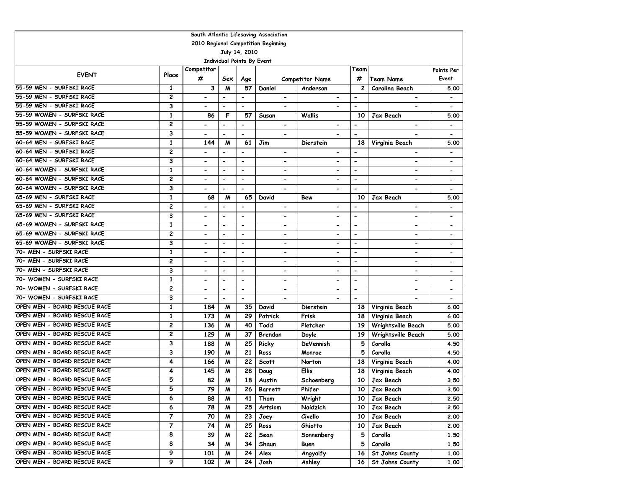|                                     |                |                              |                          |                          | South Atlantic Lifesaving Association |                              |                              |                              |                              |  |  |
|-------------------------------------|----------------|------------------------------|--------------------------|--------------------------|---------------------------------------|------------------------------|------------------------------|------------------------------|------------------------------|--|--|
| 2010 Regional Competition Beginning |                |                              |                          |                          |                                       |                              |                              |                              |                              |  |  |
| July 14, 2010                       |                |                              |                          |                          |                                       |                              |                              |                              |                              |  |  |
| Individual Points By Event          |                |                              |                          |                          |                                       |                              |                              |                              |                              |  |  |
|                                     |                | Competitor                   |                          |                          |                                       |                              | Team                         |                              | Points Per                   |  |  |
| <b>EVENT</b>                        | Place          | #                            | Sex                      | Age                      |                                       | <b>Competitor Name</b>       | #                            | <b>Team Name</b>             | Event                        |  |  |
| 55-59 MEN - SURFSKI RACE            | 1              | 3                            | M                        | 57                       | Daniel                                | Anderson                     | $\mathbf{2}$                 | Carolina Beach               | 5.00                         |  |  |
| 55-59 MEN - SURFSKI RACE            | 2              | $\qquad \qquad \blacksquare$ | $\overline{\phantom{0}}$ | $\hbox{\small -}$        | $\blacksquare$                        | $\blacksquare$               | $\overline{\phantom{a}}$     | $\blacksquare$               |                              |  |  |
| 55-59 MEN - SURFSKI RACE            | 3              | $\overline{\phantom{0}}$     |                          | $\blacksquare$           |                                       |                              | $\blacksquare$               | $\blacksquare$               |                              |  |  |
| 55-59 WOMEN - SURFSKI RACE          | $\mathbf{1}$   | 86                           | F                        | 57                       | Susan                                 | Wallis                       | 10                           | Jax Beach                    | 5.00                         |  |  |
| 55-59 WOMEN - SURFSKI RACE          | 2              | $\overline{\phantom{0}}$     | $\overline{\phantom{a}}$ | $\overline{\phantom{a}}$ | $\overline{\phantom{0}}$              | $\overline{\phantom{0}}$     | $\blacksquare$               | $\overline{\phantom{0}}$     | $\overline{\phantom{a}}$     |  |  |
| 55-59 WOMEN - SURFSKI RACE          | 3              | $\overline{\phantom{0}}$     | $\blacksquare$           | $\blacksquare$           | $\qquad \qquad \blacksquare$          | $\overline{\phantom{0}}$     | $\blacksquare$               |                              |                              |  |  |
| 60-64 MEN - SURFSKI RACE            | 1              | 144                          | M                        | 61                       | Jim                                   | Dierstein                    | 18                           | Virginia Beach               | 5.00                         |  |  |
| 60-64 MEN - SURFSKI RACE            | 2              |                              | $\blacksquare$           | $\overline{\phantom{0}}$ | $\qquad \qquad \blacksquare$          |                              |                              |                              |                              |  |  |
| 60-64 MEN - SURFSKI RACE            | 3              | $\overline{\phantom{0}}$     | $\blacksquare$           | $\blacksquare$           | $\blacksquare$                        | $\overline{\phantom{0}}$     | $\blacksquare$               | $\blacksquare$               |                              |  |  |
| 60-64 WOMEN - SURFSKI RACE          | 1              | $\qquad \qquad \blacksquare$ | $\blacksquare$           | $\overline{\phantom{a}}$ |                                       | $\qquad \qquad \blacksquare$ | $\blacksquare$               | $\overline{\phantom{a}}$     |                              |  |  |
| 60-64 WOMEN - SURFSKI RACE          | 2              | $\qquad \qquad \blacksquare$ | $\hbox{\small -}$        | $\overline{\phantom{a}}$ | $\qquad \qquad \blacksquare$          | $\qquad \qquad \blacksquare$ | $\overline{\phantom{a}}$     | $\overline{\phantom{a}}$     | $\overline{\phantom{a}}$     |  |  |
| 60-64 WOMEN - SURFSKI RACE          | 3              | $\qquad \qquad \blacksquare$ | $\blacksquare$           | $\blacksquare$           | $\blacksquare$                        | $\overline{\phantom{0}}$     | $\blacksquare$               | $\overline{\phantom{a}}$     | $\overline{\phantom{a}}$     |  |  |
| 65-69 MEN - SURFSKI RACE            | 1              | 68                           | M                        | 65                       | David                                 | Bew                          | 10                           | Jax Beach                    | 5.00                         |  |  |
| 65-69 MEN - SURFSKI RACE            | 2              |                              | $\overline{\phantom{a}}$ | $\overline{\phantom{a}}$ | $\overline{\phantom{a}}$              | $\qquad \qquad \blacksquare$ | $\overline{\phantom{a}}$     | $\overline{\phantom{a}}$     |                              |  |  |
| 65-69 MEN - SURFSKI RACE            | 3              | $\qquad \qquad \blacksquare$ | $\overline{\phantom{0}}$ | $\overline{\phantom{a}}$ | $\overline{\phantom{a}}$              | $\qquad \qquad \blacksquare$ | $\qquad \qquad \blacksquare$ | $\qquad \qquad \blacksquare$ | $\overline{\phantom{a}}$     |  |  |
| 65-69 WOMEN - SURFSKI RACE          | $\mathbf{1}$   |                              |                          | $\overline{\phantom{a}}$ |                                       | $\overline{\phantom{0}}$     | $\blacksquare$               | $\blacksquare$               |                              |  |  |
| 65-69 WOMEN - SURFSKI RACE          | 2              | $\overline{\phantom{0}}$     | $\blacksquare$           | $\overline{\phantom{a}}$ | $\blacksquare$                        | $\qquad \qquad \blacksquare$ | $\overline{\phantom{a}}$     | $\qquad \qquad \blacksquare$ | $\qquad \qquad \blacksquare$ |  |  |
| 65-69 WOMEN - SURFSKI RACE          | 3              | $\overline{\phantom{0}}$     | $\overline{\phantom{0}}$ | $\overline{\phantom{a}}$ | $\qquad \qquad \blacksquare$          | $\overline{\phantom{0}}$     | $\overline{\phantom{a}}$     | $\overline{\phantom{a}}$     | $\overline{\phantom{a}}$     |  |  |
| 70+ MEN - SURFSKI RACE              | $\mathbf{1}$   | $\overline{\phantom{0}}$     | $\blacksquare$           | $\blacksquare$           | $\blacksquare$                        | $\overline{\phantom{0}}$     | $\overline{\phantom{0}}$     | $\blacksquare$               | $\overline{\phantom{0}}$     |  |  |
| 70+ MEN - SURFSKI RACE              | 2              |                              | $\overline{\phantom{a}}$ | $\overline{\phantom{a}}$ | $\qquad \qquad \blacksquare$          | $\qquad \qquad \blacksquare$ | $\overline{\phantom{a}}$     | $\qquad \qquad \blacksquare$ |                              |  |  |
| 70+ MEN - SURFSKI RACE              | 3              | $\overline{\phantom{0}}$     | $\overline{\phantom{a}}$ | $\overline{\phantom{a}}$ | $\qquad \qquad \blacksquare$          | $\qquad \qquad \blacksquare$ | $\blacksquare$               | $\overline{\phantom{a}}$     | $\overline{\phantom{a}}$     |  |  |
| 70+ WOMEN - SURFSKI RACE            | 1              | $\qquad \qquad \blacksquare$ | $\overline{\phantom{a}}$ | $\blacksquare$           | $\blacksquare$                        | $\qquad \qquad \blacksquare$ | $\overline{\phantom{0}}$     | $\overline{\phantom{a}}$     |                              |  |  |
| 70+ WOMEN - SURFSKI RACE            | $\overline{c}$ | $\overline{\phantom{a}}$     | $\overline{\phantom{a}}$ | $\overline{\phantom{a}}$ | $\overline{\phantom{a}}$              | $\overline{\phantom{a}}$     | $\overline{\phantom{a}}$     | $\overline{\phantom{a}}$     | $\overline{\phantom{a}}$     |  |  |
| 70+ WOMEN - SURFSKI RACE            | 3              | $\overline{\phantom{a}}$     | $\blacksquare$           | $\blacksquare$           | $\overline{\phantom{0}}$              | $\overline{\phantom{0}}$     | $\blacksquare$               | $\overline{\phantom{0}}$     | $\overline{\phantom{a}}$     |  |  |
| OPEN MEN - BOARD RESCUE RACE        | 1              | 184                          | M                        | 35                       | David                                 | Dierstein                    | 18                           | Virginia Beach               | 6.00                         |  |  |
| OPEN MEN - BOARD RESCUE RACE        | 1              | 173                          | M                        | 29                       | Patrick                               | Frisk                        | 18                           | Virginia Beach               | 6.00                         |  |  |
| OPEN MEN - BOARD RESCUE RACE        | 2              | 136                          | M                        | 40                       | Todd                                  | Pletcher                     | 19                           | Wrightsville Beach           | 5.00                         |  |  |
| OPEN MEN - BOARD RESCUE RACE        | 2              | 129                          | м                        | 37                       | Brendan                               | Doyle                        | 19                           | Wrightsville Beach           | 5.00                         |  |  |
| OPEN MEN - BOARD RESCUE RACE        | 3              | 188                          | м                        | 25                       | Ricky                                 | DeVennish                    | 5                            | Corolla                      | 4.50                         |  |  |
| OPEN MEN - BOARD RESCUE RACE        | 3              | 190                          | M                        | 21                       | Ross                                  | Monroe                       | 5                            | Corolla                      | 4.50                         |  |  |
| OPEN MEN - BOARD RESCUE RACE        | 4              | 166                          | M                        | 22                       | <b>Scott</b>                          | Norton                       | 18                           | Virginia Beach               | 4.00                         |  |  |
| OPEN MEN - BOARD RESCUE RACE        | 4              | 145                          | M                        | 28                       | Doug                                  | <b>Ellis</b>                 | 18                           | Virginia Beach               | 4.00                         |  |  |
| OPEN MEN - BOARD RESCUE RACE        | 5              | 82                           | M                        | 18                       | Austin                                | Schoenberg                   | 10                           | Jax Beach                    | 3.50                         |  |  |
| OPEN MEN - BOARD RESCUE RACE        | 5              | 79                           | M                        | 26                       | Barrett                               | Phifer                       | 10                           | Jax Beach                    | 3.50                         |  |  |
| OPEN MEN - BOARD RESCUE RACE        | 6              | 88                           | м                        | 41                       | Thom                                  | Wright                       | 10                           | Jax Beach                    | 2.50                         |  |  |
| OPEN MEN - BOARD RESCUE RACE        | 6              | 78                           | M                        | 25                       | Artsiom                               | Naidzich                     | 10                           | Jax Beach                    | 2.50                         |  |  |
| OPEN MEN - BOARD RESCUE RACE        | 7              | 70                           | M                        | 23                       | Joey                                  | Civello                      | 10                           | Jax Beach                    | 2.00                         |  |  |
| OPEN MEN - BOARD RESCUE RACE        | 7              | 74                           | M                        | 25                       | Ross                                  | Ghiotto                      | 10                           | Jax Beach                    | 2.00                         |  |  |
| OPEN MEN - BOARD RESCUE RACE        | 8              | 39                           | M                        | 22                       | Sean                                  | Sonnenberg                   | 5                            | Corolla                      | 1.50                         |  |  |
| OPEN MEN - BOARD RESCUE RACE        | 8              | 34                           | M                        | 34                       | Shaun                                 | Buen                         | 5                            | Corolla                      | 1.50                         |  |  |
| OPEN MEN - BOARD RESCUE RACE        | $\overline{9}$ | 101                          | M                        | 24                       | Alex                                  | Angyalfy                     | 16                           | St Johns County              | 1.00                         |  |  |
| OPEN MEN - BOARD RESCUE RACE        | 9              | 102                          | M                        | 24                       | Josh                                  | Ashley                       | 16                           | St Johns County              | 1.00                         |  |  |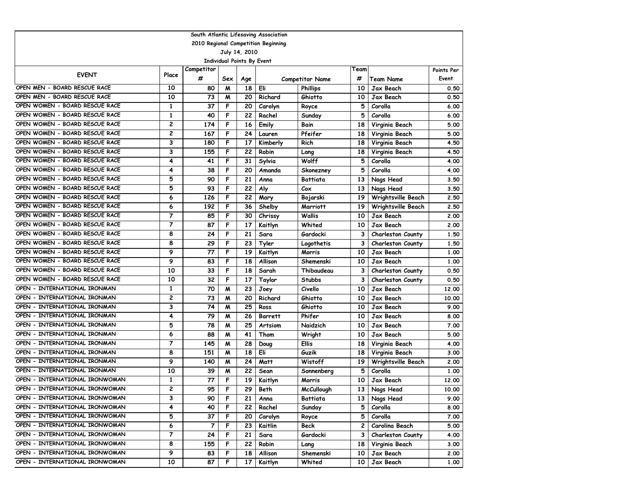|                                     |                         |            |                  |               | South Atlantic Lifesaving Association |                        |      |                          |            |  |  |
|-------------------------------------|-------------------------|------------|------------------|---------------|---------------------------------------|------------------------|------|--------------------------|------------|--|--|
| 2010 Regional Competition Beginning |                         |            |                  |               |                                       |                        |      |                          |            |  |  |
|                                     |                         |            |                  | July 14, 2010 |                                       |                        |      |                          |            |  |  |
| Individual Points By Event          |                         |            |                  |               |                                       |                        |      |                          |            |  |  |
| <b>EVENT</b>                        | Place                   | Competitor |                  |               |                                       |                        | Team |                          | Points Per |  |  |
|                                     |                         | #          | Sex              | Age           |                                       | <b>Competitor Name</b> | #    | Team Name                | Event      |  |  |
| OPEN MEN - BOARD RESCUE RACE        | 10                      | 80         | M                | 18            | Eli                                   | <b>Phillips</b>        | 10   | Jax Beach                | 0.50       |  |  |
| OPEN MEN - BOARD RESCUE RACE        | 10                      | 73         | M                | 20            | Richard                               | Ghiotto                | 10   | Jax Beach                | 0.50       |  |  |
| OPEN WOMEN - BOARD RESCUE RACE      | 1                       | 37         | F                | 20            | Carolyn                               | Royce                  | 5    | Corolla                  | 6.00       |  |  |
| OPEN WOMEN - BOARD RESCUE RACE      | $\mathbf{1}$            | 40         | F                | 22            | Rachel                                | Sunday                 | 5    | Corolla                  | 6.00       |  |  |
| OPEN WOMEN - BOARD RESCUE RACE      | $\overline{\mathbf{c}}$ | 174        | F                | 16            | Emily                                 | Bain                   | 18   | Virginia Beach           | 5.00       |  |  |
| OPEN WOMEN - BOARD RESCUE RACE      | 2                       | 167        | F                | 24            | Lauren                                | Pfeifer                | 18   | Virginia Beach           | 5.00       |  |  |
| OPEN WOMEN - BOARD RESCUE RACE      | 3                       | 180        | F                | 17            | Kimberly                              | Rich                   | 18   | Virginia Beach           | 4.50       |  |  |
| OPEN WOMEN - BOARD RESCUE RACE      | 3                       | 155        | F                | 22            | Robin                                 | Lang                   | 18   | Virginia Beach           | 4.50       |  |  |
| OPEN WOMEN - BOARD RESCUE RACE      | 4                       | 41         | F                | 31            | Sylvia                                | Wolff                  | 5    | Corolla                  | 4.00       |  |  |
| OPEN WOMEN - BOARD RESCUE RACE      | 4                       | 38         | F                | 20            | Amanda                                | Skonezney              | 5    | Corolla                  | 4.00       |  |  |
| OPEN WOMEN - BOARD RESCUE RACE      | 5                       | 90         | F                | 21            | Anna                                  | Battiata               | 13   | Nags Head                | 3.50       |  |  |
| OPEN WOMEN - BOARD RESCUE RACE      | 5                       | 93         | F                | 22            | Aly                                   | Cox                    | 13   | Nags Head                | 3.50       |  |  |
| OPEN WOMEN - BOARD RESCUE RACE      | 6                       | 126        | F                | 22            | Mary                                  | Bojarski               | 19   | Wrightsville Beach       | 2.50       |  |  |
| OPEN WOMEN - BOARD RESCUE RACE      | 6                       | 192        | F                | 36            | Shelby                                | <b>Marriott</b>        | 19   | Wrightsville Beach       | 2.50       |  |  |
| OPEN WOMEN - BOARD RESCUE RACE      | 7                       | 85         | F                | 30            | Chrissy                               | <b>Wallis</b>          | 10   | Jax Beach                | 2.00       |  |  |
| OPEN WOMEN - BOARD RESCUE RACE      | 7                       | 87         | F                | 17            | Kaitlyn                               | Whited                 | 10   | Jax Beach                | 2.00       |  |  |
| OPEN WOMEN - BOARD RESCUE RACE      | 8                       | 24         | F                | 21            | Sara                                  | Gardocki               | 3    | <b>Charleston County</b> | 1.50       |  |  |
| OPEN WOMEN - BOARD RESCUE RACE      | 8                       | 29         | F                | 23            | Tyler                                 | Logothetis             | 3    | Charleston County        | 1.50       |  |  |
| OPEN WOMEN - BOARD RESCUE RACE      | 9                       | 77         | F                | 19            | Kaitlyn                               | Morris                 | 10   | Jax Beach                | 1.00       |  |  |
| OPEN WOMEN - BOARD RESCUE RACE      | 9                       | 83         | F                | 18            | Allison                               | Shemenski              | 10   | Jax Beach                | 1.00       |  |  |
| OPEN WOMEN - BOARD RESCUE RACE      | 10                      | 33         | F                | 18            | Sarah                                 | Thibaudeau             | 3    | <b>Charleston County</b> | 0.50       |  |  |
| OPEN WOMEN - BOARD RESCUE RACE      | 10                      | 32         | F                | 17            | Taylor                                | <b>Stubbs</b>          | 3    | <b>Charleston County</b> | 0.50       |  |  |
| OPEN - INTERNATIONAL IRONMAN        | $\mathbf{1}$            | 70         | $\boldsymbol{M}$ | 23            | Joey                                  | Civello                | 10   | Jax Beach                | 12.00      |  |  |
| OPEN - INTERNATIONAL IRONMAN        | $\overline{\mathbf{c}}$ | 73         | M                | 20            | Richard                               | Ghiotto                | 10   | Jax Beach                | 10.00      |  |  |
| OPEN - INTERNATIONAL IRONMAN        | 3                       | 74         | M                | 25            | Ross                                  | Ghiotto                | 10   | Jax Beach                | 9.00       |  |  |
| OPEN - INTERNATIONAL IRONMAN        | 4                       | 79         | M                | 26            | <b>Barrett</b>                        | Phifer                 | 10   | Jax Beach                | 8.00       |  |  |
| OPEN - INTERNATIONAL IRONMAN        | 5                       | 78         | M                | 25            | Artsiom                               | Naidzich               | 10   | Jax Beach                | 7.00       |  |  |
| OPEN - INTERNATIONAL IRONMAN        | 6                       | 88         | M                | 41            | Thom                                  | Wright                 | 10   | Jax Beach                | 5.00       |  |  |
| OPEN - INTERNATIONAL IRONMAN        | 7                       | 145        | M                | 28            | Doug                                  | Ellis                  | 18   | Virginia Beach           | 4.00       |  |  |
| OPEN - INTERNATIONAL IRONMAN        | 8                       | 151        | $\boldsymbol{M}$ | 18            | Eli                                   | Guzik                  | 18   | Virginia Beach           | 3.00       |  |  |
| OPEN - INTERNATIONAL IRONMAN        | 9                       | 140        | M                | 24            | Matt                                  | Wistoff                | 19   | Wrightsville Beach       | 2.00       |  |  |
| OPEN - INTERNATIONAL IRONMAN        | 10                      | 39         | M                | 22            | Sean                                  | Sonnenberg             | 5    | Corolla                  | 1.00       |  |  |
| OPEN - INTERNATIONAL IRONWOMAN      | 1                       | 77         | F                | 19            | Kaitlyn                               | Morris                 | 10   | Jax Beach                | 12.00      |  |  |
| OPEN - INTERNATIONAL IRONWOMAN      | 2                       | 95         | F                | 29            | Beth                                  | <b>McCullough</b>      | 13 I | Nags Head                | 10.00      |  |  |
| OPEN - INTERNATIONAL IRONWOMAN      | 3                       | 90         | F                | 21            | Anna                                  | Battiata               | 13   | Nags Head                | 9.00       |  |  |
| OPEN - INTERNATIONAL IRONWOMAN      | 4                       | 40         | F                | 22            | Rachel                                | Sunday                 | 5    | Corolla                  | 8.00       |  |  |
| OPEN - INTERNATIONAL IRONWOMAN      | 5                       | 37         | F                | 20            | Carolyn                               | Royce                  | 5    | Corolla                  | 7.00       |  |  |
| OPEN - INTERNATIONAL IRONWOMAN      | 6                       | 7          | F                | 23            | Kaitlin                               | Beck                   | 2    | Carolina Beach           | 5.00       |  |  |
| OPEN - INTERNATIONAL IRONWOMAN      | 7                       | 24         | F                | 21            | Sara                                  | Gardocki               | 3    | Charleston County        | 4.00       |  |  |
| OPEN - INTERNATIONAL IRONWOMAN      | 8                       | 155        | F                | 22            | Robin                                 | Lang                   | 18   | Virginia Beach           | 3.00       |  |  |
| OPEN - INTERNATIONAL IRONWOMAN      | 9                       | 83         | F                | 18            | Allison                               | Shemenski              | 10   | Jax Beach                | 2.00       |  |  |
| OPEN - INTERNATIONAL IRONWOMAN      | 10                      | 87         | F                | 17            | Kaitlyn                               | Whited                 | 10   | Jax Beach                | 1.00       |  |  |
|                                     |                         |            |                  |               |                                       |                        |      |                          |            |  |  |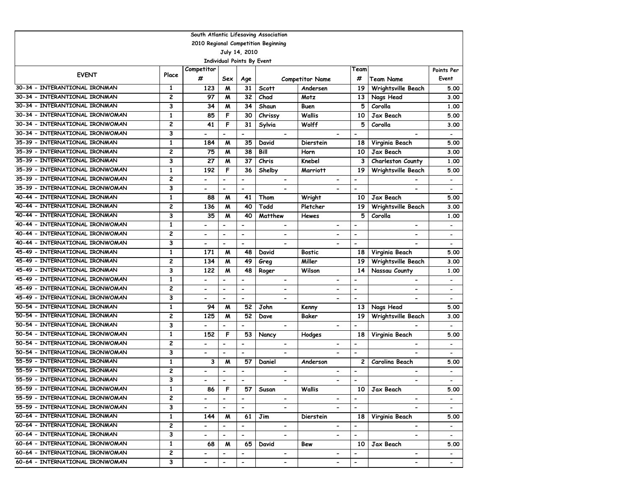|                                                           |                         |                              |                              |                          | South Atlantic Lifesaving Association |                              |                              |                              |                              |  |
|-----------------------------------------------------------|-------------------------|------------------------------|------------------------------|--------------------------|---------------------------------------|------------------------------|------------------------------|------------------------------|------------------------------|--|
| 2010 Regional Competition Beginning                       |                         |                              |                              |                          |                                       |                              |                              |                              |                              |  |
|                                                           |                         |                              |                              | July 14, 2010            |                                       |                              |                              |                              |                              |  |
| <b>Individual Points By Event</b>                         |                         |                              |                              |                          |                                       |                              |                              |                              |                              |  |
| Competitor<br>Team<br>Points Per<br><b>EVENT</b><br>Place |                         |                              |                              |                          |                                       |                              |                              |                              |                              |  |
|                                                           |                         | #                            | Sex                          | Age                      |                                       | <b>Competitor Name</b>       | #                            | <b>Team Name</b>             | Event                        |  |
| 30-34 - INTERANTIONAL IRONMAN                             | 1                       | 123                          | M                            | 31                       | <b>Scott</b>                          | Andersen                     | 19                           | Wrightsville Beach           | 5.00                         |  |
| 30-34 - INTERANTIONAL IRONMAN                             | $\overline{c}$          | 97                           | M                            | 32                       | Chad                                  | Motz                         | 13                           | Nags Head                    | 3.00                         |  |
| 30-34 - INTERANTIONAL IRONMAN                             | 3                       | 34                           | M                            | 34                       | Shaun                                 | <b>Buen</b>                  | 5                            | Corolla                      | 1.00                         |  |
| 30-34 - INTERNATIONAL IRONWOMAN                           | $\mathbf{1}$            | 85                           | F                            | 30                       | Chrissy                               | <b>Wallis</b>                | 10                           | Jax Beach                    | 5.00                         |  |
| 30-34 - INTERNATIONAL IRONWOMAN                           | $\overline{c}$          | 41                           | F                            | 31                       | Sylvia                                | Wolff                        | 5                            | Corolla                      | 3.00                         |  |
| 30-34 - INTERNATIONAL IRONWOMAN                           | 3                       |                              |                              | $\blacksquare$           |                                       |                              | $\qquad \qquad \blacksquare$ |                              | $\overline{\phantom{a}}$     |  |
| 35-39 - INTERNATIONAL IRONMAN                             | $\mathbf{1}$            | 184                          | M                            | 35                       | David                                 | Dierstein                    | 18                           | Virginia Beach               | 5.00                         |  |
| 35-39 - INTERNATIONAL IRONMAN                             | $\overline{c}$          | 75                           | M                            | 38                       | Bill                                  | Horn                         | 10                           | Jax Beach                    | 3.00                         |  |
| 35-39 - INTERNATIONAL IRONMAN                             | 3                       | 27                           | M                            | 37                       | Chris                                 | Knebel                       | 3                            | Charleston County            | 1.00                         |  |
| 35-39 - INTERNATIONAL IRONWOMAN                           | $\mathbf{1}$            | 192                          | F                            | 36                       | Shelby                                | <b>Marriott</b>              | 19                           | Wrightsville Beach           | 5.00                         |  |
| 35-39 - INTERNATIONAL IRONWOMAN                           | 2                       | $\overline{\phantom{a}}$     | $\overline{a}$               | $\overline{\phantom{a}}$ | $\overline{\phantom{a}}$              | $\qquad \qquad \blacksquare$ | $\overline{\phantom{0}}$     |                              | $\overline{\phantom{a}}$     |  |
| 35-39 - INTERNATIONAL IRONWOMAN                           | 3                       | $\overline{\phantom{a}}$     | $\qquad \qquad \blacksquare$ | $\overline{\phantom{a}}$ | $\blacksquare$                        | $\qquad \qquad \blacksquare$ | $\overline{\phantom{0}}$     |                              | $\overline{\phantom{a}}$     |  |
| 40-44 - INTERNATIONAL IRONMAN                             | $\mathbf{1}$            | 88                           | M                            | 41                       | Thom                                  | Wright                       | 10                           | Jax Beach                    | 5.00                         |  |
| 40-44 - INTERNATIONAL IRONMAN                             | $\overline{c}$          | 136                          | M                            | 40                       | Todd                                  | Pletcher                     | 19                           | Wrightsville Beach           | 3.00                         |  |
| 40-44 - INTERNATIONAL IRONMAN                             | 3                       | 35                           | M                            | 40                       | Matthew                               | <b>Hewes</b>                 | 5                            | Corolla                      | 1.00                         |  |
| 40-44 - INTERNATIONAL IRONWOMAN                           | $\mathbf{1}$            | $\blacksquare$               | $\blacksquare$               | $\blacksquare$           | $\hbox{\small -}$                     | $\overline{\phantom{0}}$     | $\overline{\phantom{a}}$     | $\blacksquare$               | $\overline{\phantom{a}}$     |  |
| 40-44 - INTERNATIONAL IRONWOMAN                           | $\overline{\mathbf{c}}$ |                              | $\blacksquare$               | $\overline{\phantom{a}}$ | $\overline{\phantom{0}}$              |                              | $\blacksquare$               | $\overline{\phantom{0}}$     | $\overline{\phantom{a}}$     |  |
| 40-44 - INTERNATIONAL IRONWOMAN                           | 3                       | $\blacksquare$               | $\blacksquare$               | $\blacksquare$           |                                       | $\blacksquare$               | $\overline{\phantom{0}}$     |                              | $\overline{\phantom{0}}$     |  |
| 45-49 - INTERNATIONAL IRONMAN                             | $\mathbf{1}$            | 171                          | M                            | 48                       | David                                 | <b>Bostic</b>                | 18                           | Virginia Beach               | 5.00                         |  |
| 45-49 - INTERNATIONAL IRONMAN                             | 2                       | 134                          | M                            | 49                       | Greg                                  | Miller                       | 19                           | Wrightsville Beach           | 3.00                         |  |
| 45-49 - INTERNATIONAL IRONMAN                             | 3                       | 122                          | M                            | 48                       | Roger                                 | Wilson                       | 14                           | Nassau County                | 1.00                         |  |
| 45-49 - INTERNATIONAL IRONWOMAN                           | $\mathbf{1}$            | $\overline{\phantom{0}}$     | $\overline{\phantom{0}}$     | $\blacksquare$           | $\overline{\phantom{a}}$              | $\qquad \qquad \blacksquare$ | $\overline{\phantom{0}}$     | $\overline{\phantom{a}}$     | $\blacksquare$               |  |
| 45-49 - INTERNATIONAL IRONWOMAN                           | $\overline{\mathbf{c}}$ | $\hbox{\small -}$            | $\qquad \qquad \blacksquare$ | $\overline{\phantom{a}}$ | $\overline{\phantom{a}}$              | $\qquad \qquad \blacksquare$ | $\blacksquare$               | $\overline{\phantom{a}}$     | $\overline{\phantom{a}}$     |  |
| 45-49 - INTERNATIONAL IRONWOMAN                           | 3                       | $\qquad \qquad \blacksquare$ | $\qquad \qquad \blacksquare$ | $\blacksquare$           | $\blacksquare$                        | $\overline{\phantom{0}}$     | $\overline{\phantom{0}}$     | $\blacksquare$               | $\overline{\phantom{a}}$     |  |
| 50-54 - INTERNATIONAL IRONMAN                             | $\mathbf{1}$            | 94                           | M                            | 52                       | John                                  | Kenny                        | 13                           | Nags Head                    | 5.00                         |  |
| 50-54 - INTERNATIONAL IRONMAN                             | 2                       | 125                          | M                            | 52                       | Dave                                  | Baker                        | 19                           | Wrightsville Beach           | 3.00                         |  |
| 50-54 - INTERNATIONAL IRONMAN                             | 3                       |                              | $\blacksquare$               | $\overline{\phantom{a}}$ | $\blacksquare$                        | $\overline{\phantom{0}}$     | $\overline{\phantom{a}}$     |                              | $\overline{\phantom{a}}$     |  |
| 50-54 - INTERNATIONAL IRONWOMAN                           | $\mathbf{1}$            | 152                          | F                            | 53                       | Nancy                                 | Hodges                       | 18                           | Virginia Beach               | 5.00                         |  |
| 50-54 - INTERNATIONAL IRONWOMAN                           | $\overline{c}$          |                              | $\blacksquare$               | $\blacksquare$           | $\hbox{\small -}$                     | $\qquad \qquad \blacksquare$ | $\overline{\phantom{a}}$     | $\overline{\phantom{a}}$     | $\overline{\phantom{a}}$     |  |
| 50-54 - INTERNATIONAL IRONWOMAN                           | 3                       | $\blacksquare$               | $\blacksquare$               | $\blacksquare$           | $\blacksquare$                        | $\overline{\phantom{0}}$     | $\overline{\phantom{a}}$     | $\blacksquare$               | $\qquad \qquad \blacksquare$ |  |
| 55-59 - INTERNATIONAL IRONMAN                             | $\mathbf{1}$            | 3                            | M                            | 57                       | Daniel                                | Anderson                     | $\mathbf{2}$                 | Carolina Beach               | 5.00                         |  |
| 55-59 - INTERNATIONAL IRONMAN                             | $\overline{c}$          |                              | $\overline{a}$               | $\overline{\phantom{a}}$ | $\overline{\phantom{a}}$              |                              | $\overline{\phantom{0}}$     |                              |                              |  |
| 55-59 - INTERNATIONAL IRONMAN                             | 3                       | $\overline{\phantom{0}}$     | $\blacksquare$               | $\overline{\phantom{a}}$ | $\overline{\phantom{0}}$              | $\overline{\phantom{0}}$     | $\overline{\phantom{0}}$     | $\overline{\phantom{a}}$     |                              |  |
| 55-59 - INTERNATIONAL IRONWOMAN                           | 1                       | 86                           | F.                           | 57                       | Susan                                 | Wallis                       | 10                           | Jax Beach                    | 5.00                         |  |
| 55-59 - INTERNATIONAL IRONWOMAN                           | 2                       | $\overline{\phantom{0}}$     | $\overline{a}$               | $\overline{\phantom{a}}$ | $\overline{\phantom{a}}$              | $\overline{\phantom{0}}$     | $\overline{\phantom{a}}$     | $\overline{\phantom{0}}$     | $\blacksquare$               |  |
| 55-59 - INTERNATIONAL IRONWOMAN                           | 3                       | $\blacksquare$               | $\overline{\phantom{0}}$     | $\overline{\phantom{a}}$ | $\blacksquare$                        | $\overline{\phantom{0}}$     | $\overline{\phantom{a}}$     | $\blacksquare$               | $ \,$                        |  |
| 60-64 - INTERNATIONAL IRONMAN                             | $\mathbf{1}$            | 144                          | M                            | 61                       | Jim                                   | Dierstein                    | 18                           | Virginia Beach               | 5.00                         |  |
| 60-64 - INTERNATIONAL IRONMAN                             | 2                       | $\overline{\phantom{a}}$     | $\overline{\phantom{a}}$     | $\overline{\phantom{a}}$ | $\blacksquare$                        | $\blacksquare$               | $\overline{\phantom{0}}$     | $\blacksquare$               | $\blacksquare$               |  |
| 60-64 - INTERNATIONAL IRONMAN                             | 3                       | $\blacksquare$               | $\qquad \qquad \blacksquare$ | $\blacksquare$           | $\blacksquare$                        | $\qquad \qquad \blacksquare$ | $\blacksquare$               | $\overline{\phantom{0}}$     | $\blacksquare$               |  |
| 60-64 - INTERNATIONAL IRONWOMAN                           | $\mathbf{1}$            | 68                           | M                            | 65                       | David                                 | Bew                          | 10                           | Jax Beach                    | 5.00                         |  |
| 60-64 - INTERNATIONAL IRONWOMAN                           | 2                       | $\overline{\phantom{a}}$     | $\overline{\phantom{a}}$     | $\overline{\phantom{a}}$ | $\blacksquare$                        | $\qquad \qquad \blacksquare$ | $\overline{\phantom{a}}$     | $\qquad \qquad \blacksquare$ | $\blacksquare$               |  |
| 60-64 - INTERNATIONAL IRONWOMAN                           | 3                       | $\qquad \qquad \blacksquare$ |                              | $\blacksquare$           | $\blacksquare$                        | $\qquad \qquad \blacksquare$ | -                            | $\overline{\phantom{a}}$     | $\overline{\phantom{0}}$     |  |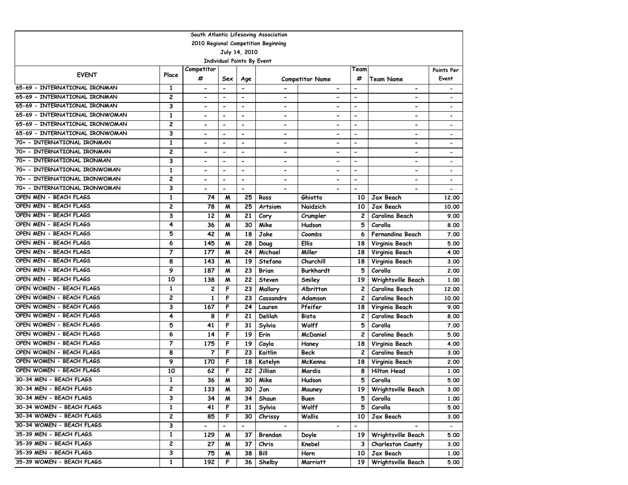| South Atlantic Lifesaving Association       |                         |                              |                              |                              |                              |                          |                              |                          |                              |  |  |
|---------------------------------------------|-------------------------|------------------------------|------------------------------|------------------------------|------------------------------|--------------------------|------------------------------|--------------------------|------------------------------|--|--|
| 2010 Regional Competition Beginning         |                         |                              |                              |                              |                              |                          |                              |                          |                              |  |  |
| July 14, 2010                               |                         |                              |                              |                              |                              |                          |                              |                          |                              |  |  |
| <b>Individual Points By Event</b>           |                         |                              |                              |                              |                              |                          |                              |                          |                              |  |  |
| Competitor<br>Team<br><b>EVENT</b><br>Place |                         |                              |                              |                              |                              |                          |                              |                          |                              |  |  |
|                                             |                         | #                            | Sex                          | Age                          |                              | <b>Competitor Name</b>   | #                            | <b>Team Name</b>         | Event                        |  |  |
| 65-69 - INTERNATIONAL IRONMAN               | 1                       |                              | $\hbox{\small -}$            | $\overline{\phantom{a}}$     |                              |                          | $\qquad \qquad \blacksquare$ | $\overline{\phantom{a}}$ | $\overline{\phantom{a}}$     |  |  |
| 65-69 - INTERNATIONAL IRONMAN               | 2                       | $\qquad \qquad \blacksquare$ | $\blacksquare$               | $\overline{\phantom{a}}$     | $\overline{\phantom{a}}$     |                          | $\overline{\phantom{0}}$     | $\overline{\phantom{a}}$ | $\overline{\phantom{a}}$     |  |  |
| 65-69 - INTERNATIONAL IRONMAN               | 3                       |                              | $\hbox{\small -}$            | $\overline{\phantom{a}}$     | $\qquad \qquad \blacksquare$ |                          | $\overline{\phantom{0}}$     | $\overline{\phantom{a}}$ | $\overline{\phantom{a}}$     |  |  |
| 65-69 - INTERNATIONAL IRONWOMAN             | $\mathbf{1}$            | $\overline{\phantom{0}}$     | $\overline{\phantom{a}}$     | $\blacksquare$               | $\blacksquare$               |                          | $\overline{\phantom{0}}$     | $\blacksquare$           | $\qquad \qquad \blacksquare$ |  |  |
| 65-69 - INTERNATIONAL IRONWOMAN             | $\overline{c}$          |                              | $\qquad \qquad \blacksquare$ | $\overline{\phantom{a}}$     | $\overline{\phantom{a}}$     | $\overline{\phantom{0}}$ | $\overline{\phantom{0}}$     | $\overline{\phantom{0}}$ | $\overline{\phantom{a}}$     |  |  |
| 65-69 - INTERNATIONAL IRONWOMAN             | 3                       | $\blacksquare$               | $\overline{\phantom{0}}$     | $\overline{\phantom{a}}$     | $\overline{\phantom{a}}$     | $\overline{\phantom{a}}$ | $\overline{\phantom{0}}$     | $\overline{\phantom{0}}$ | $\overline{\phantom{a}}$     |  |  |
| 70+ - INTERNATIONAL IRONMAN                 | 1                       | $\blacksquare$               | $\overline{\phantom{a}}$     | $\overline{\phantom{a}}$     | $\blacksquare$               | $\overline{\phantom{0}}$ | $\overline{\phantom{0}}$     | $\overline{\phantom{0}}$ | $\overline{\phantom{a}}$     |  |  |
| 70+ - INTERNATIONAL IRONMAN                 | 2                       | $\qquad \qquad \blacksquare$ | $\qquad \qquad \blacksquare$ | $\overline{\phantom{a}}$     | $\hbox{\small -}$            | $\overline{\phantom{a}}$ | -                            | $\overline{\phantom{a}}$ |                              |  |  |
| 70+ - INTERNATIONAL IRONMAN                 | 3                       | $\qquad \qquad \blacksquare$ | $\overline{\phantom{a}}$     | $\overline{\phantom{a}}$     | $\qquad \qquad \blacksquare$ | $\blacksquare$           | $\overline{\phantom{0}}$     | $\blacksquare$           | $\overline{\phantom{a}}$     |  |  |
| 70+ - INTERNATIONAL IRONWOMAN               | $\mathbf{1}$            | $\overline{\phantom{0}}$     | $\qquad \qquad \blacksquare$ | $\overline{\phantom{a}}$     | $\qquad \qquad \blacksquare$ | $\overline{\phantom{0}}$ | $\overline{\phantom{0}}$     | $\blacksquare$           |                              |  |  |
| 70+ - INTERNATIONAL IRONWOMAN               | $\overline{c}$          | $\overline{\phantom{a}}$     | $\blacksquare$               | $\blacksquare$               | $\blacksquare$               | $\overline{\phantom{0}}$ | $\overline{\phantom{a}}$     | $\overline{\phantom{a}}$ | $\overline{\phantom{a}}$     |  |  |
| 70+ - INTERNATIONAL IRONWOMAN               | 3                       | $\overline{\phantom{0}}$     | $\overline{\phantom{0}}$     | $\blacksquare$               | $\blacksquare$               |                          | $\overline{\phantom{0}}$     |                          |                              |  |  |
| OPEN MEN - BEACH FLAGS                      | 1                       | 74                           | M                            | 25                           | Ross                         | Ghiotto                  | 10                           | <b>Jax Beach</b>         | 12.00                        |  |  |
| OPEN MEN - BEACH FLAGS                      | $\overline{c}$          | 78                           | M                            | 25                           | Artsiom                      | Naidzich                 | 10                           | <b>Jax Beach</b>         | 10.00                        |  |  |
| OPEN MEN - BEACH FLAGS                      | 3                       | 12                           | M                            | 21                           | Cory                         | Crumpler                 | 2                            | <b>Carolina Beach</b>    | 9.00                         |  |  |
| OPEN MEN - BEACH FLAGS                      | 4                       | 36                           | M                            | 30                           | Mike                         | Hudson                   | 5                            | Corolla                  | 8.00                         |  |  |
| OPEN MEN - BEACH FLAGS                      | 5                       | 42                           | M                            | 18                           | Jake                         | Coombs                   | 6                            | Fernandina Beach         | 7.00                         |  |  |
| OPEN MEN - BEACH FLAGS                      | 6                       | 145                          | M                            | 28                           | Doug                         | <b>Ellis</b>             | 18                           | Virginia Beach           | 5.00                         |  |  |
| OPEN MEN - BEACH FLAGS                      | $\overline{7}$          | 177                          | M                            | 24                           | Michael                      | Miller                   | 18                           | Virginia Beach           | 4.00                         |  |  |
| OPEN MEN - BEACH FLAGS                      | 8                       | 143                          | M                            | 19                           | Stefano                      | Churchill                | 18                           | Virginia Beach           | 3.00                         |  |  |
| OPEN MEN - BEACH FLAGS                      | 9                       | 187                          | M                            | 23                           | <b>Brian</b>                 | Burkhardt                | 5                            | Corolla                  | 2.00                         |  |  |
| OPEN MEN - BEACH FLAGS                      | 10                      | 138                          | M                            | 22                           | Steven                       | Smiley                   | 19                           | Wrightsville Beach       | 1.00                         |  |  |
| OPEN WOMEN - BEACH FLAGS                    | $\mathbf{1}$            | 2                            | F                            | 23                           | Mallory                      | Albritton                | 2                            | Carolina Beach           | 12.00                        |  |  |
| OPEN WOMEN - BEACH FLAGS                    | 2                       | 1                            | F                            | 23                           | Cassandrs                    | Adamson                  | 2                            | Carolina Beach           | 10.00                        |  |  |
| OPEN WOMEN - BEACH FLAGS                    | 3                       | 167                          | F                            | 24                           | Lauren                       | Pfeifer                  | 18                           | Virginia Beach           | 9.00                         |  |  |
| OPEN WOMEN - BEACH FLAGS                    | 4                       | 8                            | F                            | 21                           | Delilah                      | Bista                    | 2                            | Carolina Beach           | 8.00                         |  |  |
| OPEN WOMEN - BEACH FLAGS                    | 5                       | 41                           | $\mathsf F$                  | 31                           | Sylvia                       | Wolff                    | 5                            | Corolla                  | 7.00                         |  |  |
| OPEN WOMEN - BEACH FLAGS                    | 6                       | 14                           | F                            | 19                           | Erin                         | McDaniel                 | 2                            | Carolina Beach           | 5.00                         |  |  |
| OPEN WOMEN - BEACH FLAGS                    | 7                       | 175                          | F                            | 19                           | Cayla                        | Haney                    | 18                           | Virginia Beach           | 4.00                         |  |  |
| OPEN WOMEN - BEACH FLAGS                    | 8                       | 7                            | F                            | 23                           | Kaitlin                      | <b>Beck</b>              | 2                            | Carolina Beach           | 3.00                         |  |  |
| OPEN WOMEN - BEACH FLAGS                    | 9                       | 170                          | F                            | 18                           | Katelyn                      | McKenna                  | 18                           | Virginia Beach           | 2.00                         |  |  |
| OPEN WOMEN - BEACH FLAGS                    | 10                      | 62                           | F                            | 22                           | Jillian                      | Mardis                   | 8                            | <b>Hilton Head</b>       | 1.00                         |  |  |
| 30-34 MEN - BEACH FLAGS                     | 1                       | 36                           | M                            | 30                           | Mike                         | Hudson                   | 5                            | Corolla                  | 5.00                         |  |  |
| 30-34 MEN - BEACH FLAGS                     | 2                       | 133                          | M                            | 30                           | Jon                          | Mauney                   |                              | 19   Wrightsville Beach  | 3.00                         |  |  |
| 30-34 MEN - BEACH FLAGS                     | 3                       | 34                           | M                            | 34                           | Shaun                        | Buen                     | 5                            | Corolla                  | 1.00                         |  |  |
| 30-34 WOMEN - BEACH FLAGS                   | $\mathbf{1}$            | 41                           | F                            | 31                           | Sylvia                       | Wolff                    | 5                            | Corolla                  | 5.00                         |  |  |
| 30-34 WOMEN - BEACH FLAGS                   | $\overline{\mathbf{c}}$ | 85                           | F                            | 30                           | Chrissy                      | Wallis                   | 10                           | Jax Beach                | 3.00                         |  |  |
| 30-34 WOMEN - BEACH FLAGS                   | 3                       | $\blacksquare$               | $\overline{\phantom{0}}$     | $\qquad \qquad \blacksquare$ | $\overline{\phantom{a}}$     | $\overline{\phantom{a}}$ | $\overline{\phantom{0}}$     |                          | $\blacksquare$               |  |  |
| 35-39 MEN - BEACH FLAGS                     | 1                       | 129                          | M                            | 37                           | Brendan                      | Doyle                    | 19                           | Wrightsville Beach       | 5.00                         |  |  |
| 35-39 MEN - BEACH FLAGS                     | 2                       | 27                           | M                            | 37                           | Chris                        | Knebel                   | з                            | Charleston County        | 3.00                         |  |  |
| 35-39 MEN - BEACH FLAGS                     | 3                       | 75                           | M                            | 38                           | Bill                         | Horn                     | 10                           | Jax Beach                | 1.00                         |  |  |
| 35-39 WOMEN - BEACH FLAGS                   | $\mathbf{1}$            | 192                          | F                            | 36                           | Shelby                       | Marriott                 | 19                           | Wrightsville Beach       | 5.00                         |  |  |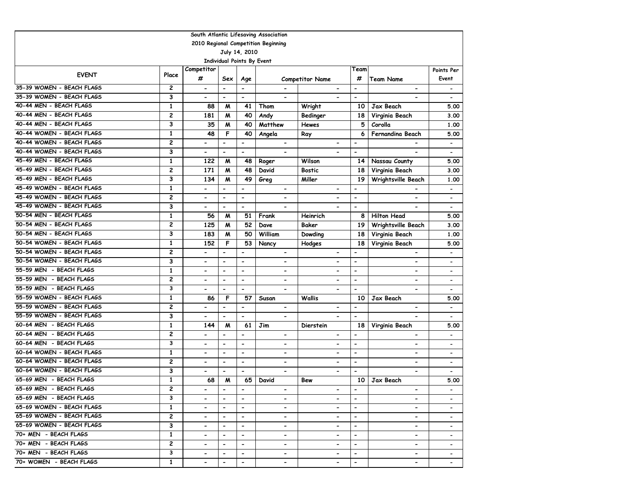| South Atlantic Lifesaving Association |                |                              |                              |                          |                              |                          |                          |                              |                          |  |
|---------------------------------------|----------------|------------------------------|------------------------------|--------------------------|------------------------------|--------------------------|--------------------------|------------------------------|--------------------------|--|
| 2010 Regional Competition Beginning   |                |                              |                              |                          |                              |                          |                          |                              |                          |  |
| July 14, 2010                         |                |                              |                              |                          |                              |                          |                          |                              |                          |  |
|                                       |                |                              | Individual Points By Event   |                          |                              |                          |                          |                              |                          |  |
| <b>EVENT</b>                          | Place          | Competitor                   |                              |                          |                              |                          | Team                     |                              | Points Per               |  |
|                                       |                | #                            | Sex                          | Age                      |                              | <b>Competitor Name</b>   | #                        | <b>Team Name</b>             | Event                    |  |
| 35-39 WOMEN - BEACH FLAGS             | $\overline{c}$ | $\overline{\phantom{a}}$     | $\overline{\phantom{a}}$     | $\overline{\phantom{a}}$ |                              | $\hbox{\small -}$        | $\overline{\phantom{a}}$ | $\qquad \qquad \blacksquare$ | $\overline{\phantom{a}}$ |  |
| 35-39 WOMEN - BEACH FLAGS             | 3              | $\qquad \qquad \blacksquare$ |                              | $\overline{\phantom{a}}$ | -                            |                          | ۰                        | -                            |                          |  |
| 40-44 MEN - BEACH FLAGS               | $\mathbf{1}$   | 88                           | M                            | 41                       | Thom                         | Wright                   | 10                       | <b>Jax Beach</b>             | 5.00                     |  |
| 40-44 MEN - BEACH FLAGS               | $\overline{c}$ | 181                          | M                            | 40                       | Andy                         | Bedinger                 | 18                       | Virginia Beach               | 3.00                     |  |
| 40-44 MEN - BEACH FLAGS               | 3              | 35                           | M                            | 40                       | Matthew                      | <b>Hewes</b>             | 5                        | Corolla                      | 1.00                     |  |
| 40-44 WOMEN - BEACH FLAGS             | $\mathbf{1}$   | 48                           | F                            | 40                       | Angela                       | Ray                      | 6                        | Fernandina Beach             | 5.00                     |  |
| 40-44 WOMEN - BEACH FLAGS             | 2              | $\overline{\phantom{0}}$     | $\overline{\phantom{a}}$     | $\overline{\phantom{a}}$ | $\overline{\phantom{0}}$     | $\overline{\phantom{0}}$ | $\overline{\phantom{0}}$ |                              | $\overline{\phantom{a}}$ |  |
| 40-44 WOMEN - BEACH FLAGS             | 3              | $\overline{\phantom{a}}$     | $\hbox{\small -}$            | $\overline{\phantom{a}}$ |                              |                          | $\overline{\phantom{a}}$ |                              | $\overline{\phantom{a}}$ |  |
| 45-49 MEN - BEACH FLAGS               | $\mathbf{1}$   | 122                          | M                            | 48                       | Roger                        | Wilson                   | 14                       | Nassau County                | 5.00                     |  |
| 45-49 MEN - BEACH FLAGS               | 2              | 171                          | M                            | 48                       | David                        | <b>Bostic</b>            | 18                       | Virginia Beach               | 3.00                     |  |
| 45-49 MEN - BEACH FLAGS               | 3              | 134                          | M                            | 49                       | Greg                         | Miller                   | 19                       | Wrightsville Beach           | 1.00                     |  |
| 45-49 WOMEN - BEACH FLAGS             | $\mathbf{1}$   | $\qquad \qquad \blacksquare$ | $\overline{\phantom{a}}$     | $\overline{\phantom{a}}$ | $\qquad \qquad \blacksquare$ | $\overline{\phantom{a}}$ | $\overline{\phantom{a}}$ | $\overline{a}$               | $\overline{\phantom{a}}$ |  |
| 45-49 WOMEN - BEACH FLAGS             | 2              | $\overline{\phantom{a}}$     | $\overline{\phantom{a}}$     | $\blacksquare$           | $\overline{\phantom{0}}$     | $\overline{\phantom{0}}$ | $\overline{\phantom{a}}$ | $\overline{\phantom{0}}$     | $\overline{\phantom{a}}$ |  |
| 45-49 WOMEN - BEACH FLAGS             | 3              | $\overline{\phantom{a}}$     | $\overline{\phantom{a}}$     | $\overline{\phantom{a}}$ | -                            | $\overline{\phantom{0}}$ | $\overline{\phantom{a}}$ | $\qquad \qquad \blacksquare$ | $\overline{\phantom{a}}$ |  |
| 50-54 MEN - BEACH FLAGS               | 1              | 56                           | M                            | 51                       | Frank                        | Heinrich                 | 8                        | <b>Hilton Head</b>           | 5.00                     |  |
| 50-54 MEN - BEACH FLAGS               | $\overline{c}$ | 125                          | м                            | 52                       | Dave                         | Baker                    | 19                       | Wrightsville Beach           | 3.00                     |  |
| 50-54 MEN - BEACH FLAGS               | 3              | 183                          | M                            | 50                       | William                      | Dowding                  | 18                       | Virginia Beach               | 1.00                     |  |
| 50-54 WOMEN - BEACH FLAGS             | $\mathbf{1}$   | 152                          | F                            | 53                       | Nancy                        | Hodges                   | 18                       | Virginia Beach               | 5.00                     |  |
| 50-54 WOMEN - BEACH FLAGS             | 2              | $\overline{\phantom{0}}$     | $\blacksquare$               | $\overline{a}$           | $\blacksquare$               | $\overline{\phantom{0}}$ | $\overline{\phantom{0}}$ | $\overline{a}$               | $\overline{\phantom{a}}$ |  |
| 50-54 WOMEN - BEACH FLAGS             | 3              | $\overline{\phantom{a}}$     | $\overline{\phantom{a}}$     | $\overline{\phantom{a}}$ | $\overline{\phantom{a}}$     | -                        | $\overline{\phantom{a}}$ | $\qquad \qquad \blacksquare$ |                          |  |
| 55-59 MEN - BEACH FLAGS               | $\mathbf{1}$   | $\qquad \qquad \blacksquare$ | $\overline{\phantom{0}}$     | $\overline{\phantom{a}}$ | -                            | -                        | $\overline{\phantom{a}}$ | -                            | $\overline{\phantom{a}}$ |  |
| 55-59 MEN - BEACH FLAGS               | 2              | $\overline{\phantom{a}}$     | $\overline{\phantom{a}}$     | $\overline{\phantom{a}}$ | $\overline{\phantom{0}}$     | $\overline{\phantom{a}}$ | $\overline{\phantom{0}}$ | $\qquad \qquad \blacksquare$ |                          |  |
| 55-59 MEN - BEACH FLAGS               | 3              | $\overline{\phantom{0}}$     | $\blacksquare$               | $\blacksquare$           | $\overline{\phantom{0}}$     | $\blacksquare$           | $\blacksquare$           | $\overline{\phantom{0}}$     | $\overline{\phantom{a}}$ |  |
| 55-59 WOMEN - BEACH FLAGS             | $\mathbf{1}$   | 86                           | F                            | 57                       | Susan                        | <b>Wallis</b>            | 10                       | Jax Beach                    | 5.00                     |  |
| 55-59 WOMEN - BEACH FLAGS             | 2              | $\qquad \qquad \blacksquare$ | $\overline{\phantom{m}}$     | $\overline{\phantom{a}}$ | $\qquad \qquad \blacksquare$ | $\overline{\phantom{a}}$ | $\blacksquare$           | $\overline{\phantom{0}}$     | $\overline{\phantom{a}}$ |  |
| 55-59 WOMEN - BEACH FLAGS             | 3              | $\overline{\phantom{0}}$     | $\overline{\phantom{a}}$     | $\overline{\phantom{a}}$ | -                            | $\overline{\phantom{0}}$ | $\overline{\phantom{a}}$ | $\overline{\phantom{0}}$     | $\overline{\phantom{a}}$ |  |
| 60-64 MEN - BEACH FLAGS               | 1              | 144                          | M                            | 61                       | Jim                          | Dierstein                | 18                       | Virginia Beach               | 5.00                     |  |
| 60-64 MEN - BEACH FLAGS               | 2              | $\qquad \qquad \blacksquare$ | $\overline{\phantom{a}}$     | $\overline{\phantom{a}}$ | $\overline{\phantom{0}}$     | $\overline{\phantom{a}}$ | $\overline{\phantom{m}}$ | $\overline{a}$               | $\overline{\phantom{a}}$ |  |
| 60-64 MEN - BEACH FLAGS               | 3              | $\overline{a}$               | $\blacksquare$               | $\overline{\phantom{a}}$ | $\overline{\phantom{0}}$     | $\overline{\phantom{0}}$ | $\overline{\phantom{0}}$ | $\overline{\phantom{0}}$     |                          |  |
| 60-64 WOMEN - BEACH FLAGS             | $\mathbf{1}$   | $\blacksquare$               | $\blacksquare$               | $\overline{\phantom{a}}$ | $\overline{\phantom{0}}$     | $\blacksquare$           | $\blacksquare$           | $\overline{\phantom{0}}$     | $\overline{\phantom{a}}$ |  |
| 60-64 WOMEN - BEACH FLAGS             | 2              | $\qquad \qquad \blacksquare$ | $\overline{\phantom{a}}$     | $\blacksquare$           | $\blacksquare$               | $\overline{\phantom{0}}$ | $\blacksquare$           | $\overline{\phantom{0}}$     | $\qquad \qquad -$        |  |
| 60-64 WOMEN - BEACH FLAGS             | 3              | $\overline{\phantom{0}}$     | $\blacksquare$               | $\overline{\phantom{a}}$ |                              | $\overline{\phantom{0}}$ | $\overline{\phantom{0}}$ | $\overline{\phantom{0}}$     | $\overline{\phantom{a}}$ |  |
| 65-69 MEN - BEACH FLAGS               | $\mathbf{1}$   | 68                           | M                            | 65                       | David                        | Bew                      | 10                       | Jax Beach                    | 5.00                     |  |
| 65-69 MEN - BEACH FLAGS               | $\mathbf{2}$   | $\qquad \qquad \blacksquare$ | $\qquad \qquad \blacksquare$ | $\overline{\phantom{a}}$ | -                            | $\overline{\phantom{0}}$ | $\overline{\phantom{a}}$ | -                            |                          |  |
| 65-69 MEN - BEACH FLAGS               | 3              | $\overline{\phantom{0}}$     | $\blacksquare$               | $\blacksquare$           | $\overline{\phantom{0}}$     | $\overline{\phantom{0}}$ | $\overline{\phantom{a}}$ | $\overline{\phantom{0}}$     |                          |  |
| 65-69 WOMEN - BEACH FLAGS             | $\mathbf{1}$   | $\overline{\phantom{0}}$     | $\hbox{\small -}$            | $\overline{\phantom{a}}$ | $\overline{\phantom{0}}$     | $\overline{\phantom{0}}$ | $\overline{\phantom{a}}$ | $\overline{\phantom{0}}$     | $\overline{\phantom{0}}$ |  |
| 65-69 WOMEN - BEACH FLAGS             | $\mathbf{2}$   | -                            | $\blacksquare$               | $\blacksquare$           | ۰.                           | ۰.                       | $\blacksquare$           | $\overline{\phantom{a}}$     | $\overline{\phantom{0}}$ |  |
| 65-69 WOMEN - BEACH FLAGS             | 3              | $\overline{\phantom{0}}$     | $\hbox{\small -}$            | $\overline{\phantom{a}}$ | $\overline{\phantom{0}}$     | $\blacksquare$           | $\overline{\phantom{a}}$ | $\overline{\phantom{0}}$     | $\overline{\phantom{0}}$ |  |
| 70+ MEN - BEACH FLAGS                 | 1              | -                            | $\overline{\phantom{a}}$     | $\overline{\phantom{a}}$ | $\overline{\phantom{0}}$     | $\overline{\phantom{0}}$ | $\overline{\phantom{a}}$ | ۰.                           |                          |  |
| 70+ MEN - BEACH FLAGS                 | $\mathbf{2}$   | -                            | $\hbox{\small -}$            | $\overline{\phantom{a}}$ | $\blacksquare$               | $\overline{\phantom{0}}$ | $\overline{\phantom{a}}$ | ۰.                           | $\blacksquare$           |  |
| 70+ MEN - BEACH FLAGS                 | 3              | $\qquad \qquad \blacksquare$ | $\hbox{\small -}$            | $\overline{\phantom{a}}$ | $\overline{\phantom{0}}$     | $\blacksquare$           | $\overline{\phantom{a}}$ | $\overline{\phantom{0}}$     |                          |  |
| 70+ WOMEN - BEACH FLAGS               | $\mathbf{1}$   | $\overline{\phantom{a}}$     | $\overline{\phantom{0}}$     | $\overline{\phantom{a}}$ | $\qquad \qquad \blacksquare$ | $\hbox{\small -}$        | $\hbox{\small -}$        | ۰                            |                          |  |
|                                       |                |                              |                              |                          |                              |                          |                          |                              |                          |  |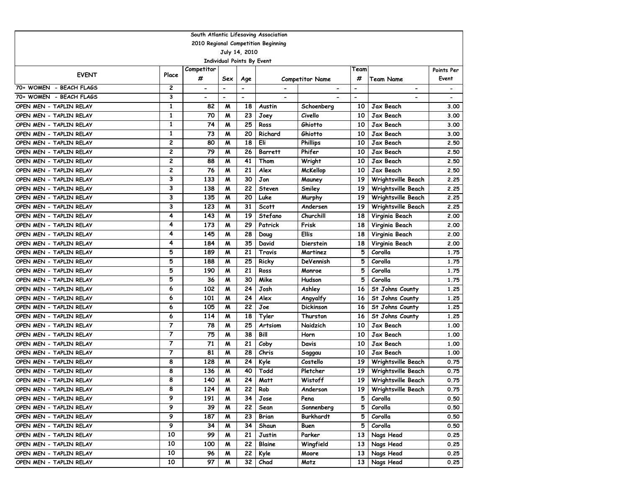| South Atlantic Lifesaving Association |                |                   |                          |                          |                          |                          |                          |                              |            |  |
|---------------------------------------|----------------|-------------------|--------------------------|--------------------------|--------------------------|--------------------------|--------------------------|------------------------------|------------|--|
| 2010 Regional Competition Beginning   |                |                   |                          |                          |                          |                          |                          |                              |            |  |
| July 14, 2010                         |                |                   |                          |                          |                          |                          |                          |                              |            |  |
| Individual Points By Event            |                |                   |                          |                          |                          |                          |                          |                              |            |  |
| <b>EVENT</b>                          | Place          | Competitor        |                          |                          |                          |                          | Team                     |                              | Points Per |  |
|                                       |                | #                 | Sex                      | Age                      |                          | <b>Competitor Name</b>   | #                        | <b>Team Name</b>             | Event      |  |
| 70+ WOMEN - BEACH FLAGS               | 2              | $\hbox{\small -}$ | $\overline{\phantom{a}}$ | $\blacksquare$           | $\overline{\phantom{a}}$ | $\overline{\phantom{a}}$ | $\overline{\phantom{a}}$ | $\qquad \qquad \blacksquare$ |            |  |
| 70+ WOMEN - BEACH FLAGS               | 3              |                   | $\overline{\phantom{0}}$ | $\overline{\phantom{a}}$ |                          |                          | $\blacksquare$           |                              |            |  |
| OPEN MEN - TAPLIN RELAY               | $\mathbf{1}$   | 82                | M                        | 18                       | Austin                   | Schoenberg               | 10                       | Jax Beach                    | 3.00       |  |
| OPEN MEN - TAPLIN RELAY               | 1              | 70                | M                        | 23                       | Joey                     | Civello                  | 10                       | Jax Beach                    | 3.00       |  |
| OPEN MEN - TAPLIN RELAY               | $\mathbf{1}$   | 74                | M                        | 25                       | Ross                     | Ghiotto                  | 10                       | Jax Beach                    | 3.00       |  |
| OPEN MEN - TAPLIN RELAY               | $\mathbf{1}$   | 73                | M                        | 20                       | Richard                  | Ghiotto                  | 10                       | Jax Beach                    | 3.00       |  |
| OPEN MEN - TAPLIN RELAY               | 2              | 80                | M                        | 18                       | Eli                      | <b>Phillips</b>          | 10                       | Jax Beach                    | 2.50       |  |
| OPEN MEN - TAPLIN RELAY               | 2              | 79                | M                        | 26                       | <b>Barrett</b>           | Phifer                   | 10                       | Jax Beach                    | 2.50       |  |
| OPEN MEN - TAPLIN RELAY               | 2              | 88                | M                        | 41                       | Thom                     | Wright                   | 10                       | Jax Beach                    | 2.50       |  |
| OPEN MEN - TAPLIN RELAY               | 2              | 76                | M                        | 21                       | Alex                     | <b>McKellop</b>          | 10                       | Jax Beach                    | 2.50       |  |
| OPEN MEN - TAPLIN RELAY               | 3              | 133               | M                        | 30                       | Jon                      | Mauney                   | 19                       | Wrightsville Beach           | 2.25       |  |
| OPEN MEN - TAPLIN RELAY               | 3              | 138               | M                        | 22                       | Steven                   | Smiley                   | 19                       | Wrightsville Beach           | 2.25       |  |
| OPEN MEN - TAPLIN RELAY               | 3              | 135               | M                        | 20                       | Luke                     | Murphy                   | 19                       | Wrightsville Beach           | 2.25       |  |
| OPEN MEN - TAPLIN RELAY               | 3              | 123               | M                        | 31                       | <b>Scott</b>             | Andersen                 | 19                       | Wrightsville Beach           | 2.25       |  |
| OPEN MEN - TAPLIN RELAY               | 4              | 143               | M                        | 19                       | Stefano                  | Churchill                | 18                       | Virginia Beach               | 2.00       |  |
| OPEN MEN - TAPLIN RELAY               | 4              | 173               | M                        | 29                       | Patrick                  | Frisk                    | 18                       | Virginia Beach               | 2.00       |  |
| OPEN MEN - TAPLIN RELAY               | 4              | 145               | $\boldsymbol{M}$         | 28                       | Doug                     | <b>Ellis</b>             | <b>18</b>                | Virginia Beach               | 2.00       |  |
| OPEN MEN - TAPLIN RELAY               | 4              | 184               | M                        | 35                       | David                    | Dierstein                | 18                       | Virginia Beach               | 2.00       |  |
| OPEN MEN - TAPLIN RELAY               | 5              | 189               | M                        | 21                       | Travis                   | Martinez                 | 5                        | Corolla                      | 1.75       |  |
| OPEN MEN - TAPLIN RELAY               | 5              | 188               | M                        | 25                       | Ricky                    | DeVennish                | 5                        | Corolla                      | 1.75       |  |
| OPEN MEN - TAPLIN RELAY               | 5              | 190               | M                        | 21                       | Ross                     | Monroe                   | 5                        | Corolla                      | 1.75       |  |
| OPEN MEN - TAPLIN RELAY               | 5              | 36                | M                        | 30                       | Mike                     | Hudson                   | 5                        | Corolla                      | 1.75       |  |
| OPEN MEN - TAPLIN RELAY               | 6              | 102               | M                        | 24                       | Josh                     | Ashley                   | 16                       | St Johns County              | 1.25       |  |
| OPEN MEN - TAPLIN RELAY               | 6              | 101               | M                        | 24                       | Alex                     | Angyalfy                 | 16                       | St Johns County              | 1.25       |  |
| OPEN MEN - TAPLIN RELAY               | 6              | 105               | M                        | 22                       | Joe                      | <b>Dickinson</b>         | 16                       | St Johns County              | 1.25       |  |
| OPEN MEN - TAPLIN RELAY               | 6              | 114               | M                        | 18                       | Tyler                    | Thurston                 | 16                       | St Johns County              | 1.25       |  |
| OPEN MEN - TAPLIN RELAY               | 7              | 78                | M                        | 25                       | Artsiom                  | Naidzich                 | 10                       | Jax Beach                    | 1.00       |  |
| OPEN MEN - TAPLIN RELAY               | $\overline{7}$ | 75                | M                        | 38                       | Bill                     | Horn                     | 10                       | Jax Beach                    | 1.00       |  |
| OPEN MEN - TAPLIN RELAY               | $\overline{7}$ | 71                | M                        | 21                       | Coby                     | Davis                    | 10                       | Jax Beach                    | 1.00       |  |
| OPEN MEN - TAPLIN RELAY               | 7              | 81                | M                        | 28                       | Chris                    | Saggau                   | 10                       | Jax Beach                    | 1.00       |  |
| OPEN MEN - TAPLIN RELAY               | 8              | 128               | M                        | 24                       | Kyle                     | Costello                 | 19                       | Wrightsville Beach           | 0.75       |  |
| OPEN MEN - TAPLIN RELAY               | 8              | 136               | M                        | 40                       | Todd                     | Pletcher                 | 19                       | Wrightsville Beach           | 0.75       |  |
| OPEN MEN - TAPLIN RELAY               | 8              | 140               | M                        | 24                       | Matt                     | Wistoff                  | 19                       | Wrightsville Beach           | 0.75       |  |
| OPEN MEN - TAPLIN RELAY               | 8              | 124               | M                        | 22                       | Rob                      | Anderson                 | 19                       | Wrightsville Beach           | 0.75       |  |
| OPEN MEN - TAPLIN RELAY               | 9              | 191               | M                        | 34                       | Jose                     | Pena                     | 5                        | Corolla                      | 0.50       |  |
| OPEN MEN - TAPLIN RELAY               | 9              | 39                | M                        | 22                       | Sean                     | Sonnenberg               | 5                        | Corolla                      | 0.50       |  |
| OPEN MEN - TAPLIN RELAY               | 9              | 187               | M                        | 23                       | <b>Brian</b>             | Burkhardt                | 5                        | Corolla                      | 0.50       |  |
| OPEN MEN - TAPLIN RELAY               | 9              | 34                | M                        | 34                       | Shaun                    | Buen                     | 5                        | Corolla                      | 0.50       |  |
| OPEN MEN - TAPLIN RELAY               | 10             | 99                | M                        | 21                       | Justin                   | Parker                   | 13                       | Nags Head                    | 0.25       |  |
| OPEN MEN - TAPLIN RELAY               | 10             | 100               | M                        | 22                       | Blaine                   | Wingfield                | 13                       | Nags Head                    | 0.25       |  |
| OPEN MEN - TAPLIN RELAY               | 10             | 96                | M                        | 22                       | Kyle                     | Moore                    | 13                       | Nags Head                    | 0.25       |  |
| OPEN MEN - TAPLIN RELAY               | 10             | 97                | M                        | 32                       | Chad                     | Motz                     | 13 <sup>1</sup>          | Nags Head                    | 0.25       |  |
|                                       |                |                   |                          |                          |                          |                          |                          |                              |            |  |